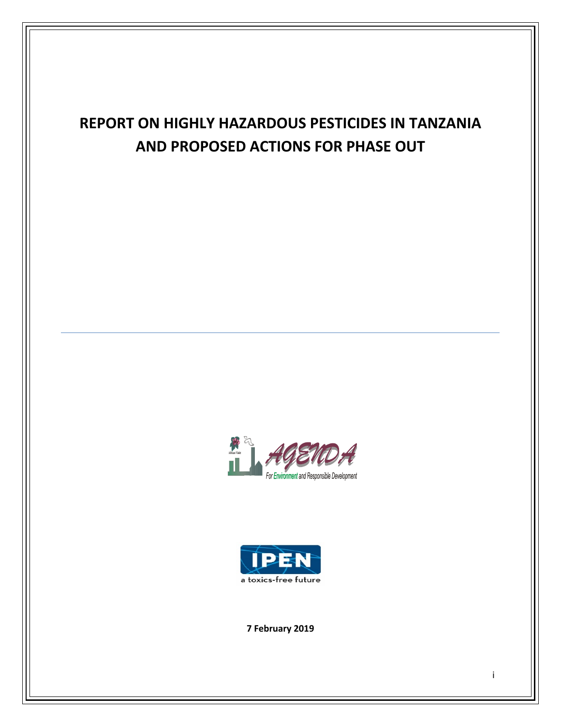# **REPORT ON HIGHLY HAZARDOUS PESTICIDES IN TANZANIA AND PROPOSED ACTIONS FOR PHASE OUT**





**7 February 2019**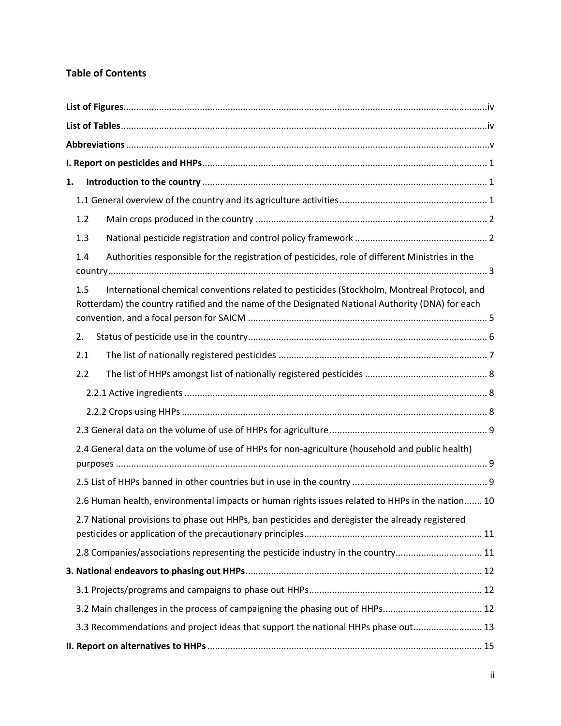# **Table of Contents**

| 1. |     |                                                                                                                                                                                                 |
|----|-----|-------------------------------------------------------------------------------------------------------------------------------------------------------------------------------------------------|
|    |     |                                                                                                                                                                                                 |
|    | 1.2 |                                                                                                                                                                                                 |
|    | 1.3 |                                                                                                                                                                                                 |
|    | 1.4 | Authorities responsible for the registration of pesticides, role of different Ministries in the                                                                                                 |
|    | 1.5 | International chemical conventions related to pesticides (Stockholm, Montreal Protocol, and<br>Rotterdam) the country ratified and the name of the Designated National Authority (DNA) for each |
|    | 2.  |                                                                                                                                                                                                 |
|    | 2.1 |                                                                                                                                                                                                 |
|    | 2.2 |                                                                                                                                                                                                 |
|    |     |                                                                                                                                                                                                 |
|    |     |                                                                                                                                                                                                 |
|    |     |                                                                                                                                                                                                 |
|    |     | 2.4 General data on the volume of use of HHPs for non-agriculture (household and public health)                                                                                                 |
|    |     |                                                                                                                                                                                                 |
|    |     | 2.6 Human health, environmental impacts or human rights issues related to HHPs in the nation 10                                                                                                 |
|    |     | 2.7 National provisions to phase out HHPs, ban pesticides and deregister the already registered                                                                                                 |
|    |     | 2.8 Companies/associations representing the pesticide industry in the country 11                                                                                                                |
|    |     |                                                                                                                                                                                                 |
|    |     |                                                                                                                                                                                                 |
|    |     |                                                                                                                                                                                                 |
|    |     | 3.3 Recommendations and project ideas that support the national HHPs phase out 13                                                                                                               |
|    |     |                                                                                                                                                                                                 |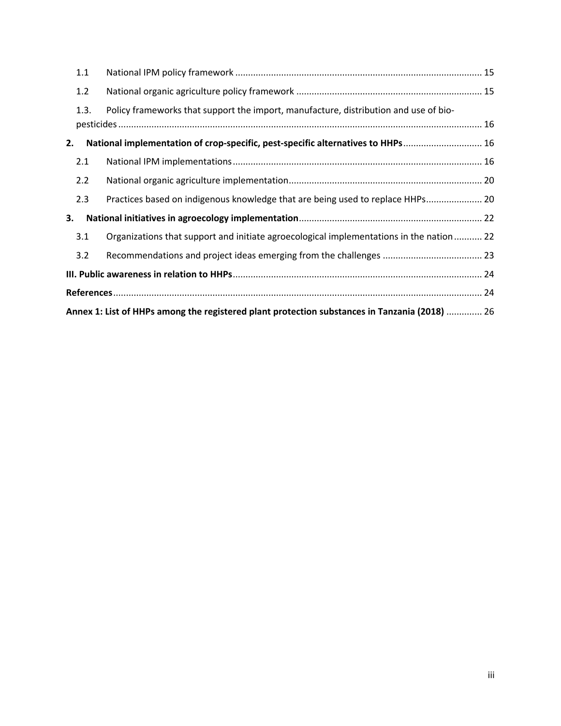|    | 1.1                                                                                           |                                                                                          |  |  |  |
|----|-----------------------------------------------------------------------------------------------|------------------------------------------------------------------------------------------|--|--|--|
|    | 1.2                                                                                           |                                                                                          |  |  |  |
|    | 1.3.                                                                                          | Policy frameworks that support the import, manufacture, distribution and use of bio-     |  |  |  |
| 2. |                                                                                               | National implementation of crop-specific, pest-specific alternatives to HHPs 16          |  |  |  |
|    | 2.1                                                                                           |                                                                                          |  |  |  |
|    | 2.2                                                                                           |                                                                                          |  |  |  |
|    | 2.3                                                                                           | Practices based on indigenous knowledge that are being used to replace HHPs 20           |  |  |  |
| 3. |                                                                                               |                                                                                          |  |  |  |
|    | 3.1                                                                                           | Organizations that support and initiate agroecological implementations in the nation  22 |  |  |  |
|    | 3.2                                                                                           |                                                                                          |  |  |  |
|    |                                                                                               |                                                                                          |  |  |  |
|    |                                                                                               |                                                                                          |  |  |  |
|    | Annex 1: List of HHPs among the registered plant protection substances in Tanzania (2018)  26 |                                                                                          |  |  |  |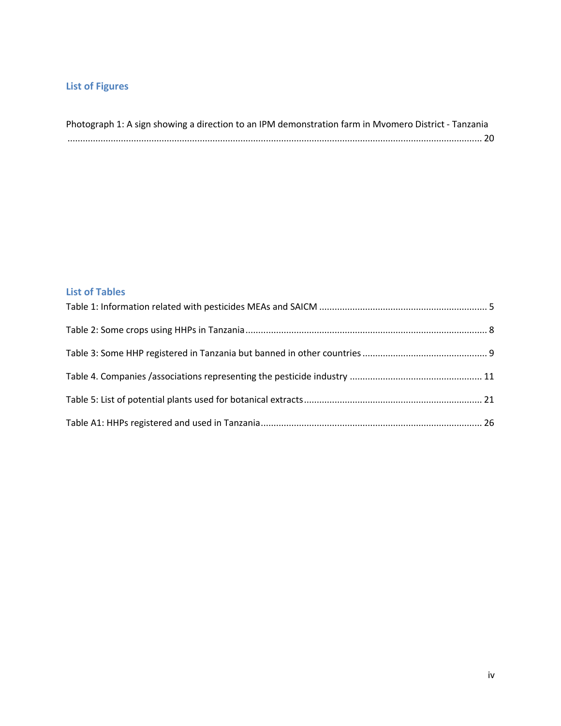# **List of Figures**

| Photograph 1: A sign showing a direction to an IPM demonstration farm in Mvomero District - Tanzania |  |
|------------------------------------------------------------------------------------------------------|--|
|                                                                                                      |  |

## **List of Tables**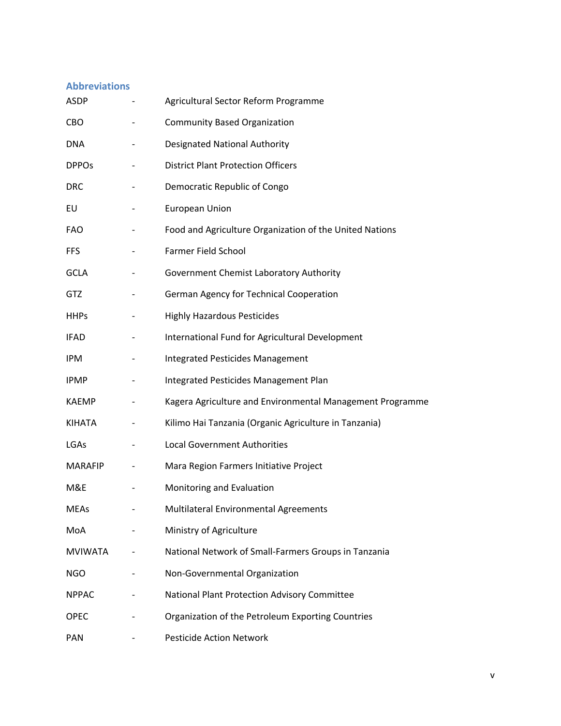#### **Abbreviations**

| <b>ASDP</b>    | Agricultural Sector Reform Programme                      |
|----------------|-----------------------------------------------------------|
| <b>CBO</b>     | <b>Community Based Organization</b>                       |
| <b>DNA</b>     | <b>Designated National Authority</b>                      |
| <b>DPPOS</b>   | <b>District Plant Protection Officers</b>                 |
| <b>DRC</b>     | Democratic Republic of Congo                              |
| EU             | <b>European Union</b>                                     |
| <b>FAO</b>     | Food and Agriculture Organization of the United Nations   |
| <b>FFS</b>     | Farmer Field School                                       |
| <b>GCLA</b>    | Government Chemist Laboratory Authority                   |
| GTZ            | German Agency for Technical Cooperation                   |
| <b>HHPs</b>    | <b>Highly Hazardous Pesticides</b>                        |
| <b>IFAD</b>    | International Fund for Agricultural Development           |
| <b>IPM</b>     | <b>Integrated Pesticides Management</b>                   |
| <b>IPMP</b>    | Integrated Pesticides Management Plan                     |
| <b>KAEMP</b>   | Kagera Agriculture and Environmental Management Programme |
| <b>KIHATA</b>  | Kilimo Hai Tanzania (Organic Agriculture in Tanzania)     |
| LGAs           | <b>Local Government Authorities</b>                       |
| <b>MARAFIP</b> | Mara Region Farmers Initiative Project                    |
| M&E            | Monitoring and Evaluation                                 |
| MEAs           | Multilateral Environmental Agreements                     |
| MoA            | Ministry of Agriculture                                   |
| <b>MVIWATA</b> | National Network of Small-Farmers Groups in Tanzania      |
| <b>NGO</b>     | Non-Governmental Organization                             |
| <b>NPPAC</b>   | National Plant Protection Advisory Committee              |
| <b>OPEC</b>    | Organization of the Petroleum Exporting Countries         |
| <b>PAN</b>     | <b>Pesticide Action Network</b>                           |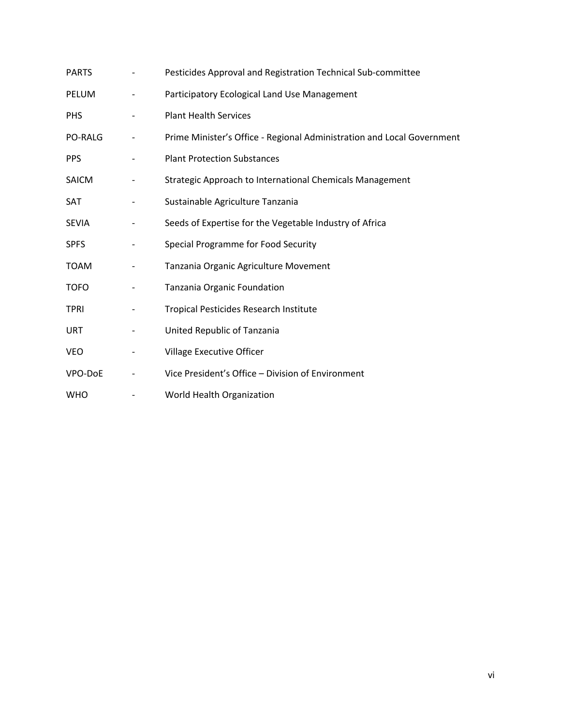| <b>PARTS</b> |                          | Pesticides Approval and Registration Technical Sub-committee           |
|--------------|--------------------------|------------------------------------------------------------------------|
| PELUM        | -                        | Participatory Ecological Land Use Management                           |
| <b>PHS</b>   |                          | <b>Plant Health Services</b>                                           |
| PO-RALG      | $\overline{\phantom{0}}$ | Prime Minister's Office - Regional Administration and Local Government |
| <b>PPS</b>   |                          | <b>Plant Protection Substances</b>                                     |
| SAICM        | -                        | Strategic Approach to International Chemicals Management               |
| <b>SAT</b>   |                          | Sustainable Agriculture Tanzania                                       |
| <b>SEVIA</b> |                          | Seeds of Expertise for the Vegetable Industry of Africa                |
| <b>SPFS</b>  |                          | Special Programme for Food Security                                    |
| <b>TOAM</b>  |                          | Tanzania Organic Agriculture Movement                                  |
| <b>TOFO</b>  |                          | <b>Tanzania Organic Foundation</b>                                     |
| <b>TPRI</b>  |                          | <b>Tropical Pesticides Research Institute</b>                          |
| <b>URT</b>   |                          | United Republic of Tanzania                                            |
| <b>VEO</b>   |                          | Village Executive Officer                                              |
| VPO-DoE      | $\overline{\phantom{0}}$ | Vice President's Office - Division of Environment                      |
| <b>WHO</b>   |                          | World Health Organization                                              |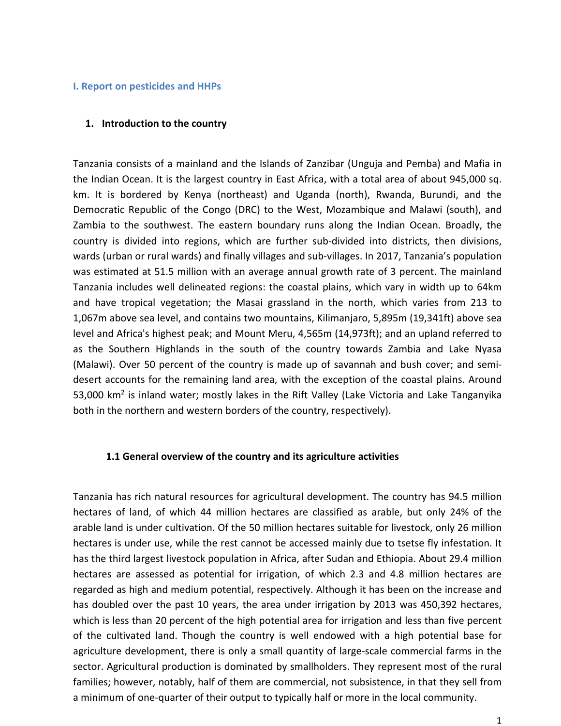#### **I. Report on pesticides and HHPs**

#### **1. Introduction to the country**

Tanzania consists of a mainland and the Islands of Zanzibar (Unguja and Pemba) and Mafia in the Indian Ocean. It is the largest country in East Africa, with a total area of about 945,000 sq. km. It is bordered by Kenya (northeast) and Uganda (north), Rwanda, Burundi, and the Democratic Republic of the Congo (DRC) to the West, Mozambique and Malawi (south), and Zambia to the southwest. The eastern boundary runs along the Indian Ocean. Broadly, the country is divided into regions, which are further sub-divided into districts, then divisions, wards (urban or rural wards) and finally villages and sub-villages. In 2017, Tanzania's population was estimated at 51.5 million with an average annual growth rate of 3 percent. The mainland Tanzania includes well delineated regions: the coastal plains, which vary in width up to 64km and have tropical vegetation; the Masai grassland in the north, which varies from 213 to 1,067m above sea level, and contains two mountains, Kilimanjaro, 5,895m (19,341ft) above sea level and Africa's highest peak; and Mount Meru, 4,565m (14,973ft); and an upland referred to as the Southern Highlands in the south of the country towards Zambia and Lake Nyasa (Malawi). Over 50 percent of the country is made up of savannah and bush cover; and semidesert accounts for the remaining land area, with the exception of the coastal plains. Around 53,000  $km<sup>2</sup>$  is inland water; mostly lakes in the Rift Valley (Lake Victoria and Lake Tanganyika both in the northern and western borders of the country, respectively).

#### **1.1 General overview of the country and its agriculture activities**

Tanzania has rich natural resources for agricultural development. The country has 94.5 million hectares of land, of which 44 million hectares are classified as arable, but only 24% of the arable land is under cultivation. Of the 50 million hectares suitable for livestock, only 26 million hectares is under use, while the rest cannot be accessed mainly due to tsetse fly infestation. It has the third largest livestock population in Africa, after Sudan and Ethiopia. About 29.4 million hectares are assessed as potential for irrigation, of which 2.3 and 4.8 million hectares are regarded as high and medium potential, respectively. Although it has been on the increase and has doubled over the past 10 years, the area under irrigation by 2013 was 450,392 hectares, which is less than 20 percent of the high potential area for irrigation and less than five percent of the cultivated land. Though the country is well endowed with a high potential base for agriculture development, there is only a small quantity of large-scale commercial farms in the sector. Agricultural production is dominated by smallholders. They represent most of the rural families; however, notably, half of them are commercial, not subsistence, in that they sell from a minimum of one-quarter of their output to typically half or more in the local community.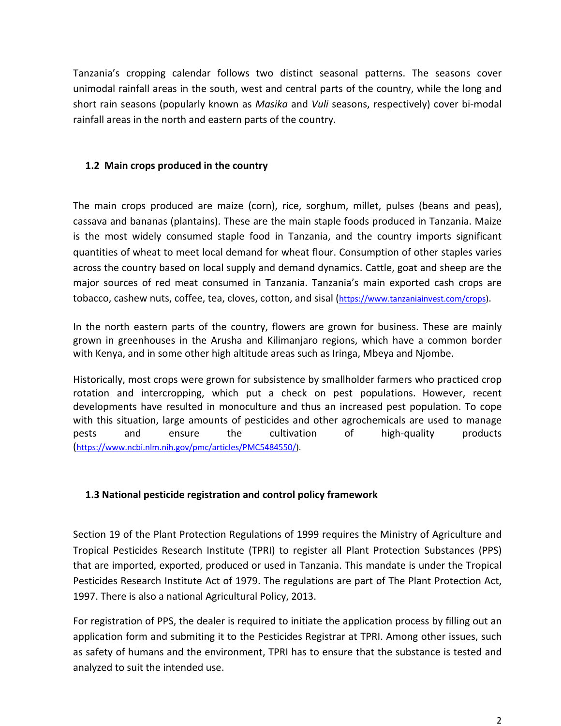Tanzania's cropping calendar follows two distinct seasonal patterns. The seasons cover unimodal rainfall areas in the south, west and central parts of the country, while the long and short rain seasons (popularly known as *Masika* and *Vuli* seasons, respectively) cover bi-modal rainfall areas in the north and eastern parts of the country.

#### **1.2 Main crops produced in the country**

The main crops produced are maize (corn), rice, sorghum, millet, pulses (beans and peas), cassava and bananas (plantains). These are the main staple foods produced in Tanzania. Maize is the most widely consumed staple food in Tanzania, and the country imports significant quantities of wheat to meet local demand for wheat flour. Consumption of other staples varies across the country based on local supply and demand dynamics. Cattle, goat and sheep are the major sources of red meat consumed in Tanzania. Tanzania's main exported cash crops are tobacco, cashew nuts, coffee, tea, cloves, cotton, and sisal (https://www.tanzaniainvest.com/crops).

In the north eastern parts of the country, flowers are grown for business. These are mainly grown in greenhouses in the Arusha and Kilimanjaro regions, which have a common border with Kenya, and in some other high altitude areas such as Iringa, Mbeya and Njombe.

Historically, most crops were grown for subsistence by smallholder farmers who practiced crop rotation and intercropping, which put a check on pest populations. However, recent developments have resulted in monoculture and thus an increased pest population. To cope with this situation, large amounts of pesticides and other agrochemicals are used to manage pests and ensure the cultivation of high-quality products (https://www.ncbi.nlm.nih.gov/pmc/articles/PMC5484550/).

#### **1.3 National pesticide registration and control policy framework**

Section 19 of the Plant Protection Regulations of 1999 requires the Ministry of Agriculture and Tropical Pesticides Research Institute (TPRI) to register all Plant Protection Substances (PPS) that are imported, exported, produced or used in Tanzania. This mandate is under the Tropical Pesticides Research Institute Act of 1979. The regulations are part of The Plant Protection Act, 1997. There is also a national Agricultural Policy, 2013.

For registration of PPS, the dealer is required to initiate the application process by filling out an application form and submiting it to the Pesticides Registrar at TPRI. Among other issues, such as safety of humans and the environment, TPRI has to ensure that the substance is tested and analyzed to suit the intended use.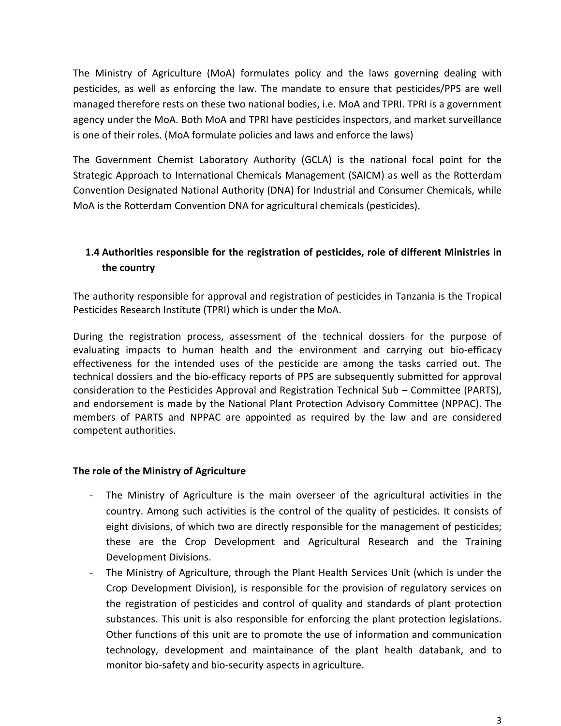The Ministry of Agriculture (MoA) formulates policy and the laws governing dealing with pesticides, as well as enforcing the law. The mandate to ensure that pesticides/PPS are well managed therefore rests on these two national bodies, i.e. MoA and TPRI. TPRI is a government agency under the MoA. Both MoA and TPRI have pesticides inspectors, and market surveillance is one of their roles. (MoA formulate policies and laws and enforce the laws)

The Government Chemist Laboratory Authority (GCLA) is the national focal point for the Strategic Approach to International Chemicals Management (SAICM) as well as the Rotterdam Convention Designated National Authority (DNA) for Industrial and Consumer Chemicals, while MoA is the Rotterdam Convention DNA for agricultural chemicals (pesticides).

# **1.4 Authorities responsible for the registration of pesticides, role of different Ministries in the country**

The authority responsible for approval and registration of pesticides in Tanzania is the Tropical Pesticides Research Institute (TPRI) which is under the MoA.

During the registration process, assessment of the technical dossiers for the purpose of evaluating impacts to human health and the environment and carrying out bio-efficacy effectiveness for the intended uses of the pesticide are among the tasks carried out. The technical dossiers and the bio-efficacy reports of PPS are subsequently submitted for approval consideration to the Pesticides Approval and Registration Technical Sub – Committee (PARTS), and endorsement is made by the National Plant Protection Advisory Committee (NPPAC). The members of PARTS and NPPAC are appointed as required by the law and are considered competent authorities.

#### **The role of the Ministry of Agriculture**

- The Ministry of Agriculture is the main overseer of the agricultural activities in the country. Among such activities is the control of the quality of pesticides. It consists of eight divisions, of which two are directly responsible for the management of pesticides; these are the Crop Development and Agricultural Research and the Training Development Divisions.
- The Ministry of Agriculture, through the Plant Health Services Unit (which is under the Crop Development Division), is responsible for the provision of regulatory services on the registration of pesticides and control of quality and standards of plant protection substances. This unit is also responsible for enforcing the plant protection legislations. Other functions of this unit are to promote the use of information and communication technology, development and maintainance of the plant health databank, and to monitor bio-safety and bio-security aspects in agriculture.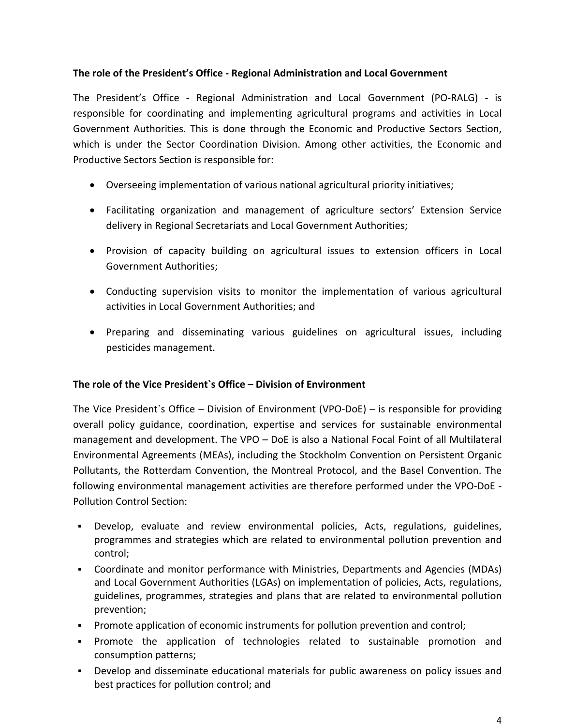#### **The role of the President's Office - Regional Administration and Local Government**

The President's Office - Regional Administration and Local Government (PO-RALG) - is responsible for coordinating and implementing agricultural programs and activities in Local Government Authorities. This is done through the Economic and Productive Sectors Section, which is under the Sector Coordination Division. Among other activities, the Economic and Productive Sectors Section is responsible for:

- Overseeing implementation of various national agricultural priority initiatives;
- Facilitating organization and management of agriculture sectors' Extension Service delivery in Regional Secretariats and Local Government Authorities;
- Provision of capacity building on agricultural issues to extension officers in Local Government Authorities;
- Conducting supervision visits to monitor the implementation of various agricultural activities in Local Government Authorities; and
- Preparing and disseminating various guidelines on agricultural issues, including pesticides management.

#### **The role of the Vice President`s Office – Division of Environment**

The Vice President`s Office – Division of Environment (VPO-DoE) – is responsible for providing overall policy guidance, coordination, expertise and services for sustainable environmental management and development. The VPO – DoE is also a National Focal Foint of all Multilateral Environmental Agreements (MEAs), including the Stockholm Convention on Persistent Organic Pollutants, the Rotterdam Convention, the Montreal Protocol, and the Basel Convention. The following environmental management activities are therefore performed under the VPO-DoE - Pollution Control Section:

- § Develop, evaluate and review environmental policies, Acts, regulations, guidelines, programmes and strategies which are related to environmental pollution prevention and control;
- § Coordinate and monitor performance with Ministries, Departments and Agencies (MDAs) and Local Government Authorities (LGAs) on implementation of policies, Acts, regulations, guidelines, programmes, strategies and plans that are related to environmental pollution prevention;
- Promote application of economic instruments for pollution prevention and control;
- § Promote the application of technologies related to sustainable promotion and consumption patterns;
- § Develop and disseminate educational materials for public awareness on policy issues and best practices for pollution control; and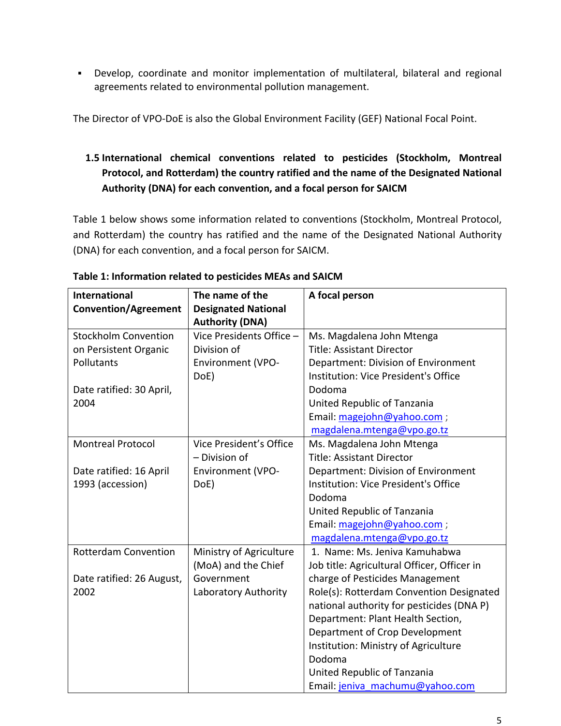§ Develop, coordinate and monitor implementation of multilateral, bilateral and regional agreements related to environmental pollution management.

The Director of VPO-DoE is also the Global Environment Facility (GEF) National Focal Point.

# **1.5 International chemical conventions related to pesticides (Stockholm, Montreal Protocol, and Rotterdam) the country ratified and the name of the Designated National Authority (DNA) for each convention, and a focal person for SAICM**

Table 1 below shows some information related to conventions (Stockholm, Montreal Protocol, and Rotterdam) the country has ratified and the name of the Designated National Authority (DNA) for each convention, and a focal person for SAICM.

| <b>International</b>        | The name of the                                      | A focal person                              |
|-----------------------------|------------------------------------------------------|---------------------------------------------|
| <b>Convention/Agreement</b> | <b>Designated National</b><br><b>Authority (DNA)</b> |                                             |
| <b>Stockholm Convention</b> | Vice Presidents Office -                             | Ms. Magdalena John Mtenga                   |
| on Persistent Organic       | Division of                                          | <b>Title: Assistant Director</b>            |
| Pollutants                  | <b>Environment (VPO-</b>                             | Department: Division of Environment         |
|                             | DoE)                                                 | <b>Institution: Vice President's Office</b> |
| Date ratified: 30 April,    |                                                      | Dodoma                                      |
| 2004                        |                                                      | United Republic of Tanzania                 |
|                             |                                                      | Email: magejohn@yahoo.com ;                 |
|                             |                                                      | magdalena.mtenga@vpo.go.tz                  |
| <b>Montreal Protocol</b>    | Vice President's Office                              | Ms. Magdalena John Mtenga                   |
|                             | - Division of                                        | <b>Title: Assistant Director</b>            |
| Date ratified: 16 April     | <b>Environment (VPO-</b>                             | Department: Division of Environment         |
| 1993 (accession)            | DoE)                                                 | <b>Institution: Vice President's Office</b> |
|                             |                                                      | Dodoma                                      |
|                             |                                                      | United Republic of Tanzania                 |
|                             |                                                      | Email: magejohn@yahoo.com ;                 |
|                             |                                                      | magdalena.mtenga@vpo.go.tz                  |
| <b>Rotterdam Convention</b> | Ministry of Agriculture                              | 1. Name: Ms. Jeniva Kamuhabwa               |
|                             | (MoA) and the Chief                                  | Job title: Agricultural Officer, Officer in |
| Date ratified: 26 August,   | Government                                           | charge of Pesticides Management             |
| 2002                        | Laboratory Authority                                 | Role(s): Rotterdam Convention Designated    |
|                             |                                                      | national authority for pesticides (DNA P)   |
|                             |                                                      | Department: Plant Health Section,           |
|                             |                                                      | Department of Crop Development              |
|                             |                                                      | Institution: Ministry of Agriculture        |
|                             |                                                      | Dodoma                                      |
|                             |                                                      | United Republic of Tanzania                 |
|                             |                                                      | Email: jeniva machumu@yahoo.com             |

**Table 1: Information related to pesticides MEAs and SAICM**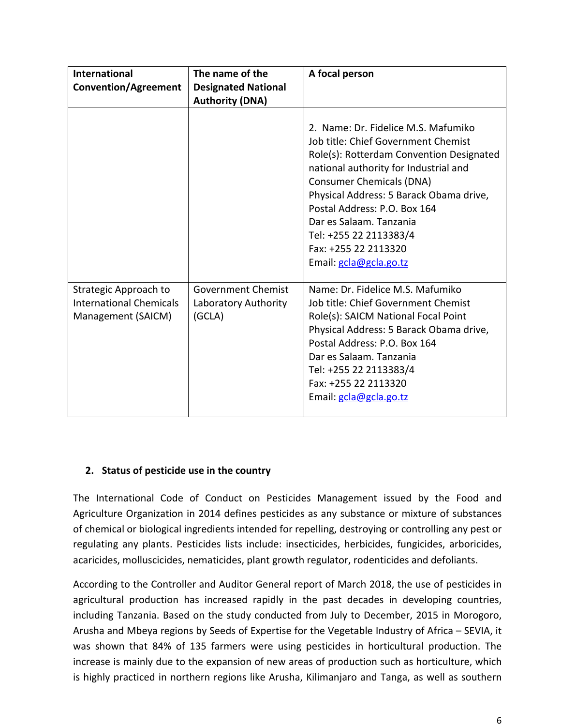| <b>International</b><br><b>Convention/Agreement</b>                           | The name of the<br><b>Designated National</b><br><b>Authority (DNA)</b> | A focal person                                                                                                                                                                                                                                                                                                                                                                       |
|-------------------------------------------------------------------------------|-------------------------------------------------------------------------|--------------------------------------------------------------------------------------------------------------------------------------------------------------------------------------------------------------------------------------------------------------------------------------------------------------------------------------------------------------------------------------|
|                                                                               |                                                                         | 2. Name: Dr. Fidelice M.S. Mafumiko<br>Job title: Chief Government Chemist<br>Role(s): Rotterdam Convention Designated<br>national authority for Industrial and<br><b>Consumer Chemicals (DNA)</b><br>Physical Address: 5 Barack Obama drive,<br>Postal Address: P.O. Box 164<br>Dar es Salaam. Tanzania<br>Tel: +255 22 2113383/4<br>Fax: +255 22 2113320<br>Email: gcla@gcla.go.tz |
| Strategic Approach to<br><b>International Chemicals</b><br>Management (SAICM) | <b>Government Chemist</b><br>Laboratory Authority<br>(GCLA)             | Name: Dr. Fidelice M.S. Mafumiko<br>Job title: Chief Government Chemist<br>Role(s): SAICM National Focal Point<br>Physical Address: 5 Barack Obama drive,<br>Postal Address: P.O. Box 164<br>Dar es Salaam. Tanzania<br>Tel: +255 22 2113383/4<br>Fax: +255 22 2113320<br>Email: gcla@gcla.go.tz                                                                                     |

#### **2. Status of pesticide use in the country**

The International Code of Conduct on Pesticides Management issued by the Food and Agriculture Organization in 2014 defines pesticides as any substance or mixture of substances of chemical or biological ingredients intended for repelling, destroying or controlling any pest or regulating any plants. Pesticides lists include: insecticides, herbicides, fungicides, arboricides, acaricides, molluscicides, nematicides, plant growth regulator, rodenticides and defoliants.

According to the Controller and Auditor General report of March 2018, the use of pesticides in agricultural production has increased rapidly in the past decades in developing countries, including Tanzania. Based on the study conducted from July to December, 2015 in Morogoro, Arusha and Mbeya regions by Seeds of Expertise for the Vegetable Industry of Africa – SEVIA, it was shown that 84% of 135 farmers were using pesticides in horticultural production. The increase is mainly due to the expansion of new areas of production such as horticulture, which is highly practiced in northern regions like Arusha, Kilimanjaro and Tanga, as well as southern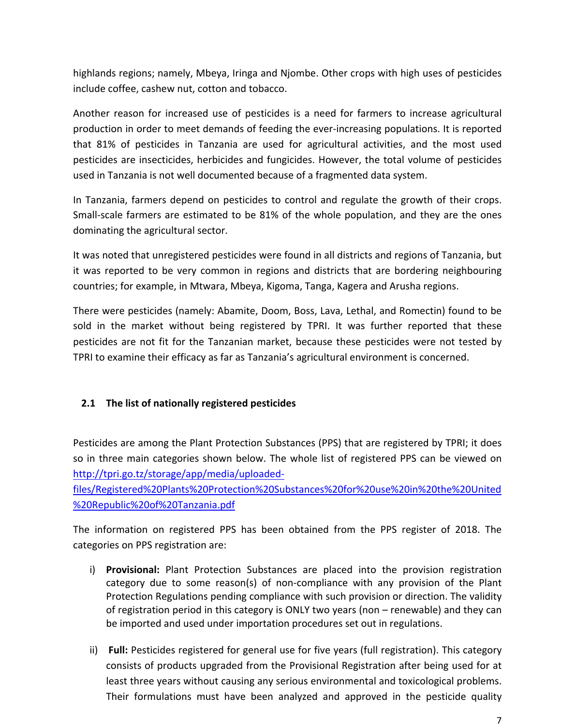highlands regions; namely, Mbeya, Iringa and Njombe. Other crops with high uses of pesticides include coffee, cashew nut, cotton and tobacco.

Another reason for increased use of pesticides is a need for farmers to increase agricultural production in order to meet demands of feeding the ever-increasing populations. It is reported that 81% of pesticides in Tanzania are used for agricultural activities, and the most used pesticides are insecticides, herbicides and fungicides. However, the total volume of pesticides used in Tanzania is not well documented because of a fragmented data system.

In Tanzania, farmers depend on pesticides to control and regulate the growth of their crops. Small-scale farmers are estimated to be 81% of the whole population, and they are the ones dominating the agricultural sector.

It was noted that unregistered pesticides were found in all districts and regions of Tanzania, but it was reported to be very common in regions and districts that are bordering neighbouring countries; for example, in Mtwara, Mbeya, Kigoma, Tanga, Kagera and Arusha regions.

There were pesticides (namely: Abamite, Doom, Boss, Lava, Lethal, and Romectin) found to be sold in the market without being registered by TPRI. It was further reported that these pesticides are not fit for the Tanzanian market, because these pesticides were not tested by TPRI to examine their efficacy as far as Tanzania's agricultural environment is concerned.

#### **2.1 The list of nationally registered pesticides**

Pesticides are among the Plant Protection Substances (PPS) that are registered by TPRI; it does so in three main categories shown below. The whole list of registered PPS can be viewed on http://tpri.go.tz/storage/app/media/uploaded-

files/Registered%20Plants%20Protection%20Substances%20for%20use%20in%20the%20United %20Republic%20of%20Tanzania.pdf

The information on registered PPS has been obtained from the PPS register of 2018. The categories on PPS registration are:

- i) **Provisional:** Plant Protection Substances are placed into the provision registration category due to some reason(s) of non-compliance with any provision of the Plant Protection Regulations pending compliance with such provision or direction. The validity of registration period in this category is ONLY two years (non – renewable) and they can be imported and used under importation procedures set out in regulations.
- ii) **Full:** Pesticides registered for general use for five years (full registration). This category consists of products upgraded from the Provisional Registration after being used for at least three years without causing any serious environmental and toxicological problems. Their formulations must have been analyzed and approved in the pesticide quality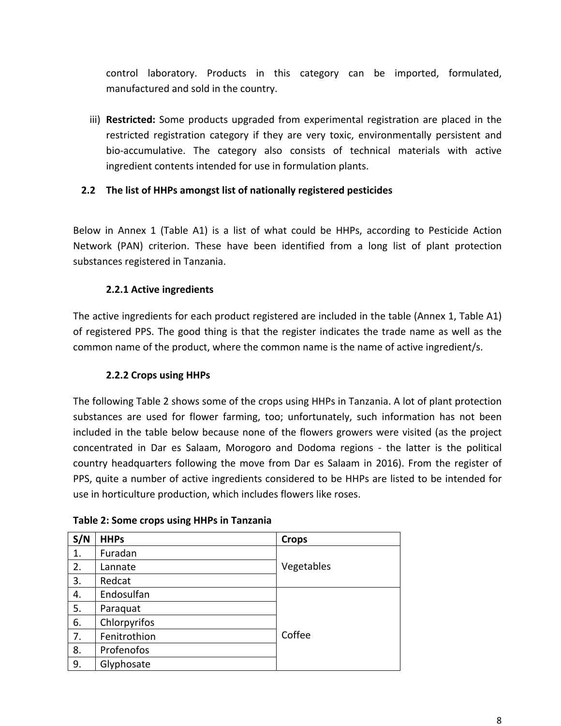control laboratory. Products in this category can be imported, formulated, manufactured and sold in the country.

iii) **Restricted:** Some products upgraded from experimental registration are placed in the restricted registration category if they are very toxic, environmentally persistent and bio-accumulative. The category also consists of technical materials with active ingredient contents intended for use in formulation plants.

# **2.2 The list of HHPs amongst list of nationally registered pesticides**

Below in Annex 1 (Table A1) is a list of what could be HHPs, according to Pesticide Action Network (PAN) criterion. These have been identified from a long list of plant protection substances registered in Tanzania.

# **2.2.1 Active ingredients**

The active ingredients for each product registered are included in the table (Annex 1, Table A1) of registered PPS. The good thing is that the register indicates the trade name as well as the common name of the product, where the common name is the name of active ingredient/s.

# **2.2.2 Crops using HHPs**

The following Table 2 shows some of the crops using HHPs in Tanzania. A lot of plant protection substances are used for flower farming, too; unfortunately, such information has not been included in the table below because none of the flowers growers were visited (as the project concentrated in Dar es Salaam, Morogoro and Dodoma regions - the latter is the political country headquarters following the move from Dar es Salaam in 2016). From the register of PPS, quite a number of active ingredients considered to be HHPs are listed to be intended for use in horticulture production, which includes flowers like roses.

| S/N | <b>HHPs</b>           | <b>Crops</b> |  |  |
|-----|-----------------------|--------------|--|--|
| 1.  | Furadan               |              |  |  |
| 2.  | Vegetables<br>Lannate |              |  |  |
| 3.  | Redcat                |              |  |  |
| 4.  | Endosulfan            |              |  |  |
| 5.  | Paraquat              |              |  |  |
| 6.  | Chlorpyrifos          |              |  |  |
| 7.  | Fenitrothion          | Coffee       |  |  |
| 8.  | Profenofos            |              |  |  |
| 9.  | Glyphosate            |              |  |  |

**Table 2: Some crops using HHPs in Tanzania**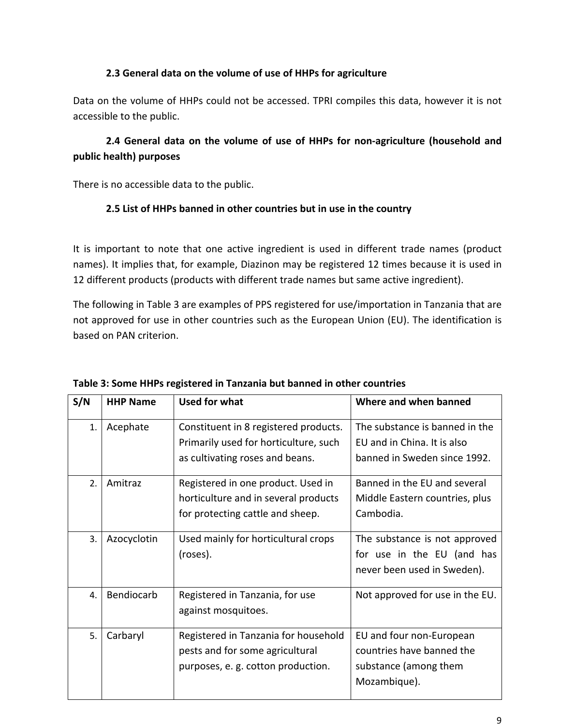## **2.3 General data on the volume of use of HHPs for agriculture**

Data on the volume of HHPs could not be accessed. TPRI compiles this data, however it is not accessible to the public.

# **2.4 General data on the volume of use of HHPs for non-agriculture (household and public health) purposes**

There is no accessible data to the public.

## **2.5 List of HHPs banned in other countries but in use in the country**

It is important to note that one active ingredient is used in different trade names (product names). It implies that, for example, Diazinon may be registered 12 times because it is used in 12 different products (products with different trade names but same active ingredient).

The following in Table 3 are examples of PPS registered for use/importation in Tanzania that are not approved for use in other countries such as the European Union (EU). The identification is based on PAN criterion.

| S/N | <b>HHP Name</b> | <b>Used for what</b>                  | Where and when banned           |
|-----|-----------------|---------------------------------------|---------------------------------|
| 1.  | Acephate        | Constituent in 8 registered products. | The substance is banned in the  |
|     |                 | Primarily used for horticulture, such | EU and in China. It is also     |
|     |                 | as cultivating roses and beans.       | banned in Sweden since 1992.    |
| 2.  | Amitraz         | Registered in one product. Used in    | Banned in the EU and several    |
|     |                 | horticulture and in several products  | Middle Eastern countries, plus  |
|     |                 | for protecting cattle and sheep.      | Cambodia.                       |
| 3.  | Azocyclotin     | Used mainly for horticultural crops   | The substance is not approved   |
|     |                 | (roses).                              | for use in the EU (and has      |
|     |                 |                                       | never been used in Sweden).     |
| 4.  | Bendiocarb      | Registered in Tanzania, for use       | Not approved for use in the EU. |
|     |                 | against mosquitoes.                   |                                 |
| 5.  | Carbaryl        | Registered in Tanzania for household  | EU and four non-European        |
|     |                 | pests and for some agricultural       | countries have banned the       |
|     |                 | purposes, e.g. cotton production.     | substance (among them           |
|     |                 |                                       | Mozambique).                    |
|     |                 |                                       |                                 |

|  | Table 3: Some HHPs registered in Tanzania but banned in other countries |
|--|-------------------------------------------------------------------------|
|--|-------------------------------------------------------------------------|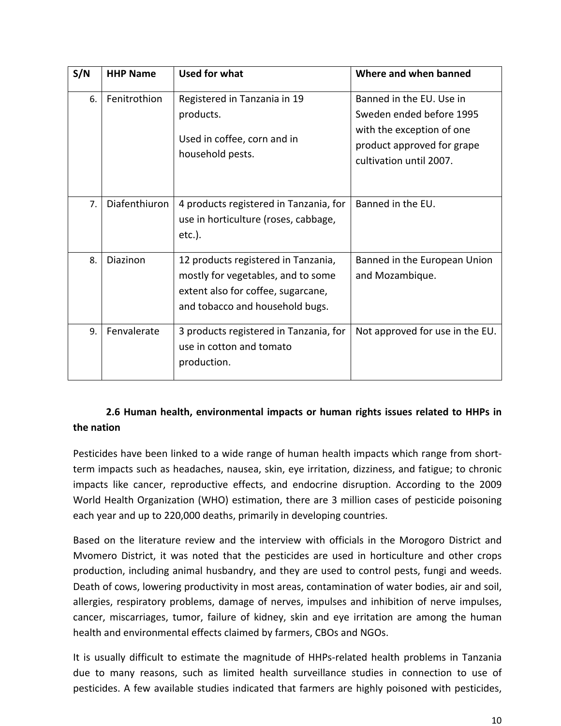| S/N | <b>HHP Name</b> | <b>Used for what</b>                                                                                                                               | Where and when banned                                                                                                                      |
|-----|-----------------|----------------------------------------------------------------------------------------------------------------------------------------------------|--------------------------------------------------------------------------------------------------------------------------------------------|
| 6.  | Fenitrothion    | Registered in Tanzania in 19<br>products.<br>Used in coffee, corn and in<br>household pests.                                                       | Banned in the EU. Use in<br>Sweden ended before 1995<br>with the exception of one<br>product approved for grape<br>cultivation until 2007. |
| 7.  | Diafenthiuron   | 4 products registered in Tanzania, for<br>use in horticulture (roses, cabbage,<br>$etc.$ ).                                                        | Banned in the EU.                                                                                                                          |
| 8.  | Diazinon        | 12 products registered in Tanzania,<br>mostly for vegetables, and to some<br>extent also for coffee, sugarcane,<br>and tobacco and household bugs. | Banned in the European Union<br>and Mozambique.                                                                                            |
| 9.  | Fenvalerate     | 3 products registered in Tanzania, for<br>use in cotton and tomato<br>production.                                                                  | Not approved for use in the EU.                                                                                                            |

# **2.6 Human health, environmental impacts or human rights issues related to HHPs in the nation**

Pesticides have been linked to a wide range of human health impacts which range from shortterm impacts such as headaches, nausea, skin, eye irritation, dizziness, and fatigue; to chronic impacts like cancer, reproductive effects, and endocrine disruption. According to the 2009 World Health Organization (WHO) estimation, there are 3 million cases of pesticide poisoning each year and up to 220,000 deaths, primarily in developing countries.

Based on the literature review and the interview with officials in the Morogoro District and Mvomero District, it was noted that the pesticides are used in horticulture and other crops production, including animal husbandry, and they are used to control pests, fungi and weeds. Death of cows, lowering productivity in most areas, contamination of water bodies, air and soil, allergies, respiratory problems, damage of nerves, impulses and inhibition of nerve impulses, cancer, miscarriages, tumor, failure of kidney, skin and eye irritation are among the human health and environmental effects claimed by farmers, CBOs and NGOs.

It is usually difficult to estimate the magnitude of HHPs-related health problems in Tanzania due to many reasons, such as limited health surveillance studies in connection to use of pesticides. A few available studies indicated that farmers are highly poisoned with pesticides,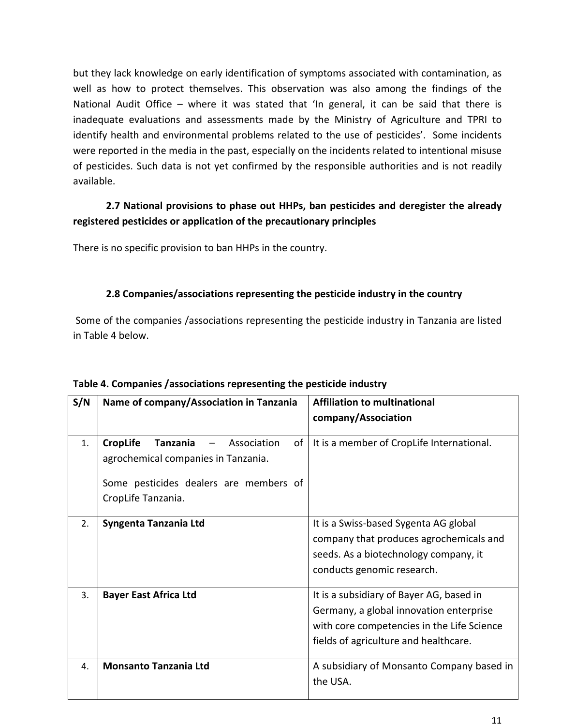but they lack knowledge on early identification of symptoms associated with contamination, as well as how to protect themselves. This observation was also among the findings of the National Audit Office – where it was stated that 'In general, it can be said that there is inadequate evaluations and assessments made by the Ministry of Agriculture and TPRI to identify health and environmental problems related to the use of pesticides'. Some incidents were reported in the media in the past, especially on the incidents related to intentional misuse of pesticides. Such data is not yet confirmed by the responsible authorities and is not readily available.

# **2.7 National provisions to phase out HHPs, ban pesticides and deregister the already registered pesticides or application of the precautionary principles**

There is no specific provision to ban HHPs in the country.

## **2.8 Companies/associations representing the pesticide industry in the country**

Some of the companies /associations representing the pesticide industry in Tanzania are listed in Table 4 below.

| S/N | Name of company/Association in Tanzania                                                                                                                        | <b>Affiliation to multinational</b><br>company/Association                                                                                                                 |
|-----|----------------------------------------------------------------------------------------------------------------------------------------------------------------|----------------------------------------------------------------------------------------------------------------------------------------------------------------------------|
| 1.  | <b>CropLife</b><br><b>Tanzania</b><br>Association<br>of<br>agrochemical companies in Tanzania.<br>Some pesticides dealers are members of<br>CropLife Tanzania. | It is a member of CropLife International.                                                                                                                                  |
| 2.  | Syngenta Tanzania Ltd                                                                                                                                          | It is a Swiss-based Sygenta AG global<br>company that produces agrochemicals and<br>seeds. As a biotechnology company, it<br>conducts genomic research.                    |
| 3.  | <b>Bayer East Africa Ltd</b>                                                                                                                                   | It is a subsidiary of Bayer AG, based in<br>Germany, a global innovation enterprise<br>with core competencies in the Life Science<br>fields of agriculture and healthcare. |
| 4.  | <b>Monsanto Tanzania Ltd</b>                                                                                                                                   | A subsidiary of Monsanto Company based in<br>the USA.                                                                                                                      |

**Table 4. Companies /associations representing the pesticide industry**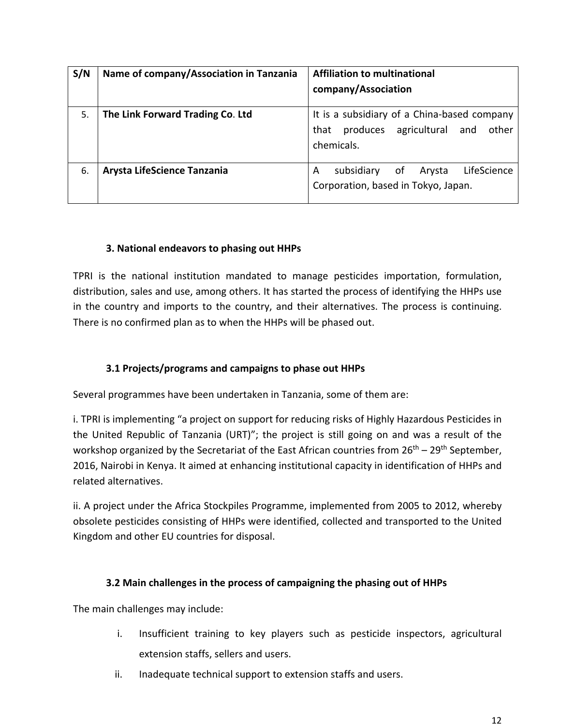| S/N | Name of company/Association in Tanzania | <b>Affiliation to multinational</b><br>company/Association                                                    |
|-----|-----------------------------------------|---------------------------------------------------------------------------------------------------------------|
| 5.  | The Link Forward Trading Co. Ltd        | It is a subsidiary of a China-based company<br>agricultural<br>produces<br>other<br>that<br>and<br>chemicals. |
| 6.  | Arysta LifeScience Tanzania             | LifeScience<br>subsidiary<br>οf<br>Arysta<br>А<br>Corporation, based in Tokyo, Japan.                         |

## **3. National endeavors to phasing out HHPs**

TPRI is the national institution mandated to manage pesticides importation, formulation, distribution, sales and use, among others. It has started the process of identifying the HHPs use in the country and imports to the country, and their alternatives. The process is continuing. There is no confirmed plan as to when the HHPs will be phased out.

## **3.1 Projects/programs and campaigns to phase out HHPs**

Several programmes have been undertaken in Tanzania, some of them are:

i. TPRI is implementing "a project on support for reducing risks of Highly Hazardous Pesticides in the United Republic of Tanzania (URT)"; the project is still going on and was a result of the workshop organized by the Secretariat of the East African countries from 26<sup>th</sup> – 29<sup>th</sup> September, 2016, Nairobi in Kenya. It aimed at enhancing institutional capacity in identification of HHPs and related alternatives.

ii. A project under the Africa Stockpiles Programme, implemented from 2005 to 2012, whereby obsolete pesticides consisting of HHPs were identified, collected and transported to the United Kingdom and other EU countries for disposal.

#### **3.2 Main challenges in the process of campaigning the phasing out of HHPs**

The main challenges may include:

- i. Insufficient training to key players such as pesticide inspectors, agricultural extension staffs, sellers and users.
- ii. Inadequate technical support to extension staffs and users.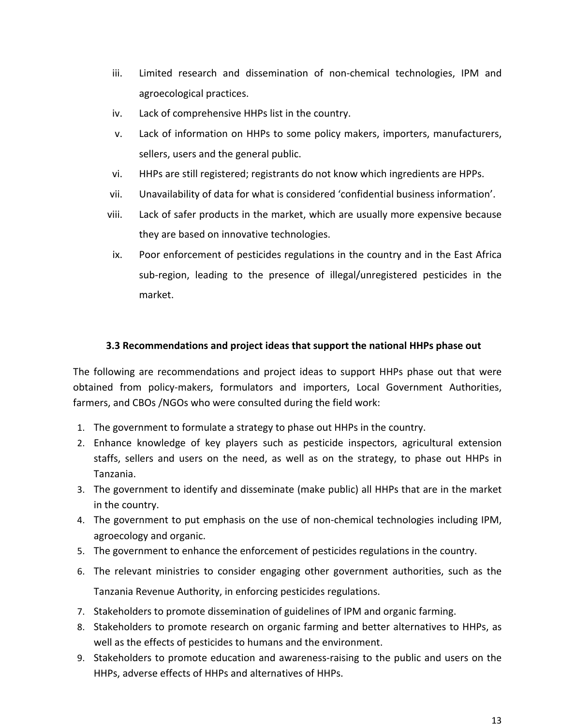- iii. Limited research and dissemination of non-chemical technologies, IPM and agroecological practices.
- iv. Lack of comprehensive HHPs list in the country.
- v. Lack of information on HHPs to some policy makers, importers, manufacturers, sellers, users and the general public.
- vi. HHPs are still registered; registrants do not know which ingredients are HPPs.
- vii. Unavailability of data for what is considered 'confidential business information'.
- viii. Lack of safer products in the market, which are usually more expensive because they are based on innovative technologies.
- ix. Poor enforcement of pesticides regulations in the country and in the East Africa sub-region, leading to the presence of illegal/unregistered pesticides in the market.

#### **3.3 Recommendations and project ideas that support the national HHPs phase out**

The following are recommendations and project ideas to support HHPs phase out that were obtained from policy-makers, formulators and importers, Local Government Authorities, farmers, and CBOs /NGOs who were consulted during the field work:

- 1. The government to formulate a strategy to phase out HHPs in the country.
- 2. Enhance knowledge of key players such as pesticide inspectors, agricultural extension staffs, sellers and users on the need, as well as on the strategy, to phase out HHPs in Tanzania.
- 3. The government to identify and disseminate (make public) all HHPs that are in the market in the country.
- 4. The government to put emphasis on the use of non-chemical technologies including IPM, agroecology and organic.
- 5. The government to enhance the enforcement of pesticides regulations in the country.
- 6. The relevant ministries to consider engaging other government authorities, such as the Tanzania Revenue Authority, in enforcing pesticides regulations.
- 7. Stakeholders to promote dissemination of guidelines of IPM and organic farming.
- 8. Stakeholders to promote research on organic farming and better alternatives to HHPs, as well as the effects of pesticides to humans and the environment.
- 9. Stakeholders to promote education and awareness-raising to the public and users on the HHPs, adverse effects of HHPs and alternatives of HHPs.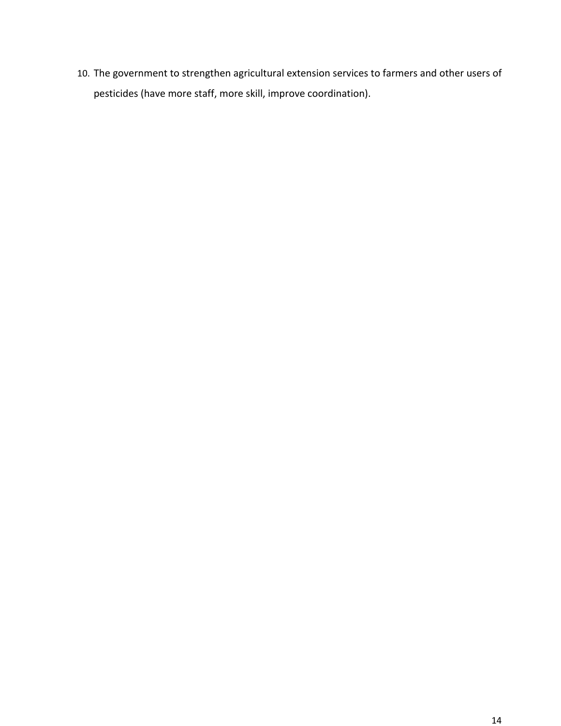10. The government to strengthen agricultural extension services to farmers and other users of pesticides (have more staff, more skill, improve coordination).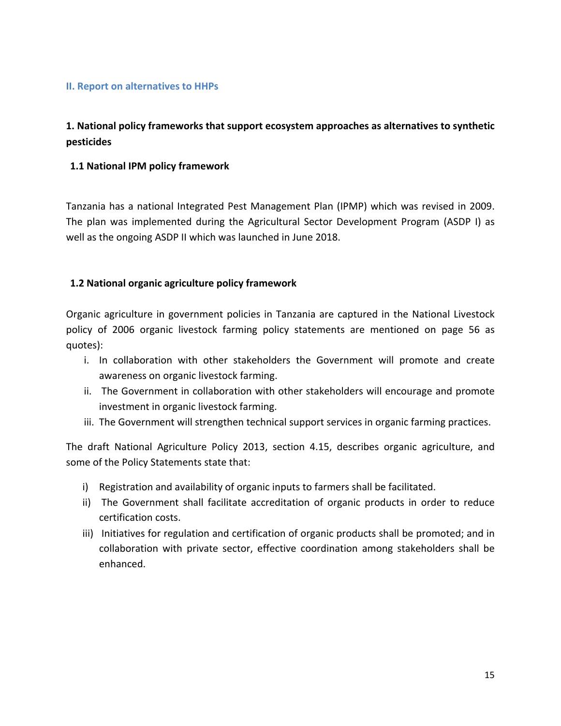#### **II. Report on alternatives to HHPs**

# **1. National policy frameworks that support ecosystem approaches as alternatives to synthetic pesticides**

#### **1.1 National IPM policy framework**

Tanzania has a national Integrated Pest Management Plan (IPMP) which was revised in 2009. The plan was implemented during the Agricultural Sector Development Program (ASDP I) as well as the ongoing ASDP II which was launched in June 2018.

#### **1.2 National organic agriculture policy framework**

Organic agriculture in government policies in Tanzania are captured in the National Livestock policy of 2006 organic livestock farming policy statements are mentioned on page 56 as quotes):

- i. In collaboration with other stakeholders the Government will promote and create awareness on organic livestock farming.
- ii. The Government in collaboration with other stakeholders will encourage and promote investment in organic livestock farming.
- iii. The Government will strengthen technical support services in organic farming practices.

The draft National Agriculture Policy 2013, section 4.15, describes organic agriculture, and some of the Policy Statements state that:

- i) Registration and availability of organic inputs to farmers shall be facilitated.
- ii) The Government shall facilitate accreditation of organic products in order to reduce certification costs.
- iii) Initiatives for regulation and certification of organic products shall be promoted; and in collaboration with private sector, effective coordination among stakeholders shall be enhanced.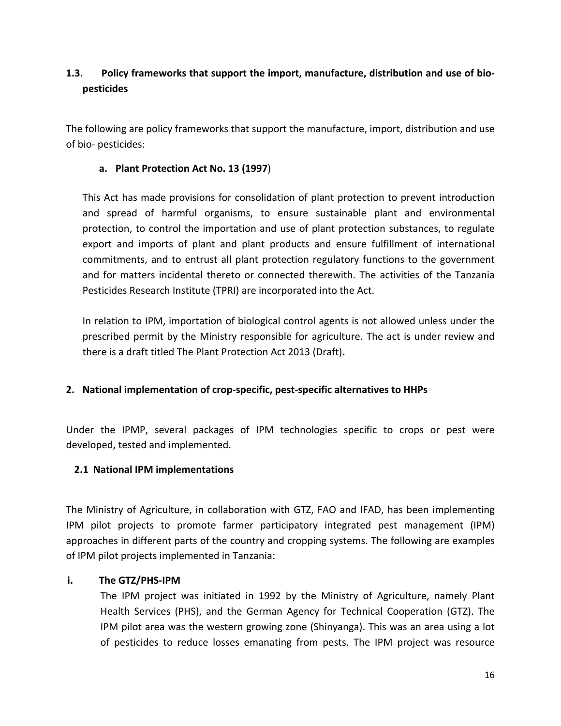# **1.3. Policy frameworks that support the import, manufacture, distribution and use of biopesticides**

The following are policy frameworks that support the manufacture, import, distribution and use of bio- pesticides:

#### **a. Plant Protection Act No. 13 (1997**)

This Act has made provisions for consolidation of plant protection to prevent introduction and spread of harmful organisms, to ensure sustainable plant and environmental protection, to control the importation and use of plant protection substances, to regulate export and imports of plant and plant products and ensure fulfillment of international commitments, and to entrust all plant protection regulatory functions to the government and for matters incidental thereto or connected therewith. The activities of the Tanzania Pesticides Research Institute (TPRI) are incorporated into the Act.

In relation to IPM, importation of biological control agents is not allowed unless under the prescribed permit by the Ministry responsible for agriculture. The act is under review and there is a draft titled The Plant Protection Act 2013 (Draft)**.**

#### **2. National implementation of crop-specific, pest-specific alternatives to HHPs**

Under the IPMP, several packages of IPM technologies specific to crops or pest were developed, tested and implemented.

#### **2.1 National IPM implementations**

The Ministry of Agriculture, in collaboration with GTZ, FAO and IFAD, has been implementing IPM pilot projects to promote farmer participatory integrated pest management (IPM) approaches in different parts of the country and cropping systems. The following are examples of IPM pilot projects implemented in Tanzania:

#### **i. The GTZ/PHS-IPM**

The IPM project was initiated in 1992 by the Ministry of Agriculture, namely Plant Health Services (PHS), and the German Agency for Technical Cooperation (GTZ). The IPM pilot area was the western growing zone (Shinyanga). This was an area using a lot of pesticides to reduce losses emanating from pests. The IPM project was resource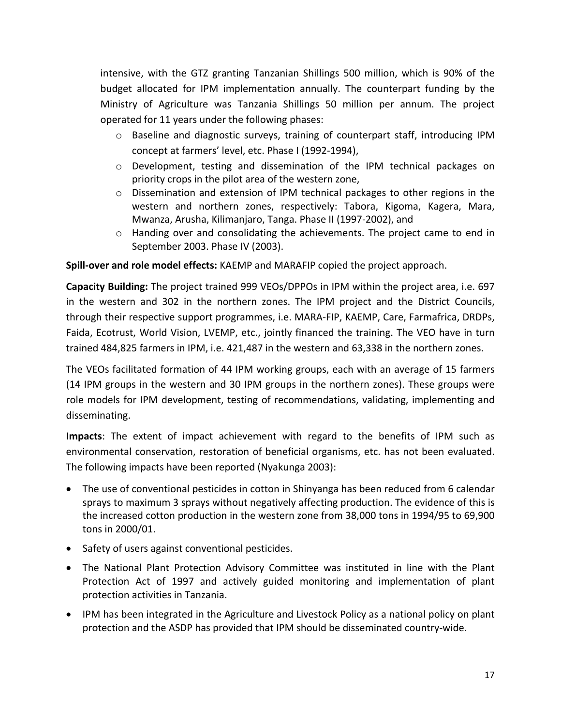intensive, with the GTZ granting Tanzanian Shillings 500 million, which is 90% of the budget allocated for IPM implementation annually. The counterpart funding by the Ministry of Agriculture was Tanzania Shillings 50 million per annum. The project operated for 11 years under the following phases:

- o Baseline and diagnostic surveys, training of counterpart staff, introducing IPM concept at farmers' level, etc. Phase I (1992-1994),
- o Development, testing and dissemination of the IPM technical packages on priority crops in the pilot area of the western zone,
- $\circ$  Dissemination and extension of IPM technical packages to other regions in the western and northern zones, respectively: Tabora, Kigoma, Kagera, Mara, Mwanza, Arusha, Kilimanjaro, Tanga. Phase II (1997-2002), and
- $\circ$  Handing over and consolidating the achievements. The project came to end in September 2003. Phase IV (2003).

**Spill-over and role model effects:** KAEMP and MARAFIP copied the project approach.

**Capacity Building:** The project trained 999 VEOs/DPPOs in IPM within the project area, i.e. 697 in the western and 302 in the northern zones. The IPM project and the District Councils, through their respective support programmes, i.e. MARA-FIP, KAEMP, Care, Farmafrica, DRDPs, Faida, Ecotrust, World Vision, LVEMP, etc., jointly financed the training. The VEO have in turn trained 484,825 farmers in IPM, i.e. 421,487 in the western and 63,338 in the northern zones.

The VEOs facilitated formation of 44 IPM working groups, each with an average of 15 farmers (14 IPM groups in the western and 30 IPM groups in the northern zones). These groups were role models for IPM development, testing of recommendations, validating, implementing and disseminating.

**Impacts**: The extent of impact achievement with regard to the benefits of IPM such as environmental conservation, restoration of beneficial organisms, etc. has not been evaluated. The following impacts have been reported (Nyakunga 2003):

- The use of conventional pesticides in cotton in Shinyanga has been reduced from 6 calendar sprays to maximum 3 sprays without negatively affecting production. The evidence of this is the increased cotton production in the western zone from 38,000 tons in 1994/95 to 69,900 tons in 2000/01.
- Safety of users against conventional pesticides.
- The National Plant Protection Advisory Committee was instituted in line with the Plant Protection Act of 1997 and actively guided monitoring and implementation of plant protection activities in Tanzania.
- IPM has been integrated in the Agriculture and Livestock Policy as a national policy on plant protection and the ASDP has provided that IPM should be disseminated country-wide.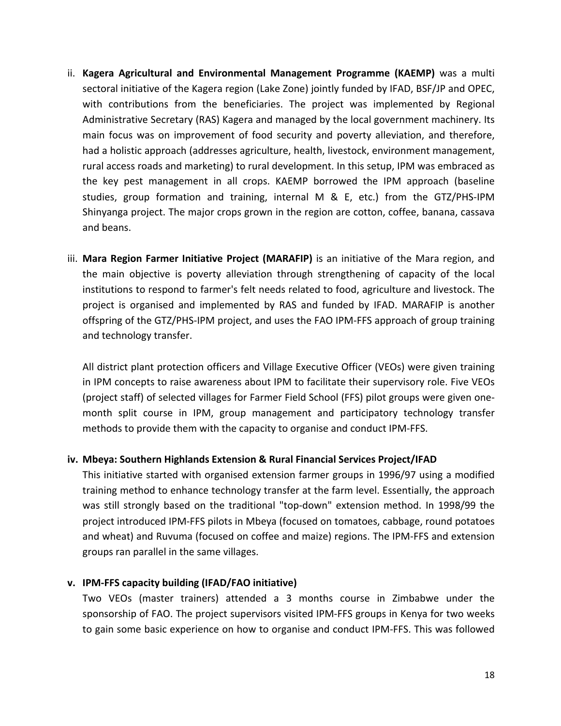- ii. **Kagera Agricultural and Environmental Management Programme (KAEMP)** was a multi sectoral initiative of the Kagera region (Lake Zone) jointly funded by IFAD, BSF/JP and OPEC, with contributions from the beneficiaries. The project was implemented by Regional Administrative Secretary (RAS) Kagera and managed by the local government machinery. Its main focus was on improvement of food security and poverty alleviation, and therefore, had a holistic approach (addresses agriculture, health, livestock, environment management, rural access roads and marketing) to rural development. In this setup, IPM was embraced as the key pest management in all crops. KAEMP borrowed the IPM approach (baseline studies, group formation and training, internal M & E, etc.) from the GTZ/PHS-IPM Shinyanga project. The major crops grown in the region are cotton, coffee, banana, cassava and beans.
- iii. **Mara Region Farmer Initiative Project (MARAFIP)** is an initiative of the Mara region, and the main objective is poverty alleviation through strengthening of capacity of the local institutions to respond to farmer's felt needs related to food, agriculture and livestock. The project is organised and implemented by RAS and funded by IFAD. MARAFIP is another offspring of the GTZ/PHS-IPM project, and uses the FAO IPM-FFS approach of group training and technology transfer.

All district plant protection officers and Village Executive Officer (VEOs) were given training in IPM concepts to raise awareness about IPM to facilitate their supervisory role. Five VEOs (project staff) of selected villages for Farmer Field School (FFS) pilot groups were given onemonth split course in IPM, group management and participatory technology transfer methods to provide them with the capacity to organise and conduct IPM-FFS.

#### **iv. Mbeya: Southern Highlands Extension & Rural Financial Services Project/IFAD**

This initiative started with organised extension farmer groups in 1996/97 using a modified training method to enhance technology transfer at the farm level. Essentially, the approach was still strongly based on the traditional "top-down" extension method. In 1998/99 the project introduced IPM-FFS pilots in Mbeya (focused on tomatoes, cabbage, round potatoes and wheat) and Ruvuma (focused on coffee and maize) regions. The IPM-FFS and extension groups ran parallel in the same villages.

#### **v. IPM-FFS capacity building (IFAD/FAO initiative)**

Two VEOs (master trainers) attended a 3 months course in Zimbabwe under the sponsorship of FAO. The project supervisors visited IPM-FFS groups in Kenya for two weeks to gain some basic experience on how to organise and conduct IPM-FFS. This was followed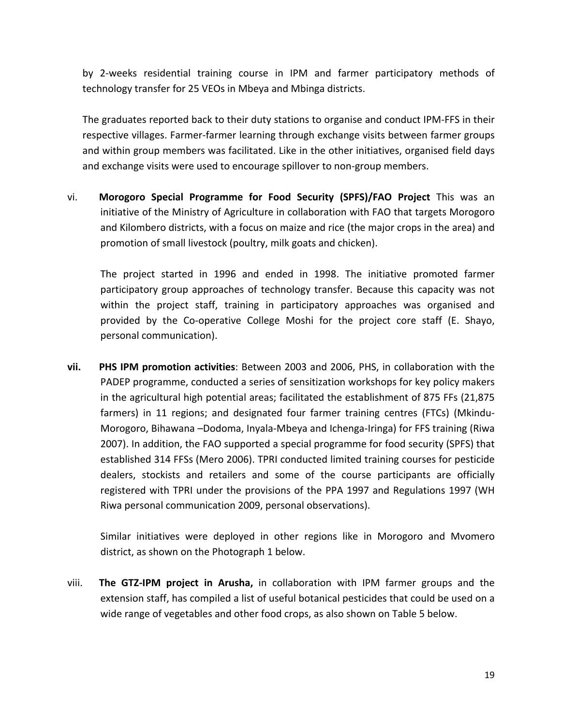by 2-weeks residential training course in IPM and farmer participatory methods of technology transfer for 25 VEOs in Mbeya and Mbinga districts.

The graduates reported back to their duty stations to organise and conduct IPM-FFS in their respective villages. Farmer-farmer learning through exchange visits between farmer groups and within group members was facilitated. Like in the other initiatives, organised field days and exchange visits were used to encourage spillover to non-group members.

vi. **Morogoro Special Programme for Food Security (SPFS)/FAO Project** This was an initiative of the Ministry of Agriculture in collaboration with FAO that targets Morogoro and Kilombero districts, with a focus on maize and rice (the major crops in the area) and promotion of small livestock (poultry, milk goats and chicken).

The project started in 1996 and ended in 1998. The initiative promoted farmer participatory group approaches of technology transfer. Because this capacity was not within the project staff, training in participatory approaches was organised and provided by the Co-operative College Moshi for the project core staff (E. Shayo, personal communication).

**vii. PHS IPM promotion activities**: Between 2003 and 2006, PHS, in collaboration with the PADEP programme, conducted a series of sensitization workshops for key policy makers in the agricultural high potential areas; facilitated the establishment of 875 FFs (21,875 farmers) in 11 regions; and designated four farmer training centres (FTCs) (Mkindu-Morogoro, Bihawana –Dodoma, Inyala-Mbeya and Ichenga-Iringa) for FFS training (Riwa 2007). In addition, the FAO supported a special programme for food security (SPFS) that established 314 FFSs (Mero 2006). TPRI conducted limited training courses for pesticide dealers, stockists and retailers and some of the course participants are officially registered with TPRI under the provisions of the PPA 1997 and Regulations 1997 (WH Riwa personal communication 2009, personal observations).

Similar initiatives were deployed in other regions like in Morogoro and Mvomero district, as shown on the Photograph 1 below.

viii. **The GTZ-IPM project in Arusha,** in collaboration with IPM farmer groups and the extension staff, has compiled a list of useful botanical pesticides that could be used on a wide range of vegetables and other food crops, as also shown on Table 5 below.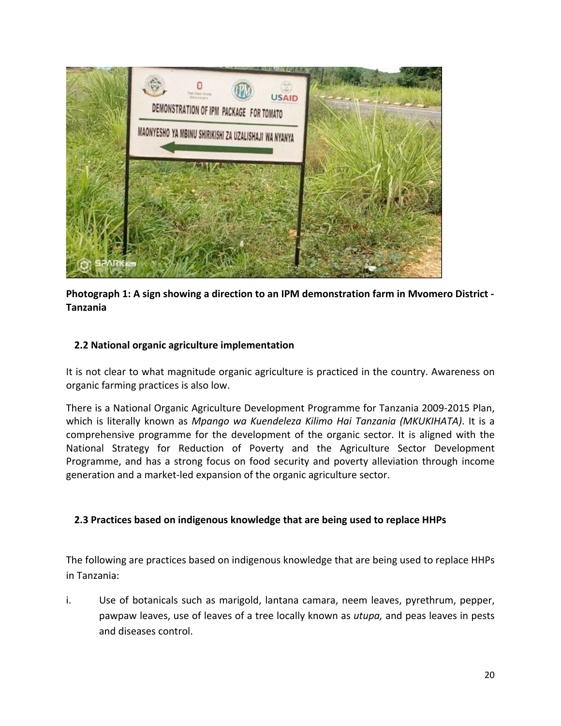

**Photograph 1: A sign showing a direction to an IPM demonstration farm in Mvomero District - Tanzania**

#### **2.2 National organic agriculture implementation**

It is not clear to what magnitude organic agriculture is practiced in the country. Awareness on organic farming practices is also low.

There is a National Organic Agriculture Development Programme for Tanzania 2009-2015 Plan, which is literally known as *Mpango wa Kuendeleza Kilimo Hai Tanzania (MKUKIHATA)*. It is a comprehensive programme for the development of the organic sector. It is aligned with the National Strategy for Reduction of Poverty and the Agriculture Sector Development Programme, and has a strong focus on food security and poverty alleviation through income generation and a market-led expansion of the organic agriculture sector.

#### **2.3 Practices based on indigenous knowledge that are being used to replace HHPs**

The following are practices based on indigenous knowledge that are being used to replace HHPs in Tanzania:

i. Use of botanicals such as marigold, lantana camara, neem leaves, pyrethrum, pepper, pawpaw leaves, use of leaves of a tree locally known as *utupa,* and peas leaves in pests and diseases control.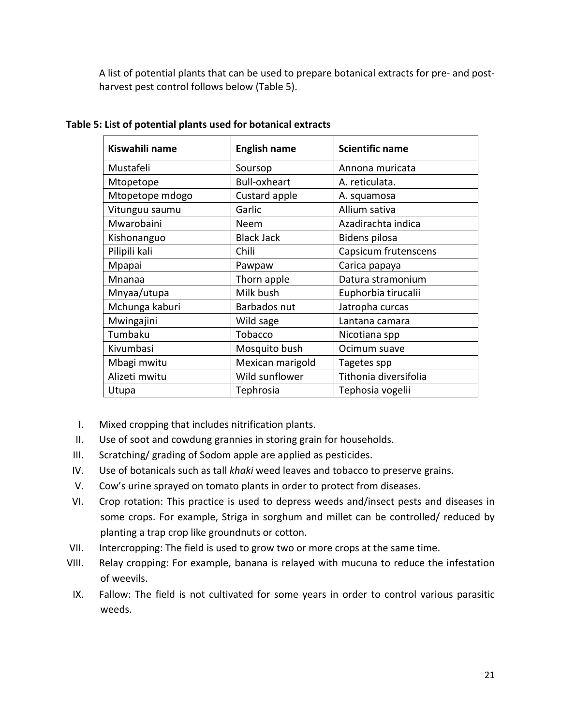A list of potential plants that can be used to prepare botanical extracts for pre- and postharvest pest control follows below (Table 5).

| Kiswahili name  | <b>English name</b> | <b>Scientific name</b> |
|-----------------|---------------------|------------------------|
| Mustafeli       | Soursop             | Annona muricata        |
| Mtopetope       | <b>Bull-oxheart</b> | A. reticulata.         |
| Mtopetope mdogo | Custard apple       | A. squamosa            |
| Vitunguu saumu  | Garlic              | Allium sativa          |
| Mwarobaini      | <b>Neem</b>         | Azadirachta indica     |
| Kishonanguo     | <b>Black Jack</b>   | Bidens pilosa          |
| Pilipili kali   | Chili               | Capsicum frutenscens   |
| Mpapai          | Pawpaw              | Carica papaya          |
| Mnanaa          | Thorn apple         | Datura stramonium      |
| Mnyaa/utupa     | Milk bush           | Euphorbia tirucalii    |
| Mchunga kaburi  | Barbados nut        | Jatropha curcas        |
| Mwingajini      | Wild sage           | Lantana camara         |
| Tumbaku         | Tobacco             | Nicotiana spp          |
| Kivumbasi       | Mosquito bush       | Ocimum suave           |
| Mbagi mwitu     | Mexican marigold    | Tagetes spp            |
| Alizeti mwitu   | Wild sunflower      | Tithonia diversifolia  |
| Utupa           | Tephrosia           | Tephosia vogelii       |

**Table 5: List of potential plants used for botanical extracts**

- I. Mixed cropping that includes nitrification plants.
- II. Use of soot and cowdung grannies in storing grain for households.
- III. Scratching/ grading of Sodom apple are applied as pesticides.
- IV. Use of botanicals such as tall *khaki* weed leaves and tobacco to preserve grains.
- V. Cow's urine sprayed on tomato plants in order to protect from diseases.
- VI. Crop rotation: This practice is used to depress weeds and/insect pests and diseases in some crops. For example, Striga in sorghum and millet can be controlled/ reduced by planting a trap crop like groundnuts or cotton.
- VII. Intercropping: The field is used to grow two or more crops at the same time.
- VIII. Relay cropping: For example, banana is relayed with mucuna to reduce the infestation of weevils.
	- IX. Fallow: The field is not cultivated for some years in order to control various parasitic weeds.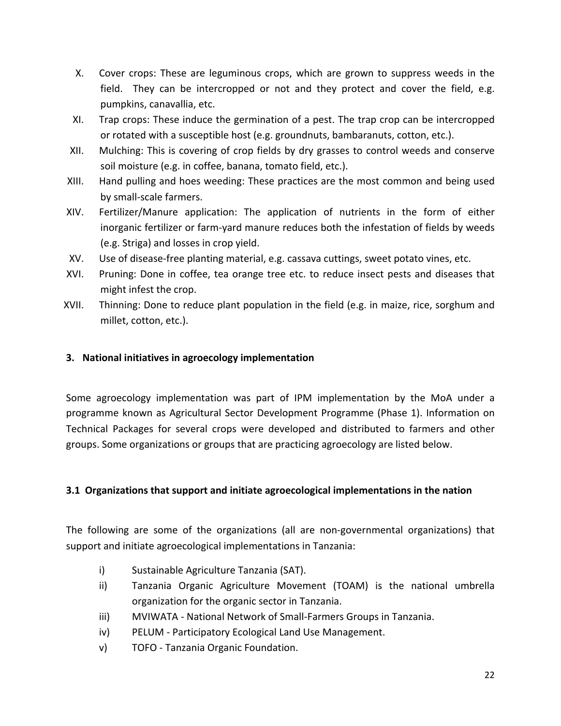- X. Cover crops: These are leguminous crops, which are grown to suppress weeds in the field. They can be intercropped or not and they protect and cover the field, e.g. pumpkins, canavallia, etc.
- XI. Trap crops: These induce the germination of a pest. The trap crop can be intercropped or rotated with a susceptible host (e.g. groundnuts, bambaranuts, cotton, etc.).
- XII. Mulching: This is covering of crop fields by dry grasses to control weeds and conserve soil moisture (e.g. in coffee, banana, tomato field, etc.).
- XIII. Hand pulling and hoes weeding: These practices are the most common and being used by small-scale farmers.
- XIV. Fertilizer/Manure application: The application of nutrients in the form of either inorganic fertilizer or farm-yard manure reduces both the infestation of fields by weeds (e.g. Striga) and losses in crop yield.
- XV. Use of disease-free planting material, e.g. cassava cuttings, sweet potato vines, etc.
- XVI. Pruning: Done in coffee, tea orange tree etc. to reduce insect pests and diseases that might infest the crop.
- XVII. Thinning: Done to reduce plant population in the field (e.g. in maize, rice, sorghum and millet, cotton, etc.).

## **3. National initiatives in agroecology implementation**

Some agroecology implementation was part of IPM implementation by the MoA under a programme known as Agricultural Sector Development Programme (Phase 1). Information on Technical Packages for several crops were developed and distributed to farmers and other groups. Some organizations or groups that are practicing agroecology are listed below.

#### **3.1 Organizations that support and initiate agroecological implementations in the nation**

The following are some of the organizations (all are non-governmental organizations) that support and initiate agroecological implementations in Tanzania:

- i) Sustainable Agriculture Tanzania (SAT).
- ii) Tanzania Organic Agriculture Movement (TOAM) is the national umbrella organization for the organic sector in Tanzania.
- iii) MVIWATA National Network of Small-Farmers Groups in Tanzania.
- iv) PELUM Participatory Ecological Land Use Management.
- v) TOFO Tanzania Organic Foundation.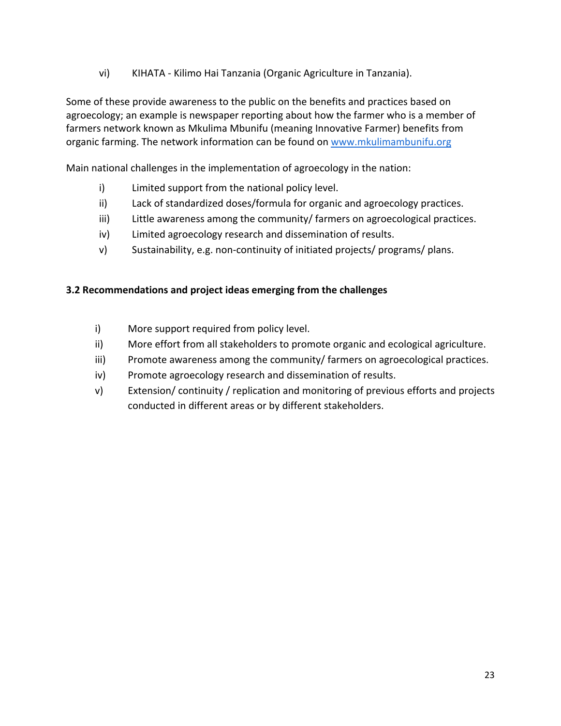vi) KIHATA - Kilimo Hai Tanzania (Organic Agriculture in Tanzania).

Some of these provide awareness to the public on the benefits and practices based on agroecology; an example is newspaper reporting about how the farmer who is a member of farmers network known as Mkulima Mbunifu (meaning Innovative Farmer) benefits from organic farming. The network information can be found on www.mkulimambunifu.org

Main national challenges in the implementation of agroecology in the nation:

- i) Limited support from the national policy level.
- ii) Lack of standardized doses/formula for organic and agroecology practices.
- iii) Little awareness among the community/ farmers on agroecological practices.
- iv) Limited agroecology research and dissemination of results.
- v) Sustainability, e.g. non-continuity of initiated projects/ programs/ plans.

## **3.2 Recommendations and project ideas emerging from the challenges**

- i) More support required from policy level.
- ii) More effort from all stakeholders to promote organic and ecological agriculture.
- iii) Promote awareness among the community/ farmers on agroecological practices.
- iv) Promote agroecology research and dissemination of results.
- v) Extension/ continuity / replication and monitoring of previous efforts and projects conducted in different areas or by different stakeholders.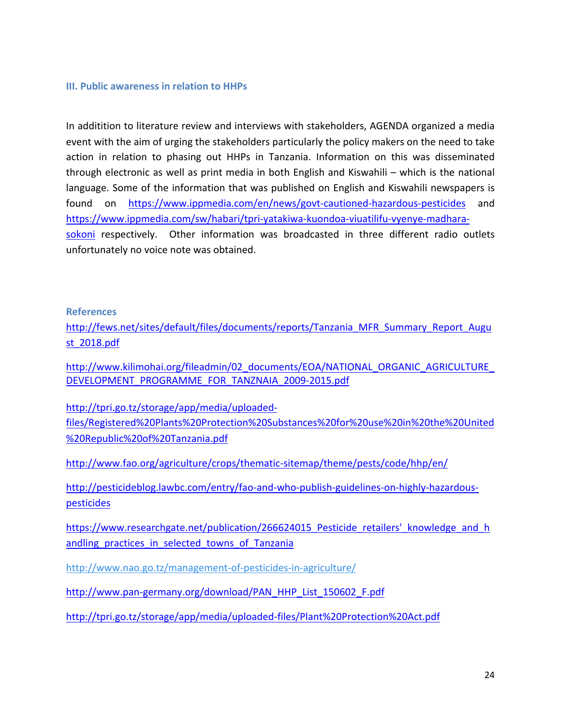#### **III. Public awareness in relation to HHPs**

In additition to literature review and interviews with stakeholders, AGENDA organized a media event with the aim of urging the stakeholders particularly the policy makers on the need to take action in relation to phasing out HHPs in Tanzania. Information on this was disseminated through electronic as well as print media in both English and Kiswahili – which is the national language. Some of the information that was published on English and Kiswahili newspapers is found on https://www.ippmedia.com/en/news/govt-cautioned-hazardous-pesticides and https://www.ippmedia.com/sw/habari/tpri-yatakiwa-kuondoa-viuatilifu-vyenye-madharasokoni respectively. Other information was broadcasted in three different radio outlets unfortunately no voice note was obtained.

#### **References**

http://fews.net/sites/default/files/documents/reports/Tanzania\_MFR\_Summary\_Report\_Augu st\_2018.pdf

http://www.kilimohai.org/fileadmin/02\_documents/EOA/NATIONAL\_ORGANIC\_AGRICULTURE DEVELOPMENT\_PROGRAMME\_FOR\_TANZNAIA\_2009-2015.pdf

http://tpri.go.tz/storage/app/media/uploadedfiles/Registered%20Plants%20Protection%20Substances%20for%20use%20in%20the%20United %20Republic%20of%20Tanzania.pdf

http://www.fao.org/agriculture/crops/thematic-sitemap/theme/pests/code/hhp/en/

http://pesticideblog.lawbc.com/entry/fao-and-who-publish-guidelines-on-highly-hazardouspesticides

https://www.researchgate.net/publication/266624015 Pesticide retailers' knowledge and h andling practices in selected towns of Tanzania

http://www.nao.go.tz/management-of-pesticides-in-agriculture/

http://www.pan-germany.org/download/PAN\_HHP\_List\_150602\_F.pdf

http://tpri.go.tz/storage/app/media/uploaded-files/Plant%20Protection%20Act.pdf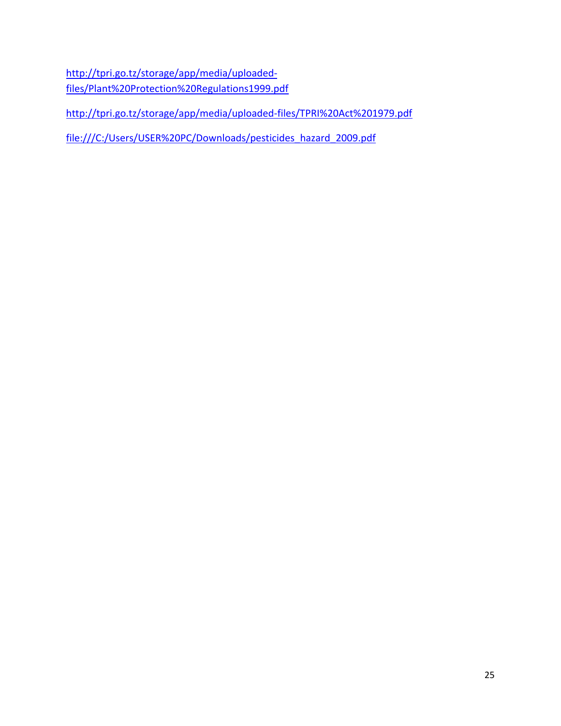http://tpri.go.tz/storage/app/media/uploadedfiles/Plant%20Protection%20Regulations1999.pdf

http://tpri.go.tz/storage/app/media/uploaded-files/TPRI%20Act%201979.pdf

file:///C:/Users/USER%20PC/Downloads/pesticides\_hazard\_2009.pdf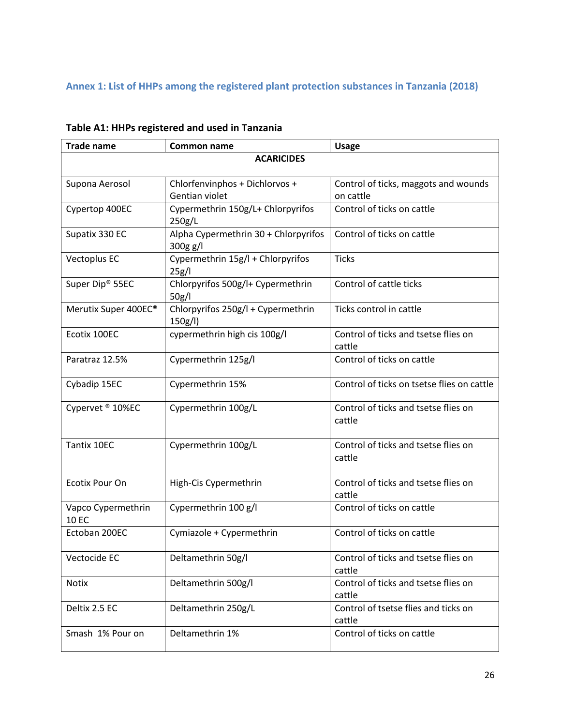# **Annex 1: List of HHPs among the registered plant protection substances in Tanzania (2018)**

| <b>Trade name</b>                  | Common name                                      | <b>Usage</b>                                      |  |
|------------------------------------|--------------------------------------------------|---------------------------------------------------|--|
| <b>ACARICIDES</b>                  |                                                  |                                                   |  |
| Supona Aerosol                     | Chlorfenvinphos + Dichlorvos +<br>Gentian violet | Control of ticks, maggots and wounds<br>on cattle |  |
| Cypertop 400EC                     | Cypermethrin 150g/L+ Chlorpyrifos<br>250g/L      | Control of ticks on cattle                        |  |
| Supatix 330 EC                     | Alpha Cypermethrin 30 + Chlorpyrifos<br>300g g/l | Control of ticks on cattle                        |  |
| Vectoplus EC                       | Cypermethrin 15g/l + Chlorpyrifos<br>25g/l       | <b>Ticks</b>                                      |  |
| Super Dip <sup>®</sup> 55EC        | Chlorpyrifos 500g/l+ Cypermethrin<br>50g/l       | Control of cattle ticks                           |  |
| Merutix Super 400EC®               | Chlorpyrifos 250g/l + Cypermethrin<br>150g/l)    | Ticks control in cattle                           |  |
| Ecotix 100EC                       | cypermethrin high cis 100g/l                     | Control of ticks and tsetse flies on<br>cattle    |  |
| Paratraz 12.5%                     | Cypermethrin 125g/l                              | Control of ticks on cattle                        |  |
| Cybadip 15EC                       | Cypermethrin 15%                                 | Control of ticks on tsetse flies on cattle        |  |
| Cypervet ® 10%EC                   | Cypermethrin 100g/L                              | Control of ticks and tsetse flies on<br>cattle    |  |
| Tantix 10EC                        | Cypermethrin 100g/L                              | Control of ticks and tsetse flies on<br>cattle    |  |
| <b>Ecotix Pour On</b>              | High-Cis Cypermethrin                            | Control of ticks and tsetse flies on<br>cattle    |  |
| Vapco Cypermethrin<br><b>10 EC</b> | Cypermethrin 100 g/l                             | Control of ticks on cattle                        |  |
| Ectoban 200EC                      | Cymiazole + Cypermethrin                         | Control of ticks on cattle                        |  |
| Vectocide EC                       | Deltamethrin 50g/l                               | Control of ticks and tsetse flies on<br>cattle    |  |
| <b>Notix</b>                       | Deltamethrin 500g/l                              | Control of ticks and tsetse flies on<br>cattle    |  |
| Deltix 2.5 EC                      | Deltamethrin 250g/L                              | Control of tsetse flies and ticks on<br>cattle    |  |
| Smash 1% Pour on                   | Deltamethrin 1%                                  | Control of ticks on cattle                        |  |

# **Table A1: HHPs registered and used in Tanzania**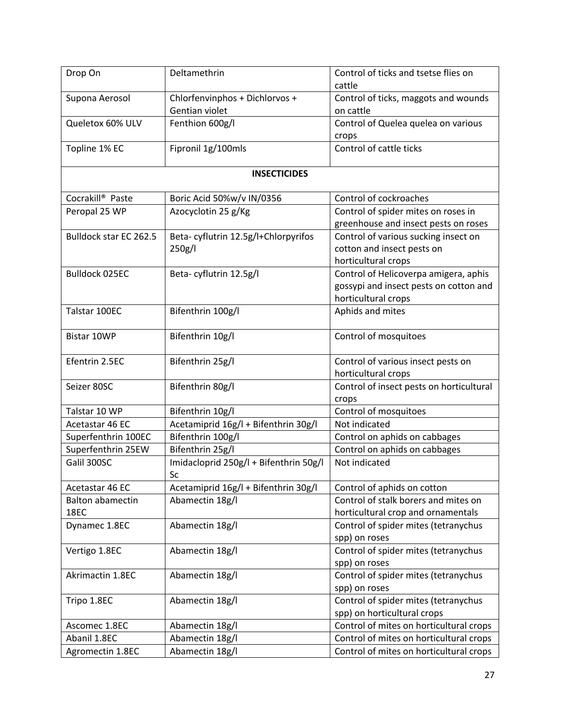| Drop On                      | Deltamethrin                                 | Control of ticks and tsetse flies on           |
|------------------------------|----------------------------------------------|------------------------------------------------|
|                              | Chlorfenvinphos + Dichlorvos +               | cattle<br>Control of ticks, maggots and wounds |
| Supona Aerosol               | Gentian violet                               | on cattle                                      |
| Queletox 60% ULV             | Fenthion 600g/l                              |                                                |
|                              |                                              | Control of Quelea quelea on various<br>crops   |
| Topline 1% EC                | Fipronil 1g/100mls                           | Control of cattle ticks                        |
|                              | <b>INSECTICIDES</b>                          |                                                |
| Cocrakill <sup>®</sup> Paste | Boric Acid 50%w/v IN/0356                    | Control of cockroaches                         |
| Peropal 25 WP                | Azocyclotin 25 g/Kg                          | Control of spider mites on roses in            |
|                              |                                              | greenhouse and insect pests on roses           |
| Bulldock star EC 262.5       | Beta-cyflutrin 12.5g/l+Chlorpyrifos          | Control of various sucking insect on           |
|                              | 250g/l                                       | cotton and insect pests on                     |
|                              |                                              | horticultural crops                            |
| <b>Bulldock 025EC</b>        | Beta-cyflutrin 12.5g/l                       | Control of Helicoverpa amigera, aphis          |
|                              |                                              | gossypi and insect pests on cotton and         |
|                              |                                              | horticultural crops                            |
| Talstar 100EC                | Bifenthrin 100g/l                            | Aphids and mites                               |
|                              |                                              |                                                |
| Bistar 10WP                  | Bifenthrin 10g/l                             | Control of mosquitoes                          |
| Efentrin 2.5EC               | Bifenthrin 25g/l                             | Control of various insect pests on             |
|                              |                                              | horticultural crops                            |
| Seizer 80SC                  | Bifenthrin 80g/l                             | Control of insect pests on horticultural       |
|                              |                                              | crops                                          |
| Talstar 10 WP                | Bifenthrin 10g/l                             | Control of mosquitoes                          |
| Acetastar 46 EC              | Acetamiprid 16g/l + Bifenthrin 30g/l         | Not indicated                                  |
| Superfenthrin 100EC          | Bifenthrin 100g/l                            | Control on aphids on cabbages                  |
| Superfenthrin 25EW           | Bifenthrin 25g/l                             | Control on aphids on cabbages                  |
| Galil 300SC                  | Imidacloprid 250g/l + Bifenthrin 50g/l<br>Sc | Not indicated                                  |
| Acetastar 46 EC              | Acetamiprid 16g/l + Bifenthrin 30g/l         | Control of aphids on cotton                    |
| <b>Balton abamectin</b>      | Abamectin 18g/l                              | Control of stalk borers and mites on           |
| 18EC                         |                                              | horticultural crop and ornamentals             |
| Dynamec 1.8EC                | Abamectin 18g/l                              | Control of spider mites (tetranychus           |
|                              |                                              | spp) on roses                                  |
| Vertigo 1.8EC                | Abamectin 18g/l                              | Control of spider mites (tetranychus           |
|                              |                                              | spp) on roses                                  |
| Akrimactin 1.8EC             | Abamectin 18g/l                              | Control of spider mites (tetranychus           |
|                              |                                              | spp) on roses                                  |
| Tripo 1.8EC                  | Abamectin 18g/l                              | Control of spider mites (tetranychus           |
|                              |                                              | spp) on horticultural crops                    |
| Ascomec 1.8EC                | Abamectin 18g/l                              | Control of mites on horticultural crops        |
| Abanil 1.8EC                 | Abamectin 18g/l                              | Control of mites on horticultural crops        |
| Agromectin 1.8EC             | Abamectin 18g/l                              | Control of mites on horticultural crops        |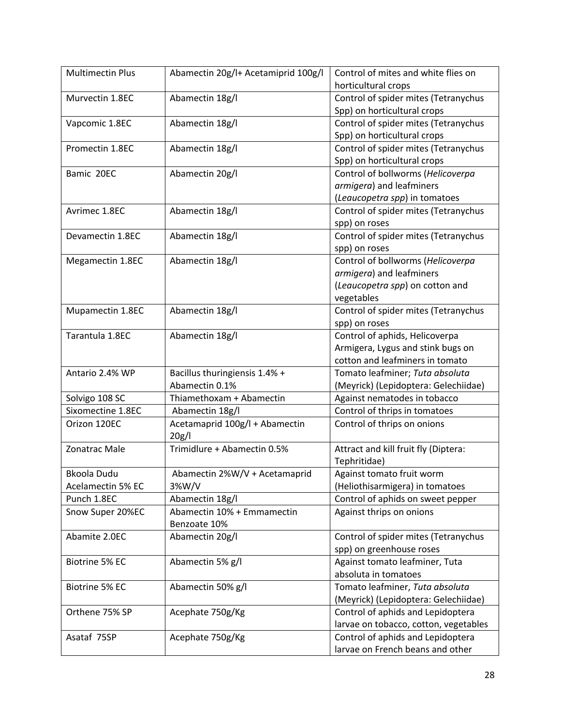| <b>Multimectin Plus</b> | Abamectin 20g/l+ Acetamiprid 100g/l | Control of mites and white flies on   |
|-------------------------|-------------------------------------|---------------------------------------|
|                         |                                     | horticultural crops                   |
| Murvectin 1.8EC         | Abamectin 18g/l                     | Control of spider mites (Tetranychus  |
|                         |                                     | Spp) on horticultural crops           |
| Vapcomic 1.8EC          | Abamectin 18g/l                     | Control of spider mites (Tetranychus  |
|                         |                                     | Spp) on horticultural crops           |
| Promectin 1.8EC         | Abamectin 18g/l                     | Control of spider mites (Tetranychus  |
|                         |                                     | Spp) on horticultural crops           |
| Bamic 20EC              | Abamectin 20g/l                     | Control of bollworms (Helicoverpa     |
|                         |                                     | armigera) and leafminers              |
|                         |                                     | (Leaucopetra spp) in tomatoes         |
| Avrimec 1.8EC           | Abamectin 18g/l                     | Control of spider mites (Tetranychus  |
|                         |                                     | spp) on roses                         |
| Devamectin 1.8EC        | Abamectin 18g/l                     | Control of spider mites (Tetranychus  |
|                         |                                     | spp) on roses                         |
| Megamectin 1.8EC        | Abamectin 18g/l                     | Control of bollworms (Helicoverpa     |
|                         |                                     | armigera) and leafminers              |
|                         |                                     | (Leaucopetra spp) on cotton and       |
|                         |                                     | vegetables                            |
| Mupamectin 1.8EC        | Abamectin 18g/l                     | Control of spider mites (Tetranychus  |
|                         |                                     | spp) on roses                         |
| Tarantula 1.8EC         | Abamectin 18g/l                     | Control of aphids, Helicoverpa        |
|                         |                                     | Armigera, Lygus and stink bugs on     |
|                         |                                     | cotton and leafminers in tomato       |
| Antario 2.4% WP         | Bacillus thuringiensis 1.4% +       | Tomato leafminer; Tuta absoluta       |
|                         | Abamectin 0.1%                      | (Meyrick) (Lepidoptera: Gelechiidae)  |
| Solvigo 108 SC          | Thiamethoxam + Abamectin            | Against nematodes in tobacco          |
| Sixomectine 1.8EC       | Abamectin 18g/l                     | Control of thrips in tomatoes         |
| Orizon 120EC            | Acetamaprid 100g/l + Abamectin      | Control of thrips on onions           |
|                         | 20g/l                               |                                       |
| Zonatrac Male           | Trimidlure + Abamectin 0.5%         | Attract and kill fruit fly (Diptera:  |
|                         |                                     | Tephritidae)                          |
| Bkoola Dudu             | Abamectin 2%W/V + Acetamaprid       | Against tomato fruit worm             |
| Acelamectin 5% EC       | 3%W/V                               | (Heliothisarmigera) in tomatoes       |
| Punch 1.8EC             | Abamectin 18g/l                     | Control of aphids on sweet pepper     |
| Snow Super 20%EC        | Abamectin 10% + Emmamectin          | Against thrips on onions              |
|                         | Benzoate 10%                        |                                       |
| Abamite 2.0EC           | Abamectin 20g/l                     | Control of spider mites (Tetranychus  |
|                         |                                     | spp) on greenhouse roses              |
| Biotrine 5% EC          | Abamectin 5% g/l                    | Against tomato leafminer, Tuta        |
|                         |                                     | absoluta in tomatoes                  |
| Biotrine 5% EC          | Abamectin 50% g/l                   | Tomato leafminer, Tuta absoluta       |
|                         |                                     | (Meyrick) (Lepidoptera: Gelechiidae)  |
| Orthene 75% SP          | Acephate 750g/Kg                    | Control of aphids and Lepidoptera     |
|                         |                                     | larvae on tobacco, cotton, vegetables |
| Asataf 75SP             | Acephate 750g/Kg                    | Control of aphids and Lepidoptera     |
|                         |                                     | larvae on French beans and other      |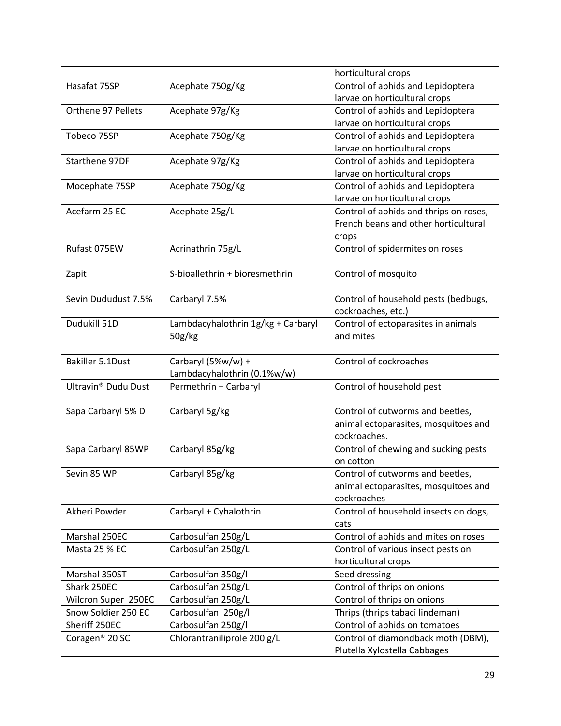|                                 |                                    | horticultural crops                    |
|---------------------------------|------------------------------------|----------------------------------------|
| Hasafat 75SP                    | Acephate 750g/Kg                   | Control of aphids and Lepidoptera      |
|                                 |                                    | larvae on horticultural crops          |
| Orthene 97 Pellets              | Acephate 97g/Kg                    | Control of aphids and Lepidoptera      |
|                                 |                                    | larvae on horticultural crops          |
| Tobeco 75SP                     | Acephate 750g/Kg                   | Control of aphids and Lepidoptera      |
|                                 |                                    | larvae on horticultural crops          |
| Starthene 97DF                  | Acephate 97g/Kg                    | Control of aphids and Lepidoptera      |
|                                 |                                    | larvae on horticultural crops          |
| Mocephate 75SP                  | Acephate 750g/Kg                   | Control of aphids and Lepidoptera      |
|                                 |                                    | larvae on horticultural crops          |
| Acefarm 25 EC                   | Acephate 25g/L                     | Control of aphids and thrips on roses, |
|                                 |                                    | French beans and other horticultural   |
|                                 |                                    | crops                                  |
| Rufast 075EW                    | Acrinathrin 75g/L                  | Control of spidermites on roses        |
| Zapit                           | S-bioallethrin + bioresmethrin     | Control of mosquito                    |
|                                 |                                    |                                        |
| Sevin Dududust 7.5%             | Carbaryl 7.5%                      | Control of household pests (bedbugs,   |
|                                 |                                    | cockroaches, etc.)                     |
| Dudukill 51D                    | Lambdacyhalothrin 1g/kg + Carbaryl | Control of ectoparasites in animals    |
|                                 | 50g/kg                             | and mites                              |
|                                 |                                    |                                        |
| Bakiller 5.1Dust                | Carbaryl (5%w/w) +                 | Control of cockroaches                 |
|                                 | Lambdacyhalothrin (0.1%w/w)        |                                        |
| Ultravin <sup>®</sup> Dudu Dust | Permethrin + Carbaryl              | Control of household pest              |
| Sapa Carbaryl 5% D              | Carbaryl 5g/kg                     | Control of cutworms and beetles,       |
|                                 |                                    | animal ectoparasites, mosquitoes and   |
|                                 |                                    | cockroaches.                           |
| Sapa Carbaryl 85WP              | Carbaryl 85g/kg                    | Control of chewing and sucking pests   |
|                                 |                                    | on cotton                              |
| Sevin 85 WP                     | Carbaryl 85g/kg                    | Control of cutworms and beetles,       |
|                                 |                                    | animal ectoparasites, mosquitoes and   |
|                                 |                                    | cockroaches                            |
| Akheri Powder                   | Carbaryl + Cyhalothrin             | Control of household insects on dogs,  |
|                                 |                                    | cats                                   |
| Marshal 250EC                   | Carbosulfan 250g/L                 | Control of aphids and mites on roses   |
| Masta 25 % EC                   | Carbosulfan 250g/L                 | Control of various insect pests on     |
|                                 |                                    | horticultural crops                    |
| Marshal 350ST                   | Carbosulfan 350g/l                 | Seed dressing                          |
| Shark 250EC                     | Carbosulfan 250g/L                 | Control of thrips on onions            |
| Wilcron Super 250EC             | Carbosulfan 250g/L                 | Control of thrips on onions            |
| Snow Soldier 250 EC             | Carbosulfan 250g/l                 | Thrips (thrips tabaci lindeman)        |
| Sheriff 250EC                   | Carbosulfan 250g/l                 | Control of aphids on tomatoes          |
| Coragen <sup>®</sup> 20 SC      | Chlorantraniliprole 200 g/L        | Control of diamondback moth (DBM),     |
|                                 |                                    | Plutella Xylostella Cabbages           |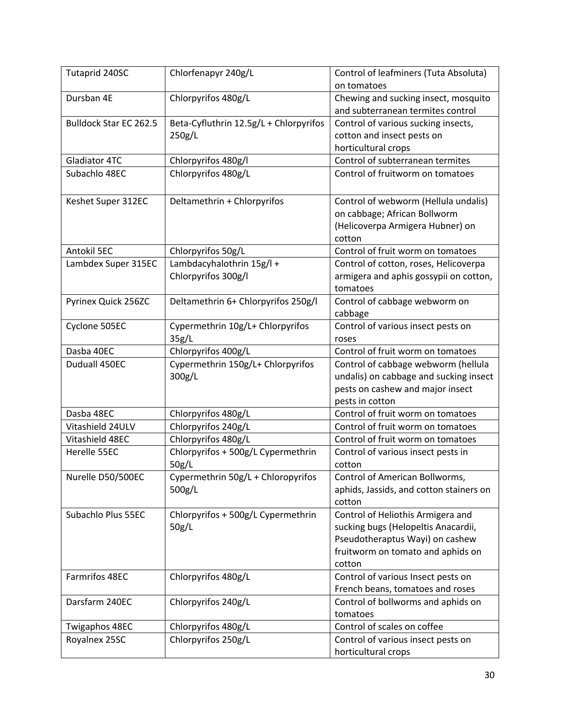| Tutaprid 240SC                | Chlorfenapyr 240g/L                    | Control of leafminers (Tuta Absoluta)                                     |
|-------------------------------|----------------------------------------|---------------------------------------------------------------------------|
|                               |                                        | on tomatoes                                                               |
| Dursban 4E                    | Chlorpyrifos 480g/L                    | Chewing and sucking insect, mosquito<br>and subterranean termites control |
| <b>Bulldock Star EC 262.5</b> | Beta-Cyfluthrin 12.5g/L + Chlorpyrifos | Control of various sucking insects,                                       |
|                               | 250g/L                                 | cotton and insect pests on                                                |
|                               |                                        | horticultural crops                                                       |
| Gladiator 4TC                 | Chlorpyrifos 480g/l                    | Control of subterranean termites                                          |
| Subachlo 48EC                 | Chlorpyrifos 480g/L                    | Control of fruitworm on tomatoes                                          |
|                               |                                        |                                                                           |
| Keshet Super 312EC            | Deltamethrin + Chlorpyrifos            | Control of webworm (Hellula undalis)                                      |
|                               |                                        | on cabbage; African Bollworm                                              |
|                               |                                        | (Helicoverpa Armigera Hubner) on                                          |
|                               |                                        | cotton                                                                    |
| Antokil 5EC                   | Chlorpyrifos 50g/L                     | Control of fruit worm on tomatoes                                         |
| Lambdex Super 315EC           | Lambdacyhalothrin 15g/l +              | Control of cotton, roses, Helicoverpa                                     |
|                               | Chlorpyrifos 300g/l                    | armigera and aphis gossypii on cotton,                                    |
|                               |                                        | tomatoes                                                                  |
| Pyrinex Quick 256ZC           | Deltamethrin 6+ Chlorpyrifos 250g/l    | Control of cabbage webworm on                                             |
|                               |                                        | cabbage                                                                   |
| Cyclone 505EC                 | Cypermethrin 10g/L+ Chlorpyrifos       | Control of various insect pests on                                        |
|                               | 35g/L                                  | roses                                                                     |
| Dasba 40EC                    | Chlorpyrifos 400g/L                    | Control of fruit worm on tomatoes                                         |
| Duduall 450EC                 | Cypermethrin 150g/L+ Chlorpyrifos      | Control of cabbage webworm (hellula                                       |
|                               | 300g/L                                 | undalis) on cabbage and sucking insect                                    |
|                               |                                        | pests on cashew and major insect                                          |
|                               |                                        | pests in cotton                                                           |
| Dasba 48EC                    | Chlorpyrifos 480g/L                    | Control of fruit worm on tomatoes                                         |
| Vitashield 24ULV              | Chlorpyrifos 240g/L                    | Control of fruit worm on tomatoes                                         |
| Vitashield 48EC               | Chlorpyrifos 480g/L                    | Control of fruit worm on tomatoes                                         |
| Herelle 55EC                  | Chlorpyrifos + 500g/L Cypermethrin     | Control of various insect pests in                                        |
|                               | 50g/L                                  | cotton                                                                    |
| Nurelle D50/500EC             | Cypermethrin 50g/L + Chloropyrifos     | Control of American Bollworms,                                            |
|                               | 500g/L                                 | aphids, Jassids, and cotton stainers on                                   |
|                               |                                        | cotton                                                                    |
| Subachlo Plus 55EC            |                                        | Control of Heliothis Armigera and                                         |
|                               | Chlorpyrifos + 500g/L Cypermethrin     |                                                                           |
|                               | 50g/L                                  | sucking bugs (Helopeltis Anacardii,                                       |
|                               |                                        | Pseudotheraptus Wayi) on cashew                                           |
|                               |                                        | fruitworm on tomato and aphids on                                         |
|                               |                                        | cotton                                                                    |
| Farmrifos 48EC                | Chlorpyrifos 480g/L                    | Control of various Insect pests on                                        |
|                               |                                        | French beans, tomatoes and roses                                          |
| Darsfarm 240EC                | Chlorpyrifos 240g/L                    | Control of bollworms and aphids on                                        |
|                               |                                        | tomatoes                                                                  |
| Twigaphos 48EC                | Chlorpyrifos 480g/L                    | Control of scales on coffee                                               |
| Royalnex 25SC                 | Chlorpyrifos 250g/L                    | Control of various insect pests on                                        |
|                               |                                        | horticultural crops                                                       |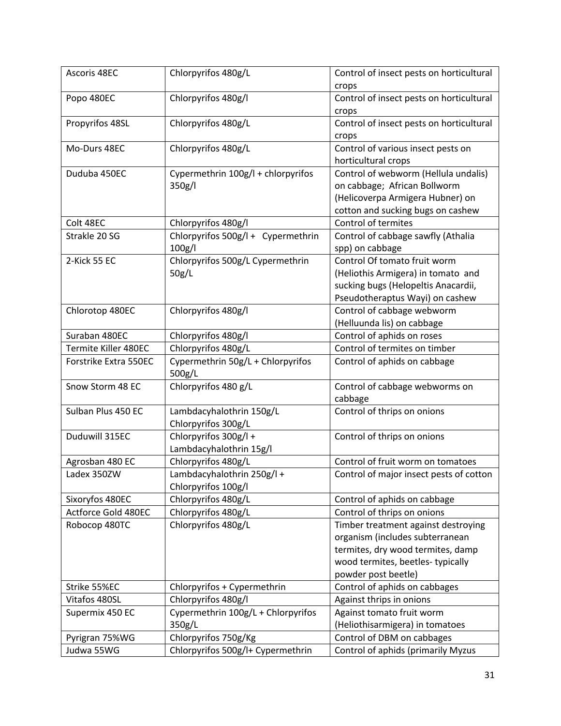| Ascoris 48EC          | Chlorpyrifos 480g/L                         | Control of insect pests on horticultural |
|-----------------------|---------------------------------------------|------------------------------------------|
|                       |                                             | crops                                    |
| Popo 480EC            | Chlorpyrifos 480g/l                         | Control of insect pests on horticultural |
|                       |                                             | crops                                    |
| Propyrifos 48SL       | Chlorpyrifos 480g/L                         | Control of insect pests on horticultural |
|                       |                                             | crops                                    |
| Mo-Durs 48EC          | Chlorpyrifos 480g/L                         | Control of various insect pests on       |
|                       |                                             | horticultural crops                      |
| Duduba 450EC          | Cypermethrin 100g/l + chlorpyrifos          | Control of webworm (Hellula undalis)     |
|                       | 350g/l                                      | on cabbage; African Bollworm             |
|                       |                                             | (Helicoverpa Armigera Hubner) on         |
|                       |                                             | cotton and sucking bugs on cashew        |
| Colt 48EC             | Chlorpyrifos 480g/l                         | Control of termites                      |
| Strakle 20 SG         | Chlorpyrifos 500g/l + Cypermethrin          | Control of cabbage sawfly (Athalia       |
|                       | 100g/l                                      | spp) on cabbage                          |
| 2-Kick 55 EC          | Chlorpyrifos 500g/L Cypermethrin            | Control Of tomato fruit worm             |
|                       | 50g/L                                       | (Heliothis Armigera) in tomato and       |
|                       |                                             | sucking bugs (Helopeltis Anacardii,      |
|                       |                                             | Pseudotheraptus Wayi) on cashew          |
| Chlorotop 480EC       | Chlorpyrifos 480g/l                         | Control of cabbage webworm               |
|                       |                                             | (Helluunda lis) on cabbage               |
| Suraban 480EC         | Chlorpyrifos 480g/l                         | Control of aphids on roses               |
| Termite Killer 480EC  | Chlorpyrifos 480g/L                         | Control of termites on timber            |
| Forstrike Extra 550EC | Cypermethrin 50g/L + Chlorpyrifos<br>500g/L | Control of aphids on cabbage             |
| Snow Storm 48 EC      | Chlorpyrifos 480 g/L                        | Control of cabbage webworms on           |
|                       |                                             | cabbage                                  |
| Sulban Plus 450 EC    | Lambdacyhalothrin 150g/L                    | Control of thrips on onions              |
|                       | Chlorpyrifos 300g/L                         |                                          |
| Duduwill 315EC        | Chlorpyrifos 300g/l +                       | Control of thrips on onions              |
|                       | Lambdacyhalothrin 15g/l                     |                                          |
| Agrosban 480 EC       | Chlorpyrifos 480g/L                         | Control of fruit worm on tomatoes        |
| Ladex 350ZW           | Lambdacyhalothrin 250g/l +                  | Control of major insect pests of cotton  |
|                       | Chlorpyrifos 100g/l                         |                                          |
| Sixoryfos 480EC       | Chlorpyrifos 480g/L                         | Control of aphids on cabbage             |
| Actforce Gold 480EC   | Chlorpyrifos 480g/L                         | Control of thrips on onions              |
| Robocop 480TC         | Chlorpyrifos 480g/L                         | Timber treatment against destroying      |
|                       |                                             | organism (includes subterranean          |
|                       |                                             | termites, dry wood termites, damp        |
|                       |                                             | wood termites, beetles-typically         |
|                       |                                             | powder post beetle)                      |
| Strike 55%EC          | Chlorpyrifos + Cypermethrin                 | Control of aphids on cabbages            |
| Vitafos 480SL         | Chlorpyrifos 480g/l                         | Against thrips in onions                 |
| Supermix 450 EC       | Cypermethrin 100g/L + Chlorpyrifos          | Against tomato fruit worm                |
|                       | 350g/L                                      | (Heliothisarmigera) in tomatoes          |
| Pyrigran 75%WG        | Chlorpyrifos 750g/Kg                        | Control of DBM on cabbages               |
| Judwa 55WG            | Chlorpyrifos 500g/l+ Cypermethrin           | Control of aphids (primarily Myzus       |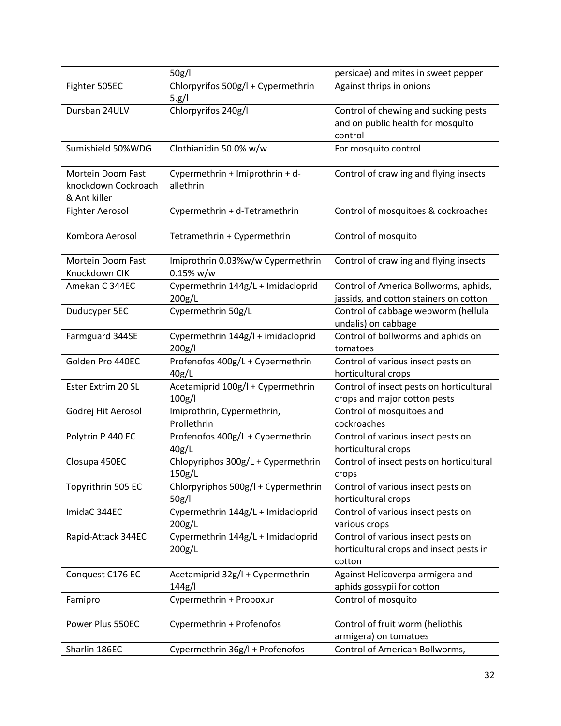|                        | 50g/l                               | persicae) and mites in sweet pepper      |
|------------------------|-------------------------------------|------------------------------------------|
| Fighter 505EC          | Chlorpyrifos 500g/l + Cypermethrin  | Against thrips in onions                 |
|                        | 5.g/l                               |                                          |
| Dursban 24ULV          | Chlorpyrifos 240g/l                 | Control of chewing and sucking pests     |
|                        |                                     | and on public health for mosquito        |
|                        |                                     | control                                  |
| Sumishield 50%WDG      | Clothianidin 50.0% w/w              | For mosquito control                     |
| Mortein Doom Fast      | Cypermethrin + Imiprothrin + d-     | Control of crawling and flying insects   |
| knockdown Cockroach    | allethrin                           |                                          |
| & Ant killer           |                                     |                                          |
| <b>Fighter Aerosol</b> | Cypermethrin + d-Tetramethrin       | Control of mosquitoes & cockroaches      |
| Kombora Aerosol        | Tetramethrin + Cypermethrin         | Control of mosquito                      |
| Mortein Doom Fast      | Imiprothrin 0.03%w/w Cypermethrin   | Control of crawling and flying insects   |
| Knockdown CIK          | 0.15% w/w                           |                                          |
| Amekan C 344EC         | Cypermethrin 144g/L + Imidacloprid  | Control of America Bollworms, aphids,    |
|                        | 200g/L                              | jassids, and cotton stainers on cotton   |
| Duducyper 5EC          | Cypermethrin 50g/L                  | Control of cabbage webworm (hellula      |
|                        |                                     | undalis) on cabbage                      |
| Farmguard 344SE        | Cypermethrin 144g/l + imidacloprid  | Control of bollworms and aphids on       |
|                        | 200g/l                              | tomatoes                                 |
| Golden Pro 440EC       | Profenofos 400g/L + Cypermethrin    | Control of various insect pests on       |
|                        | 40g/L                               | horticultural crops                      |
| Ester Extrim 20 SL     | Acetamiprid 100g/l + Cypermethrin   | Control of insect pests on horticultural |
|                        | 100g/l                              | crops and major cotton pests             |
| Godrej Hit Aerosol     | Imiprothrin, Cypermethrin,          | Control of mosquitoes and                |
|                        | Prollethrin                         | cockroaches                              |
| Polytrin P 440 EC      | Profenofos 400g/L + Cypermethrin    | Control of various insect pests on       |
|                        | 40g/L                               | horticultural crops                      |
| Closupa 450EC          | Chlopyriphos 300g/L + Cypermethrin  | Control of insect pests on horticultural |
|                        | 150g/L                              | crops                                    |
| Topyrithrin 505 EC     | Chlorpyriphos 500g/l + Cypermethrin | Control of various insect pests on       |
|                        | 50g/l                               | horticultural crops                      |
| ImidaC 344EC           | Cypermethrin 144g/L + Imidacloprid  | Control of various insect pests on       |
|                        | 200g/L                              | various crops                            |
| Rapid-Attack 344EC     | Cypermethrin 144g/L + Imidacloprid  | Control of various insect pests on       |
|                        | 200g/L                              | horticultural crops and insect pests in  |
|                        |                                     | cotton                                   |
| Conquest C176 EC       | Acetamiprid 32g/l + Cypermethrin    | Against Helicoverpa armigera and         |
|                        | 144g/l                              | aphids gossypii for cotton               |
| Famipro                | Cypermethrin + Propoxur             | Control of mosquito                      |
| Power Plus 550EC       | Cypermethrin + Profenofos           | Control of fruit worm (heliothis         |
|                        |                                     | armigera) on tomatoes                    |
| Sharlin 186EC          | Cypermethrin 36g/l + Profenofos     | Control of American Bollworms,           |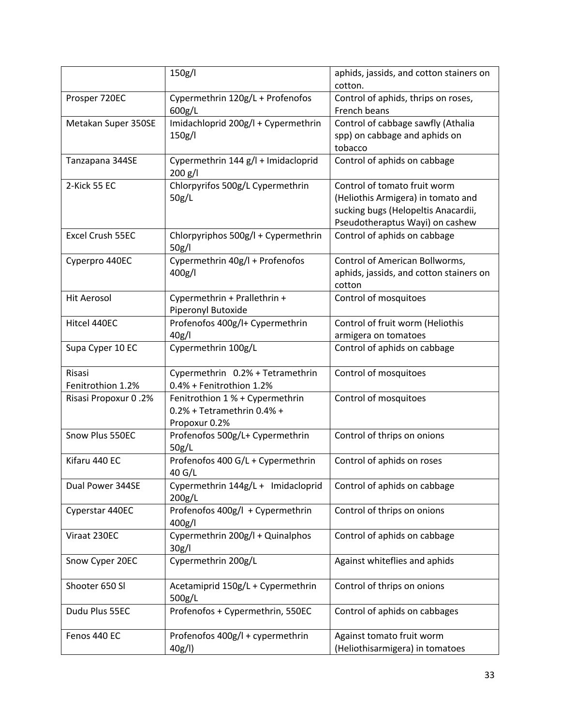|                             | 150g/l                                                                           | aphids, jassids, and cotton stainers on<br>cotton.                                                                                           |
|-----------------------------|----------------------------------------------------------------------------------|----------------------------------------------------------------------------------------------------------------------------------------------|
| Prosper 720EC               | Cypermethrin 120g/L + Profenofos<br>600g/L                                       | Control of aphids, thrips on roses,<br>French beans                                                                                          |
| Metakan Super 350SE         | Imidachloprid 200g/l + Cypermethrin<br>150g/l                                    | Control of cabbage sawfly (Athalia<br>spp) on cabbage and aphids on<br>tobacco                                                               |
| Tanzapana 344SE             | Cypermethrin 144 g/l + Imidacloprid<br>200 g/l                                   | Control of aphids on cabbage                                                                                                                 |
| 2-Kick 55 EC                | Chlorpyrifos 500g/L Cypermethrin<br>50g/L                                        | Control of tomato fruit worm<br>(Heliothis Armigera) in tomato and<br>sucking bugs (Helopeltis Anacardii,<br>Pseudotheraptus Wayi) on cashew |
| Excel Crush 55EC            | Chlorpyriphos 500g/l + Cypermethrin<br>50g/l                                     | Control of aphids on cabbage                                                                                                                 |
| Cyperpro 440EC              | Cypermethrin 40g/l + Profenofos<br>400g/l                                        | Control of American Bollworms,<br>aphids, jassids, and cotton stainers on<br>cotton                                                          |
| <b>Hit Aerosol</b>          | Cypermethrin + Prallethrin +<br>Piperonyl Butoxide                               | Control of mosquitoes                                                                                                                        |
| Hitcel 440EC                | Profenofos 400g/l+ Cypermethrin<br>40g/l                                         | Control of fruit worm (Heliothis<br>armigera on tomatoes                                                                                     |
| Supa Cyper 10 EC            | Cypermethrin 100g/L                                                              | Control of aphids on cabbage                                                                                                                 |
| Risasi<br>Fenitrothion 1.2% | Cypermethrin 0.2% + Tetramethrin<br>0.4% + Fenitrothion 1.2%                     | Control of mosquitoes                                                                                                                        |
| Risasi Propoxur 0.2%        | Fenitrothion 1 % + Cypermethrin<br>$0.2%$ + Tetramethrin 0.4% +<br>Propoxur 0.2% | Control of mosquitoes                                                                                                                        |
| Snow Plus 550EC             | Profenofos 500g/L+ Cypermethrin<br>50g/L                                         | Control of thrips on onions                                                                                                                  |
| Kifaru 440 EC               | Profenofos 400 G/L + Cypermethrin<br>40 $G/L$                                    | Control of aphids on roses                                                                                                                   |
| Dual Power 344SE            | Cypermethrin 144g/L + Imidacloprid<br>200g/L                                     | Control of aphids on cabbage                                                                                                                 |
| Cyperstar 440EC             | Profenofos 400g/l + Cypermethrin<br>400g/l                                       | Control of thrips on onions                                                                                                                  |
| Viraat 230EC                | Cypermethrin 200g/l + Quinalphos<br>30g/l                                        | Control of aphids on cabbage                                                                                                                 |
| Snow Cyper 20EC             | Cypermethrin 200g/L                                                              | Against whiteflies and aphids                                                                                                                |
| Shooter 650 Sl              | Acetamiprid 150g/L + Cypermethrin<br>500g/L                                      | Control of thrips on onions                                                                                                                  |
| Dudu Plus 55EC              | Profenofos + Cypermethrin, 550EC                                                 | Control of aphids on cabbages                                                                                                                |
| Fenos 440 EC                | Profenofos 400g/l + cypermethrin<br>40g/l)                                       | Against tomato fruit worm<br>(Heliothisarmigera) in tomatoes                                                                                 |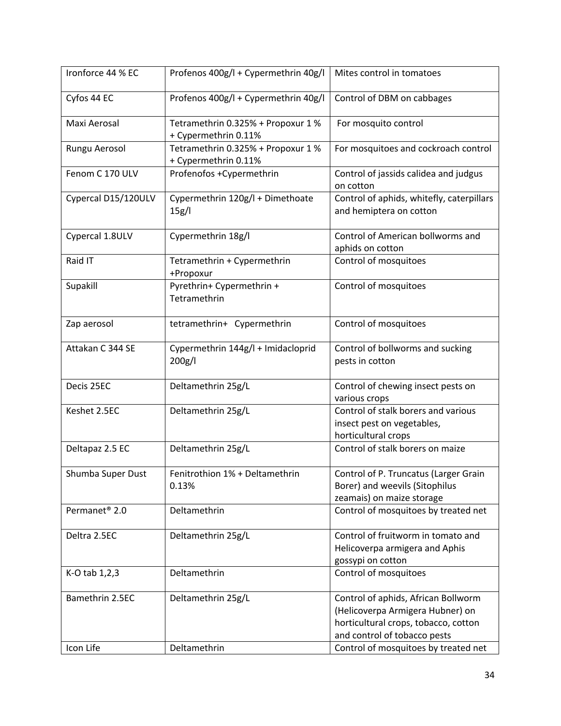| Ironforce 44 % EC         | Profenos 400g/l + Cypermethrin 40g/l                       | Mites control in tomatoes                                                                                                                       |
|---------------------------|------------------------------------------------------------|-------------------------------------------------------------------------------------------------------------------------------------------------|
| Cyfos 44 EC               | Profenos 400g/l + Cypermethrin 40g/l                       | Control of DBM on cabbages                                                                                                                      |
| Maxi Aerosal              | Tetramethrin 0.325% + Propoxur 1 %<br>+ Cypermethrin 0.11% | For mosquito control                                                                                                                            |
| Rungu Aerosol             | Tetramethrin 0.325% + Propoxur 1 %<br>+ Cypermethrin 0.11% | For mosquitoes and cockroach control                                                                                                            |
| Fenom C 170 ULV           | Profenofos +Cypermethrin                                   | Control of jassids calidea and judgus<br>on cotton                                                                                              |
| Cypercal D15/120ULV       | Cypermethrin 120g/l + Dimethoate<br>15g/l                  | Control of aphids, whitefly, caterpillars<br>and hemiptera on cotton                                                                            |
| Cypercal 1.8ULV           | Cypermethrin 18g/l                                         | Control of American bollworms and<br>aphids on cotton                                                                                           |
| Raid IT                   | Tetramethrin + Cypermethrin<br>+Propoxur                   | Control of mosquitoes                                                                                                                           |
| Supakill                  | Pyrethrin+ Cypermethrin +<br>Tetramethrin                  | Control of mosquitoes                                                                                                                           |
| Zap aerosol               | tetramethrin+ Cypermethrin                                 | Control of mosquitoes                                                                                                                           |
| Attakan C 344 SE          | Cypermethrin 144g/l + Imidacloprid<br>200g/l               | Control of bollworms and sucking<br>pests in cotton                                                                                             |
| Decis 25EC                | Deltamethrin 25g/L                                         | Control of chewing insect pests on<br>various crops                                                                                             |
| Keshet 2.5EC              | Deltamethrin 25g/L                                         | Control of stalk borers and various<br>insect pest on vegetables,<br>horticultural crops                                                        |
| Deltapaz 2.5 EC           | Deltamethrin 25g/L                                         | Control of stalk borers on maize                                                                                                                |
| Shumba Super Dust         | Fenitrothion 1% + Deltamethrin<br>0.13%                    | Control of P. Truncatus (Larger Grain<br>Borer) and weevils (Sitophilus<br>zeamais) on maize storage                                            |
| Permanet <sup>®</sup> 2.0 | Deltamethrin                                               | Control of mosquitoes by treated net                                                                                                            |
| Deltra 2.5EC              | Deltamethrin 25g/L                                         | Control of fruitworm in tomato and<br>Helicoverpa armigera and Aphis<br>gossypi on cotton                                                       |
| K-O tab 1,2,3             | Deltamethrin                                               | Control of mosquitoes                                                                                                                           |
| Bamethrin 2.5EC           | Deltamethrin 25g/L                                         | Control of aphids, African Bollworm<br>(Helicoverpa Armigera Hubner) on<br>horticultural crops, tobacco, cotton<br>and control of tobacco pests |
| Icon Life                 | Deltamethrin                                               | Control of mosquitoes by treated net                                                                                                            |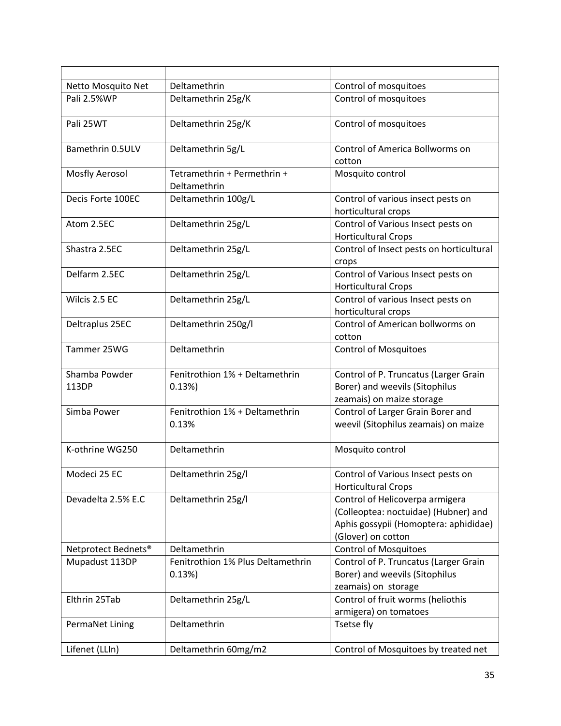| Netto Mosquito Net              | Deltamethrin                                | Control of mosquitoes                                                                                                                  |
|---------------------------------|---------------------------------------------|----------------------------------------------------------------------------------------------------------------------------------------|
| Pali 2.5%WP                     | Deltamethrin 25g/K                          | Control of mosquitoes                                                                                                                  |
| Pali 25WT                       | Deltamethrin 25g/K                          | Control of mosquitoes                                                                                                                  |
| Bamethrin 0.5ULV                | Deltamethrin 5g/L                           | Control of America Bollworms on<br>cotton                                                                                              |
| Mosfly Aerosol                  | Tetramethrin + Permethrin +<br>Deltamethrin | Mosquito control                                                                                                                       |
| Decis Forte 100EC               | Deltamethrin 100g/L                         | Control of various insect pests on<br>horticultural crops                                                                              |
| Atom 2.5EC                      | Deltamethrin 25g/L                          | Control of Various Insect pests on<br><b>Horticultural Crops</b>                                                                       |
| Shastra 2.5EC                   | Deltamethrin 25g/L                          | Control of Insect pests on horticultural<br>crops                                                                                      |
| Delfarm 2.5EC                   | Deltamethrin 25g/L                          | Control of Various Insect pests on<br><b>Horticultural Crops</b>                                                                       |
| Wilcis 2.5 EC                   | Deltamethrin 25g/L                          | Control of various Insect pests on<br>horticultural crops                                                                              |
| Deltraplus 25EC                 | Deltamethrin 250g/l                         | Control of American bollworms on<br>cotton                                                                                             |
| Tammer 25WG                     | Deltamethrin                                | <b>Control of Mosquitoes</b>                                                                                                           |
| Shamba Powder<br>113DP          | Fenitrothion 1% + Deltamethrin<br>0.13%     | Control of P. Truncatus (Larger Grain<br>Borer) and weevils (Sitophilus<br>zeamais) on maize storage                                   |
| Simba Power                     | Fenitrothion 1% + Deltamethrin<br>0.13%     | Control of Larger Grain Borer and<br>weevil (Sitophilus zeamais) on maize                                                              |
| K-othrine WG250                 | Deltamethrin                                | Mosquito control                                                                                                                       |
| Modeci 25 EC                    | Deltamethrin 25g/l                          | Control of Various Insect pests on<br><b>Horticultural Crops</b>                                                                       |
| Devadelta 2.5% E.C              | Deltamethrin 25g/l                          | Control of Helicoverpa armigera<br>(Colleoptea: noctuidae) (Hubner) and<br>Aphis gossypii (Homoptera: aphididae)<br>(Glover) on cotton |
| Netprotect Bednets <sup>®</sup> | Deltamethrin                                | <b>Control of Mosquitoes</b>                                                                                                           |
| Mupadust 113DP                  | Fenitrothion 1% Plus Deltamethrin<br>0.13%  | Control of P. Truncatus (Larger Grain<br>Borer) and weevils (Sitophilus<br>zeamais) on storage                                         |
| Elthrin 25Tab                   | Deltamethrin 25g/L                          | Control of fruit worms (heliothis<br>armigera) on tomatoes                                                                             |
| PermaNet Lining                 | Deltamethrin                                | Tsetse fly                                                                                                                             |
| Lifenet (LLIn)                  | Deltamethrin 60mg/m2                        | Control of Mosquitoes by treated net                                                                                                   |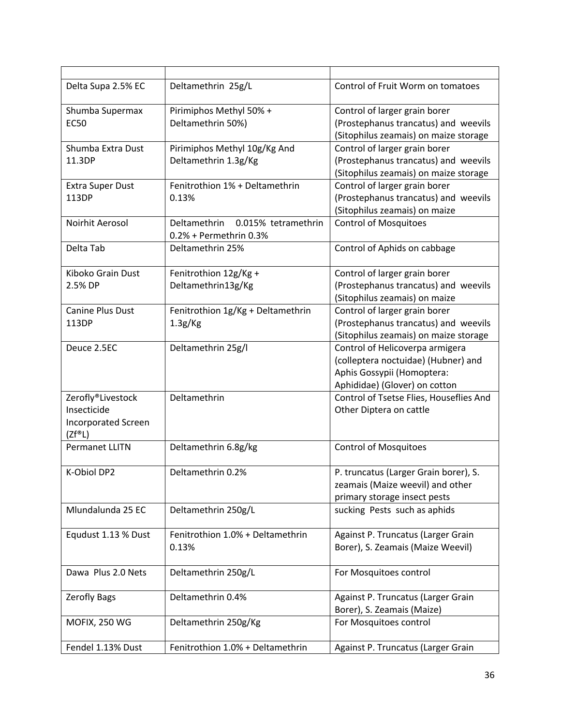| Delta Supa 2.5% EC             | Deltamethrin 25g/L                                            | Control of Fruit Worm on tomatoes                                     |
|--------------------------------|---------------------------------------------------------------|-----------------------------------------------------------------------|
| Shumba Supermax<br><b>EC50</b> | Pirimiphos Methyl 50% +<br>Deltamethrin 50%)                  | Control of larger grain borer<br>(Prostephanus trancatus) and weevils |
|                                |                                                               | (Sitophilus zeamais) on maize storage                                 |
| Shumba Extra Dust              | Pirimiphos Methyl 10g/Kg And                                  | Control of larger grain borer                                         |
| 11.3DP                         | Deltamethrin 1.3g/Kg                                          | (Prostephanus trancatus) and weevils                                  |
|                                |                                                               | (Sitophilus zeamais) on maize storage                                 |
| <b>Extra Super Dust</b>        | Fenitrothion 1% + Deltamethrin                                | Control of larger grain borer                                         |
| 113DP                          | 0.13%                                                         | (Prostephanus trancatus) and weevils                                  |
|                                |                                                               | (Sitophilus zeamais) on maize                                         |
| Noirhit Aerosol                | Deltamethrin<br>0.015% tetramethrin<br>0.2% + Permethrin 0.3% | <b>Control of Mosquitoes</b>                                          |
| Delta Tab                      | Deltamethrin 25%                                              | Control of Aphids on cabbage                                          |
| Kiboko Grain Dust              | Fenitrothion 12g/Kg +                                         | Control of larger grain borer                                         |
| 2.5% DP                        | Deltamethrin13g/Kg                                            | (Prostephanus trancatus) and weevils                                  |
|                                |                                                               | (Sitophilus zeamais) on maize                                         |
| Canine Plus Dust               | Fenitrothion 1g/Kg + Deltamethrin                             | Control of larger grain borer                                         |
| 113DP                          | 1.3g/Kg                                                       | (Prostephanus trancatus) and weevils                                  |
|                                |                                                               | (Sitophilus zeamais) on maize storage                                 |
| Deuce 2.5EC                    | Deltamethrin 25g/l                                            | Control of Helicoverpa armigera                                       |
|                                |                                                               | (colleptera noctuidae) (Hubner) and<br>Aphis Gossypii (Homoptera:     |
|                                |                                                               | Aphididae) (Glover) on cotton                                         |
| Zerofly®Livestock              | Deltamethrin                                                  | Control of Tsetse Flies, Houseflies And                               |
| Insecticide                    |                                                               | Other Diptera on cattle                                               |
| <b>Incorporated Screen</b>     |                                                               |                                                                       |
| $(Zf^{\circledast}L)$          |                                                               |                                                                       |
| <b>Permanet LLITN</b>          | Deltamethrin 6.8g/kg                                          | <b>Control of Mosquitoes</b>                                          |
| K-Obiol DP2                    | Deltamethrin 0.2%                                             | P. truncatus (Larger Grain borer), S.                                 |
|                                |                                                               | zeamais (Maize weevil) and other                                      |
|                                |                                                               | primary storage insect pests                                          |
| Mlundalunda 25 EC              | Deltamethrin 250g/L                                           | sucking Pests such as aphids                                          |
| Equdust 1.13 % Dust            | Fenitrothion 1.0% + Deltamethrin                              | Against P. Truncatus (Larger Grain                                    |
|                                | 0.13%                                                         | Borer), S. Zeamais (Maize Weevil)                                     |
|                                |                                                               |                                                                       |
| Dawa Plus 2.0 Nets             | Deltamethrin 250g/L                                           | For Mosquitoes control                                                |
| <b>Zerofly Bags</b>            | Deltamethrin 0.4%                                             | Against P. Truncatus (Larger Grain                                    |
|                                |                                                               | Borer), S. Zeamais (Maize)                                            |
| <b>MOFIX, 250 WG</b>           | Deltamethrin 250g/Kg                                          | For Mosquitoes control                                                |
| Fendel 1.13% Dust              | Fenitrothion 1.0% + Deltamethrin                              | Against P. Truncatus (Larger Grain                                    |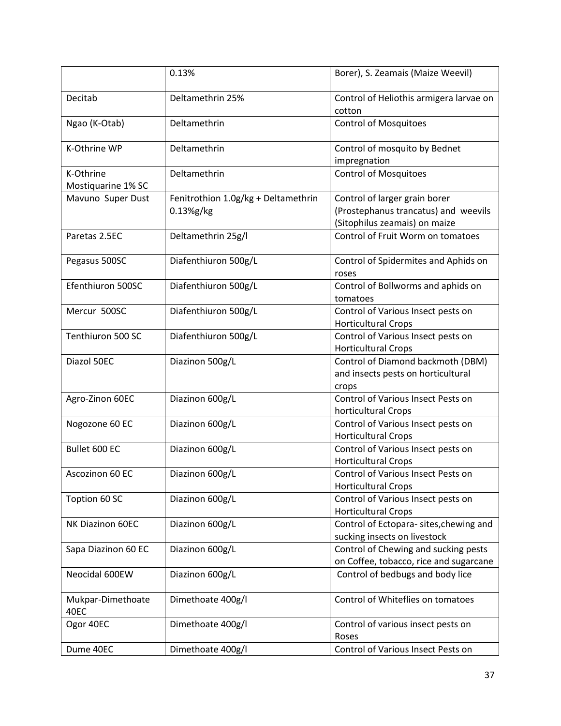|                                 | 0.13%                                            | Borer), S. Zeamais (Maize Weevil)                                                                      |
|---------------------------------|--------------------------------------------------|--------------------------------------------------------------------------------------------------------|
| Decitab                         | Deltamethrin 25%                                 | Control of Heliothis armigera larvae on<br>cotton                                                      |
| Ngao (K-Otab)                   | Deltamethrin                                     | <b>Control of Mosquitoes</b>                                                                           |
| K-Othrine WP                    | Deltamethrin                                     | Control of mosquito by Bednet<br>impregnation                                                          |
| K-Othrine<br>Mostiquarine 1% SC | Deltamethrin                                     | <b>Control of Mosquitoes</b>                                                                           |
| Mavuno Super Dust               | Fenitrothion 1.0g/kg + Deltamethrin<br>0.13%g/kg | Control of larger grain borer<br>(Prostephanus trancatus) and weevils<br>(Sitophilus zeamais) on maize |
| Paretas 2.5EC                   | Deltamethrin 25g/l                               | Control of Fruit Worm on tomatoes                                                                      |
| Pegasus 500SC                   | Diafenthiuron 500g/L                             | Control of Spidermites and Aphids on<br>roses                                                          |
| Efenthiuron 500SC               | Diafenthiuron 500g/L                             | Control of Bollworms and aphids on<br>tomatoes                                                         |
| Mercur 500SC                    | Diafenthiuron 500g/L                             | Control of Various Insect pests on<br><b>Horticultural Crops</b>                                       |
| Tenthiuron 500 SC               | Diafenthiuron 500g/L                             | Control of Various Insect pests on<br><b>Horticultural Crops</b>                                       |
| Diazol 50EC                     | Diazinon 500g/L                                  | Control of Diamond backmoth (DBM)<br>and insects pests on horticultural<br>crops                       |
| Agro-Zinon 60EC                 | Diazinon 600g/L                                  | Control of Various Insect Pests on<br>horticultural Crops                                              |
| Nogozone 60 EC                  | Diazinon 600g/L                                  | Control of Various Insect pests on<br><b>Horticultural Crops</b>                                       |
| Bullet 600 EC                   | Diazinon 600g/L                                  | Control of Various Insect pests on<br><b>Horticultural Crops</b>                                       |
| Ascozinon 60 EC                 | Diazinon 600g/L                                  | Control of Various Insect Pests on<br><b>Horticultural Crops</b>                                       |
| Toption 60 SC                   | Diazinon 600g/L                                  | Control of Various Insect pests on<br><b>Horticultural Crops</b>                                       |
| NK Diazinon 60EC                | Diazinon 600g/L                                  | Control of Ectopara- sites, chewing and<br>sucking insects on livestock                                |
| Sapa Diazinon 60 EC             | Diazinon 600g/L                                  | Control of Chewing and sucking pests<br>on Coffee, tobacco, rice and sugarcane                         |
| Neocidal 600EW                  | Diazinon 600g/L                                  | Control of bedbugs and body lice                                                                       |
| Mukpar-Dimethoate<br>40EC       | Dimethoate 400g/l                                | Control of Whiteflies on tomatoes                                                                      |
| Ogor 40EC                       | Dimethoate 400g/l                                | Control of various insect pests on<br>Roses                                                            |
| Dume 40EC                       | Dimethoate 400g/l                                | Control of Various Insect Pests on                                                                     |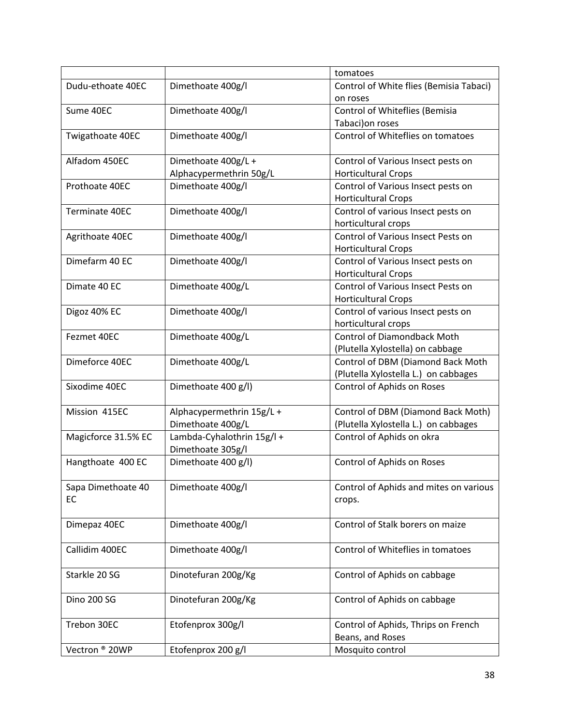|                          |                            | tomatoes                                         |
|--------------------------|----------------------------|--------------------------------------------------|
| Dudu-ethoate 40EC        | Dimethoate 400g/l          | Control of White flies (Bemisia Tabaci)          |
|                          |                            | on roses                                         |
| Sume 40EC                | Dimethoate 400g/l          | Control of Whiteflies (Bemisia                   |
|                          |                            | Tabaci) on roses                                 |
| Twigathoate 40EC         | Dimethoate 400g/l          | Control of Whiteflies on tomatoes                |
| Alfadom 450EC            | Dimethoate 400g/L +        | Control of Various Insect pests on               |
|                          | Alphacypermethrin 50g/L    | <b>Horticultural Crops</b>                       |
| Prothoate 40EC           | Dimethoate 400g/l          | Control of Various Insect pests on               |
|                          |                            | <b>Horticultural Crops</b>                       |
| Terminate 40EC           | Dimethoate 400g/l          | Control of various Insect pests on               |
|                          |                            | horticultural crops                              |
| Agrithoate 40EC          | Dimethoate 400g/l          | Control of Various Insect Pests on               |
|                          |                            | <b>Horticultural Crops</b>                       |
| Dimefarm 40 EC           | Dimethoate 400g/l          | Control of Various Insect pests on               |
|                          |                            | <b>Horticultural Crops</b>                       |
| Dimate 40 EC             | Dimethoate 400g/L          | <b>Control of Various Insect Pests on</b>        |
|                          |                            | <b>Horticultural Crops</b>                       |
| Digoz 40% EC             | Dimethoate 400g/l          | Control of various Insect pests on               |
|                          |                            | horticultural crops                              |
| Fezmet 40EC              | Dimethoate 400g/L          | <b>Control of Diamondback Moth</b>               |
|                          |                            | (Plutella Xylostella) on cabbage                 |
| Dimeforce 40EC           | Dimethoate 400g/L          | Control of DBM (Diamond Back Moth                |
|                          |                            | (Plutella Xylostella L.) on cabbages             |
| Sixodime 40EC            | Dimethoate 400 g/l)        | Control of Aphids on Roses                       |
| Mission 415EC            | Alphacypermethrin 15g/L +  | Control of DBM (Diamond Back Moth)               |
|                          | Dimethoate 400g/L          | (Plutella Xylostella L.) on cabbages             |
| Magicforce 31.5% EC      | Lambda-Cyhalothrin 15g/l + | Control of Aphids on okra                        |
|                          | Dimethoate 305g/l          |                                                  |
| Hangthoate 400 EC        | Dimethoate 400 g/l)        | Control of Aphids on Roses                       |
| Sapa Dimethoate 40<br>EC | Dimethoate 400g/l          | Control of Aphids and mites on various<br>crops. |
| Dimepaz 40EC             | Dimethoate 400g/l          | Control of Stalk borers on maize                 |
| Callidim 400EC           | Dimethoate 400g/l          | Control of Whiteflies in tomatoes                |
| Starkle 20 SG            | Dinotefuran 200g/Kg        | Control of Aphids on cabbage                     |
| <b>Dino 200 SG</b>       | Dinotefuran 200g/Kg        | Control of Aphids on cabbage                     |
| Trebon 30EC              | Etofenprox 300g/l          | Control of Aphids, Thrips on French              |
|                          |                            | Beans, and Roses                                 |
| Vectron ® 20WP           | Etofenprox 200 g/l         | Mosquito control                                 |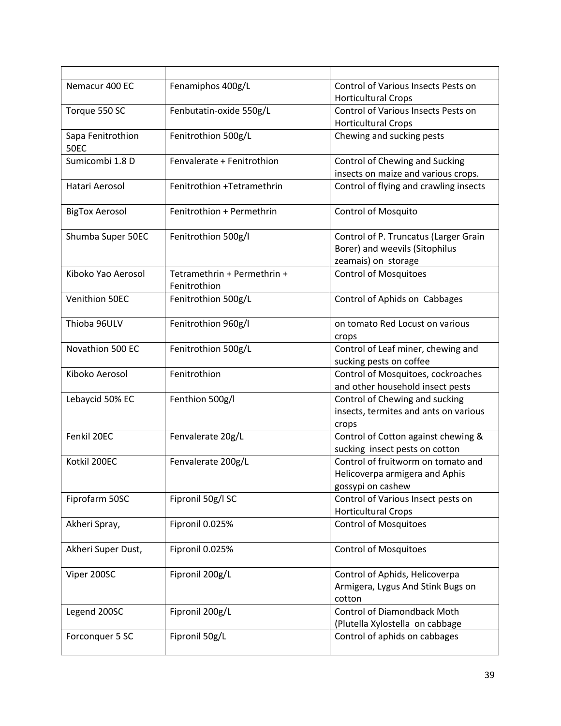| Nemacur 400 EC        | Fenamiphos 400g/L           | Control of Various Insects Pests on    |
|-----------------------|-----------------------------|----------------------------------------|
|                       |                             | <b>Horticultural Crops</b>             |
| Torque 550 SC         | Fenbutatin-oxide 550g/L     | Control of Various Insects Pests on    |
|                       |                             | <b>Horticultural Crops</b>             |
| Sapa Fenitrothion     | Fenitrothion 500g/L         | Chewing and sucking pests              |
| <b>50EC</b>           |                             |                                        |
| Sumicombi 1.8 D       | Fenvalerate + Fenitrothion  | Control of Chewing and Sucking         |
|                       |                             | insects on maize and various crops.    |
| Hatari Aerosol        | Fenitrothion +Tetramethrin  | Control of flying and crawling insects |
|                       |                             |                                        |
| <b>BigTox Aerosol</b> | Fenitrothion + Permethrin   | <b>Control of Mosquito</b>             |
|                       |                             |                                        |
| Shumba Super 50EC     | Fenitrothion 500g/l         | Control of P. Truncatus (Larger Grain  |
|                       |                             | Borer) and weevils (Sitophilus         |
|                       |                             | zeamais) on storage                    |
| Kiboko Yao Aerosol    | Tetramethrin + Permethrin + | <b>Control of Mosquitoes</b>           |
|                       | Fenitrothion                |                                        |
| Venithion 50EC        | Fenitrothion 500g/L         | Control of Aphids on Cabbages          |
|                       |                             |                                        |
| Thioba 96ULV          | Fenitrothion 960g/l         | on tomato Red Locust on various        |
|                       |                             | crops                                  |
| Novathion 500 EC      | Fenitrothion 500g/L         | Control of Leaf miner, chewing and     |
|                       |                             | sucking pests on coffee                |
| Kiboko Aerosol        | Fenitrothion                | Control of Mosquitoes, cockroaches     |
|                       |                             | and other household insect pests       |
| Lebaycid 50% EC       | Fenthion 500g/l             | Control of Chewing and sucking         |
|                       |                             | insects, termites and ants on various  |
|                       |                             | crops                                  |
| Fenkil 20EC           | Fenvalerate 20g/L           | Control of Cotton against chewing &    |
|                       |                             | sucking insect pests on cotton         |
| Kotkil 200EC          | Fenvalerate 200g/L          | Control of fruitworm on tomato and     |
|                       |                             | Helicoverpa armigera and Aphis         |
|                       |                             | gossypi on cashew                      |
| Fiprofarm 50SC        | Fipronil 50g/l SC           | Control of Various Insect pests on     |
|                       |                             | <b>Horticultural Crops</b>             |
| Akheri Spray,         | Fipronil 0.025%             | <b>Control of Mosquitoes</b>           |
|                       |                             |                                        |
| Akheri Super Dust,    | Fipronil 0.025%             | <b>Control of Mosquitoes</b>           |
|                       |                             |                                        |
| Viper 200SC           | Fipronil 200g/L             | Control of Aphids, Helicoverpa         |
|                       |                             | Armigera, Lygus And Stink Bugs on      |
|                       |                             | cotton                                 |
|                       |                             | <b>Control of Diamondback Moth</b>     |
| Legend 200SC          | Fipronil 200g/L             |                                        |
|                       |                             | (Plutella Xylostella on cabbage        |
| Forconquer 5 SC       | Fipronil 50g/L              | Control of aphids on cabbages          |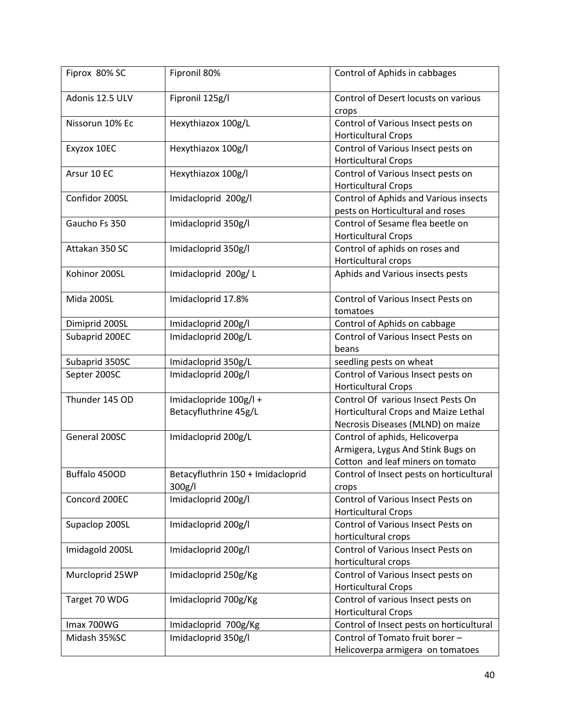| Fiprox 80% SC   | Fipronil 80%                                    | Control of Aphids in cabbages                                                                                   |
|-----------------|-------------------------------------------------|-----------------------------------------------------------------------------------------------------------------|
| Adonis 12.5 ULV | Fipronil 125g/l                                 | Control of Desert locusts on various<br>crops                                                                   |
| Nissorun 10% Ec | Hexythiazox 100g/L                              | Control of Various Insect pests on<br><b>Horticultural Crops</b>                                                |
| Exyzox 10EC     | Hexythiazox 100g/l                              | Control of Various Insect pests on<br><b>Horticultural Crops</b>                                                |
| Arsur 10 EC     | Hexythiazox 100g/l                              | Control of Various Insect pests on<br><b>Horticultural Crops</b>                                                |
| Confidor 200SL  | Imidacloprid 200g/l                             | Control of Aphids and Various insects<br>pests on Horticultural and roses                                       |
| Gaucho Fs 350   | Imidacloprid 350g/l                             | Control of Sesame flea beetle on<br><b>Horticultural Crops</b>                                                  |
| Attakan 350 SC  | Imidacloprid 350g/l                             | Control of aphids on roses and<br>Horticultural crops                                                           |
| Kohinor 200SL   | Imidacloprid 200g/L                             | Aphids and Various insects pests                                                                                |
| Mida 200SL      | Imidacloprid 17.8%                              | Control of Various Insect Pests on<br>tomatoes                                                                  |
| Dimiprid 200SL  | Imidacloprid 200g/l                             | Control of Aphids on cabbage                                                                                    |
| Subaprid 200EC  | Imidacloprid 200g/L                             | Control of Various Insect Pests on<br>beans                                                                     |
| Subaprid 350SC  | Imidacloprid 350g/L                             | seedling pests on wheat                                                                                         |
| Septer 200SC    | Imidacloprid 200g/l                             | Control of Various Insect pests on<br><b>Horticultural Crops</b>                                                |
| Thunder 145 OD  | Imidaclopride 100g/l +<br>Betacyfluthrine 45g/L | Control Of various Insect Pests On<br>Horticultural Crops and Maize Lethal<br>Necrosis Diseases (MLND) on maize |
| General 200SC   | Imidacloprid 200g/L                             | Control of aphids, Helicoverpa<br>Armigera, Lygus And Stink Bugs on<br>Cotton and leaf miners on tomato         |
| Buffalo 450OD   | Betacyfluthrin 150 + Imidacloprid<br>300g/l     | Control of Insect pests on horticultural<br>crops                                                               |
| Concord 200EC   | Imidacloprid 200g/l                             | Control of Various Insect Pests on<br><b>Horticultural Crops</b>                                                |
| Supaclop 200SL  | Imidacloprid 200g/l                             | Control of Various Insect Pests on<br>horticultural crops                                                       |
| Imidagold 200SL | Imidacloprid 200g/l                             | Control of Various Insect Pests on<br>horticultural crops                                                       |
| Murcloprid 25WP | Imidacloprid 250g/Kg                            | Control of Various Insect pests on<br><b>Horticultural Crops</b>                                                |
| Target 70 WDG   | Imidacloprid 700g/Kg                            | Control of various Insect pests on<br><b>Horticultural Crops</b>                                                |
| Imax 700WG      | Imidacloprid 700g/Kg                            | Control of Insect pests on horticultural                                                                        |
| Midash 35%SC    | Imidacloprid 350g/l                             | Control of Tomato fruit borer -<br>Helicoverpa armigera on tomatoes                                             |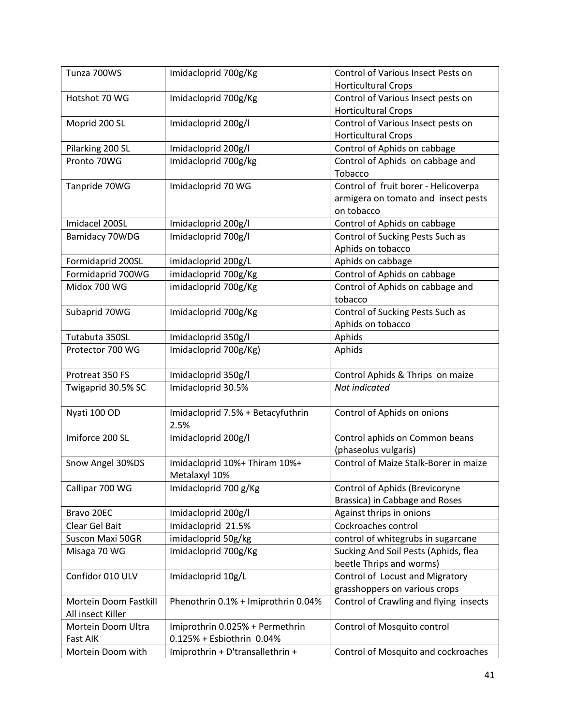| Tunza 700WS           | Imidacloprid 700g/Kg                | Control of Various Insect Pests on     |
|-----------------------|-------------------------------------|----------------------------------------|
|                       |                                     | <b>Horticultural Crops</b>             |
| Hotshot 70 WG         | Imidacloprid 700g/Kg                | Control of Various Insect pests on     |
|                       |                                     | <b>Horticultural Crops</b>             |
| Moprid 200 SL         | Imidacloprid 200g/l                 | Control of Various Insect pests on     |
|                       |                                     | <b>Horticultural Crops</b>             |
| Pilarking 200 SL      | Imidacloprid 200g/l                 | Control of Aphids on cabbage           |
| Pronto 70WG           | Imidacloprid 700g/kg                | Control of Aphids on cabbage and       |
|                       |                                     | Tobacco                                |
| Tanpride 70WG         | Imidacloprid 70 WG                  | Control of fruit borer - Helicoverpa   |
|                       |                                     | armigera on tomato and insect pests    |
|                       |                                     | on tobacco                             |
| Imidacel 200SL        | Imidacloprid 200g/l                 | Control of Aphids on cabbage           |
| <b>Bamidacy 70WDG</b> | Imidacloprid 700g/l                 | Control of Sucking Pests Such as       |
|                       |                                     | Aphids on tobacco                      |
| Formidaprid 200SL     | imidacloprid 200g/L                 | Aphids on cabbage                      |
| Formidaprid 700WG     | imidacloprid 700g/Kg                | Control of Aphids on cabbage           |
| Midox 700 WG          | imidacloprid 700g/Kg                | Control of Aphids on cabbage and       |
|                       |                                     | tobacco                                |
| Subaprid 70WG         | Imidacloprid 700g/Kg                | Control of Sucking Pests Such as       |
|                       |                                     | Aphids on tobacco                      |
| Tutabuta 350SL        | Imidacloprid 350g/l                 | Aphids                                 |
| Protector 700 WG      | Imidacloprid 700g/Kg)               | Aphids                                 |
| Protreat 350 FS       | Imidacloprid 350g/l                 | Control Aphids & Thrips on maize       |
| Twigaprid 30.5% SC    | Imidacloprid 30.5%                  | Not indicated                          |
|                       |                                     |                                        |
| Nyati 100 OD          | Imidacloprid 7.5% + Betacyfuthrin   | Control of Aphids on onions            |
|                       | 2.5%                                |                                        |
| Imiforce 200 SL       | Imidacloprid 200g/l                 | Control aphids on Common beans         |
|                       |                                     | (phaseolus vulgaris)                   |
| Snow Angel 30%DS      | Imidacloprid 10%+ Thiram 10%+       | Control of Maize Stalk-Borer in maize  |
|                       | Metalaxyl 10%                       |                                        |
| Callipar 700 WG       | Imidacloprid 700 g/Kg               | Control of Aphids (Brevicoryne         |
|                       |                                     | Brassica) in Cabbage and Roses         |
| Bravo 20EC            | Imidacloprid 200g/l                 | Against thrips in onions               |
| Clear Gel Bait        | Imidacloprid 21.5%                  | Cockroaches control                    |
| Suscon Maxi 50GR      | imidacloprid 50g/kg                 | control of whitegrubs in sugarcane     |
| Misaga 70 WG          | Imidacloprid 700g/Kg                | Sucking And Soil Pests (Aphids, flea   |
|                       |                                     | beetle Thrips and worms)               |
| Confidor 010 ULV      | Imidacloprid 10g/L                  | Control of Locust and Migratory        |
|                       |                                     | grasshoppers on various crops          |
| Mortein Doom Fastkill | Phenothrin 0.1% + Imiprothrin 0.04% | Control of Crawling and flying insects |
| All insect Killer     |                                     |                                        |
| Mortein Doom Ultra    | Imiprothrin 0.025% + Permethrin     | Control of Mosquito control            |
| Fast AIK              | 0.125% + Esbiothrin 0.04%           |                                        |
| Mortein Doom with     | Imiprothrin + D'transallethrin +    | Control of Mosquito and cockroaches    |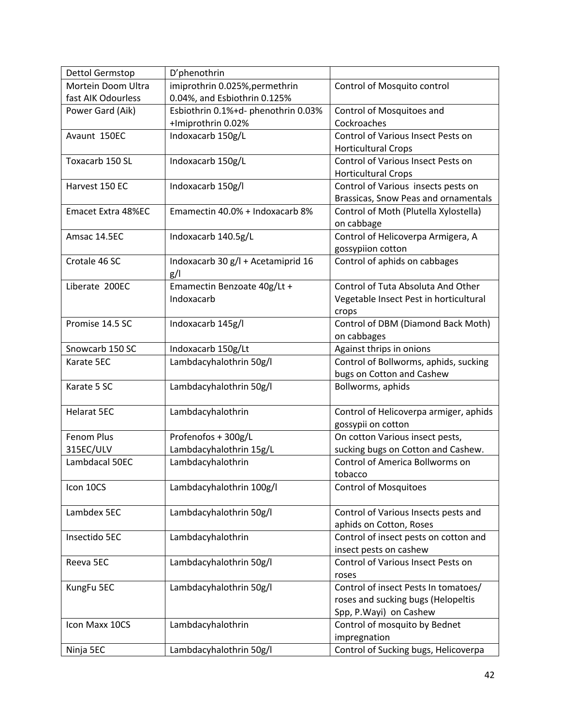| <b>Dettol Germstop</b> | D'phenothrin                        |                                        |
|------------------------|-------------------------------------|----------------------------------------|
| Mortein Doom Ultra     | imiprothrin 0.025%, permethrin      | Control of Mosquito control            |
| fast AIK Odourless     | 0.04%, and Esbiothrin 0.125%        |                                        |
| Power Gard (Aik)       | Esbiothrin 0.1%+d- phenothrin 0.03% | Control of Mosquitoes and              |
|                        | +Imiprothrin 0.02%                  | Cockroaches                            |
| Avaunt 150EC           | Indoxacarb 150g/L                   | Control of Various Insect Pests on     |
|                        |                                     | <b>Horticultural Crops</b>             |
| Toxacarb 150 SL        | Indoxacarb 150g/L                   | Control of Various Insect Pests on     |
|                        |                                     | <b>Horticultural Crops</b>             |
| Harvest 150 EC         | Indoxacarb 150g/l                   | Control of Various insects pests on    |
|                        |                                     | Brassicas, Snow Peas and ornamentals   |
| Emacet Extra 48%EC     | Emamectin 40.0% + Indoxacarb 8%     | Control of Moth (Plutella Xylostella)  |
|                        |                                     | on cabbage                             |
| Amsac 14.5EC           | Indoxacarb 140.5g/L                 | Control of Helicoverpa Armigera, A     |
|                        |                                     | gossypiion cotton                      |
| Crotale 46 SC          | Indoxacarb 30 g/l + Acetamiprid 16  | Control of aphids on cabbages          |
|                        | g/l                                 |                                        |
| Liberate 200EC         | Emamectin Benzoate 40g/Lt +         | Control of Tuta Absoluta And Other     |
|                        | Indoxacarb                          | Vegetable Insect Pest in horticultural |
|                        |                                     | crops                                  |
| Promise 14.5 SC        | Indoxacarb 145g/l                   | Control of DBM (Diamond Back Moth)     |
|                        |                                     | on cabbages                            |
| Snowcarb 150 SC        | Indoxacarb 150g/Lt                  | Against thrips in onions               |
| Karate 5EC             | Lambdacyhalothrin 50g/l             | Control of Bollworms, aphids, sucking  |
|                        |                                     | bugs on Cotton and Cashew              |
| Karate 5 SC            | Lambdacyhalothrin 50g/l             | Bollworms, aphids                      |
|                        |                                     |                                        |
| <b>Helarat 5EC</b>     | Lambdacyhalothrin                   | Control of Helicoverpa armiger, aphids |
|                        |                                     | gossypii on cotton                     |
| Fenom Plus             | Profenofos + 300g/L                 | On cotton Various insect pests,        |
| 315EC/ULV              | Lambdacyhalothrin 15g/L             | sucking bugs on Cotton and Cashew.     |
| Lambdacal 50EC         | Lambdacyhalothrin                   | Control of America Bollworms on        |
|                        |                                     | tobacco                                |
| Icon 10CS              | Lambdacyhalothrin 100g/l            | <b>Control of Mosquitoes</b>           |
|                        |                                     |                                        |
| Lambdex 5EC            | Lambdacyhalothrin 50g/l             | Control of Various Insects pests and   |
|                        |                                     | aphids on Cotton, Roses                |
| Insectido 5EC          | Lambdacyhalothrin                   | Control of insect pests on cotton and  |
|                        |                                     | insect pests on cashew                 |
| Reeva 5EC              | Lambdacyhalothrin 50g/l             | Control of Various Insect Pests on     |
|                        |                                     | roses                                  |
| KungFu 5EC             | Lambdacyhalothrin 50g/l             | Control of insect Pests In tomatoes/   |
|                        |                                     | roses and sucking bugs (Helopeltis     |
|                        |                                     | Spp, P.Wayi) on Cashew                 |
| Icon Maxx 10CS         | Lambdacyhalothrin                   | Control of mosquito by Bednet          |
|                        |                                     | impregnation                           |
|                        |                                     |                                        |
| Ninja 5EC              | Lambdacyhalothrin 50g/l             | Control of Sucking bugs, Helicoverpa   |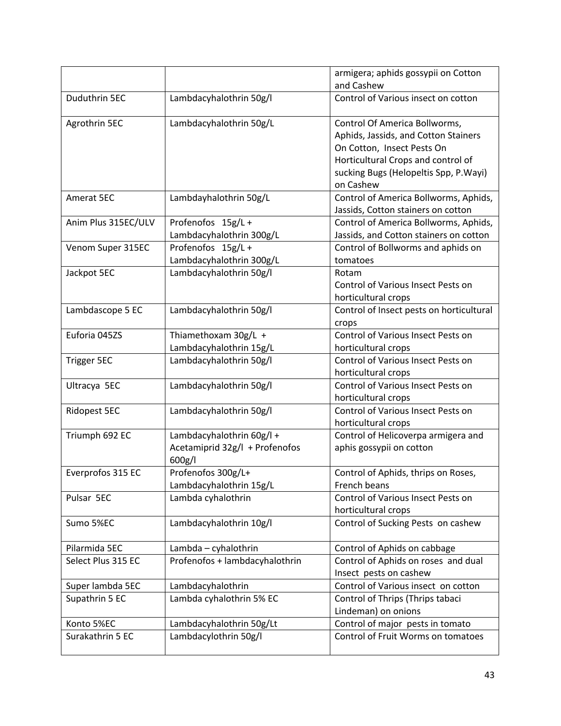|                     |                                | armigera; aphids gossypii on Cotton<br>and Cashew             |
|---------------------|--------------------------------|---------------------------------------------------------------|
| Duduthrin 5EC       | Lambdacyhalothrin 50g/l        | Control of Various insect on cotton                           |
|                     |                                |                                                               |
| Agrothrin 5EC       | Lambdacyhalothrin 50g/L        | Control Of America Bollworms,                                 |
|                     |                                | Aphids, Jassids, and Cotton Stainers                          |
|                     |                                | On Cotton, Insect Pests On                                    |
|                     |                                | Horticultural Crops and control of                            |
|                     |                                | sucking Bugs (Helopeltis Spp, P.Wayi)                         |
|                     |                                | on Cashew                                                     |
| Amerat 5EC          | Lambdayhalothrin 50g/L         | Control of America Bollworms, Aphids,                         |
|                     |                                | Jassids, Cotton stainers on cotton                            |
| Anim Plus 315EC/ULV | Profenofos 15g/L +             | Control of America Bollworms, Aphids,                         |
|                     | Lambdacyhalothrin 300g/L       | Jassids, and Cotton stainers on cotton                        |
| Venom Super 315EC   | Profenofos 15g/L +             | Control of Bollworms and aphids on                            |
|                     | Lambdacyhalothrin 300g/L       | tomatoes                                                      |
| Jackpot 5EC         | Lambdacyhalothrin 50g/l        | Rotam                                                         |
|                     |                                | Control of Various Insect Pests on                            |
|                     |                                | horticultural crops                                           |
| Lambdascope 5 EC    | Lambdacyhalothrin 50g/l        | Control of Insect pests on horticultural                      |
|                     |                                | crops                                                         |
| Euforia 045ZS       | Thiamethoxam 30g/L +           | Control of Various Insect Pests on                            |
|                     | Lambdacyhalothrin 15g/L        | horticultural crops                                           |
| Trigger 5EC         | Lambdacyhalothrin 50g/l        | Control of Various Insect Pests on                            |
|                     |                                | horticultural crops                                           |
| Ultracya 5EC        | Lambdacyhalothrin 50g/l        | Control of Various Insect Pests on                            |
|                     |                                | horticultural crops                                           |
| Ridopest 5EC        | Lambdacyhalothrin 50g/l        | Control of Various Insect Pests on                            |
|                     |                                | horticultural crops                                           |
| Triumph 692 EC      | Lambdacyhalothrin 60g/l +      | Control of Helicoverpa armigera and                           |
|                     | Acetamiprid 32g/l + Profenofos | aphis gossypii on cotton                                      |
|                     | 600g/l                         |                                                               |
| Everprofos 315 EC   | Profenofos 300g/L+             | Control of Aphids, thrips on Roses,                           |
|                     | Lambdacyhalothrin 15g/L        | French beans                                                  |
| Pulsar 5EC          | Lambda cyhalothrin             | Control of Various Insect Pests on                            |
|                     |                                | horticultural crops                                           |
| Sumo 5%EC           | Lambdacyhalothrin 10g/l        | Control of Sucking Pests on cashew                            |
| Pilarmida 5EC       |                                |                                                               |
|                     | Lambda - cyhalothrin           | Control of Aphids on cabbage                                  |
| Select Plus 315 EC  | Profenofos + lambdacyhalothrin | Control of Aphids on roses and dual<br>Insect pests on cashew |
| Super lambda 5EC    | Lambdacyhalothrin              | Control of Various insect on cotton                           |
| Supathrin 5 EC      | Lambda cyhalothrin 5% EC       | Control of Thrips (Thrips tabaci                              |
|                     |                                | Lindeman) on onions                                           |
| Konto 5%EC          | Lambdacyhalothrin 50g/Lt       | Control of major pests in tomato                              |
| Surakathrin 5 EC    | Lambdacylothrin 50g/l          | Control of Fruit Worms on tomatoes                            |
|                     |                                |                                                               |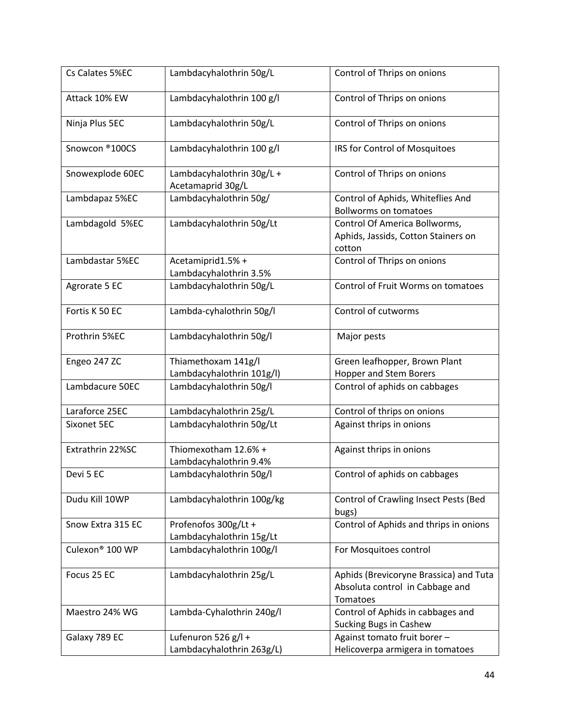| Cs Calates 5%EC             | Lambdacyhalothrin 50g/L                            | Control of Thrips on onions                                                           |
|-----------------------------|----------------------------------------------------|---------------------------------------------------------------------------------------|
| Attack 10% EW               | Lambdacyhalothrin 100 g/l                          | Control of Thrips on onions                                                           |
| Ninja Plus 5EC              | Lambdacyhalothrin 50g/L                            | Control of Thrips on onions                                                           |
| Snowcon <sup>®</sup> 100CS  | Lambdacyhalothrin 100 g/l                          | IRS for Control of Mosquitoes                                                         |
| Snowexplode 60EC            | Lambdacyhalothrin 30g/L +<br>Acetamaprid 30g/L     | Control of Thrips on onions                                                           |
| Lambdapaz 5%EC              | Lambdacyhalothrin 50g/                             | Control of Aphids, Whiteflies And<br><b>Bollworms on tomatoes</b>                     |
| Lambdagold 5%EC             | Lambdacyhalothrin 50g/Lt                           | Control Of America Bollworms,<br>Aphids, Jassids, Cotton Stainers on<br>cotton        |
| Lambdastar 5%EC             | Acetamiprid1.5% +<br>Lambdacyhalothrin 3.5%        | Control of Thrips on onions                                                           |
| Agrorate 5 EC               | Lambdacyhalothrin 50g/L                            | Control of Fruit Worms on tomatoes                                                    |
| Fortis K 50 EC              | Lambda-cyhalothrin 50g/l                           | Control of cutworms                                                                   |
| Prothrin 5%EC               | Lambdacyhalothrin 50g/l                            | Major pests                                                                           |
| Engeo 247 ZC                | Thiamethoxam 141g/l<br>Lambdacyhalothrin 101g/l)   | Green leafhopper, Brown Plant<br><b>Hopper and Stem Borers</b>                        |
| Lambdacure 50EC             | Lambdacyhalothrin 50g/l                            | Control of aphids on cabbages                                                         |
| Laraforce 25EC              | Lambdacyhalothrin 25g/L                            | Control of thrips on onions                                                           |
| Sixonet 5EC                 | Lambdacyhalothrin 50g/Lt                           | Against thrips in onions                                                              |
| Extrathrin 22%SC            | Thiomexotham 12.6% +<br>Lambdacyhalothrin 9.4%     | Against thrips in onions                                                              |
| Devi 5 EC                   | Lambdacyhalothrin 50g/l                            | Control of aphids on cabbages                                                         |
| Dudu Kill 10WP              | Lambdacyhalothrin 100g/kg                          | Control of Crawling Insect Pests (Bed<br>bugs)                                        |
| Snow Extra 315 EC           | Profenofos 300g/Lt +<br>Lambdacyhalothrin 15g/Lt   | Control of Aphids and thrips in onions                                                |
| Culexon <sup>®</sup> 100 WP | Lambdacyhalothrin 100g/l                           | For Mosquitoes control                                                                |
| Focus 25 EC                 | Lambdacyhalothrin 25g/L                            | Aphids (Brevicoryne Brassica) and Tuta<br>Absoluta control in Cabbage and<br>Tomatoes |
| Maestro 24% WG              | Lambda-Cyhalothrin 240g/l                          | Control of Aphids in cabbages and<br>Sucking Bugs in Cashew                           |
| Galaxy 789 EC               | Lufenuron 526 $g/l +$<br>Lambdacyhalothrin 263g/L) | Against tomato fruit borer -<br>Helicoverpa armigera in tomatoes                      |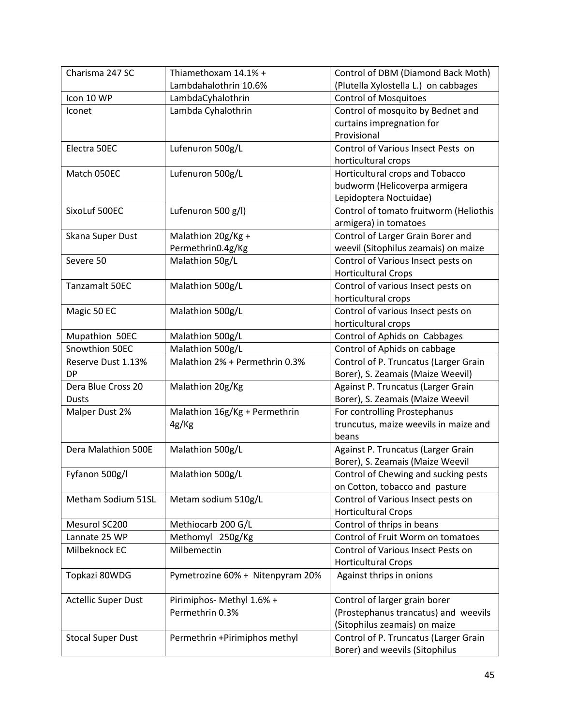| Charisma 247 SC            | Thiamethoxam 14.1% +             | Control of DBM (Diamond Back Moth)     |
|----------------------------|----------------------------------|----------------------------------------|
|                            | Lambdahalothrin 10.6%            | (Plutella Xylostella L.) on cabbages   |
| Icon 10 WP                 | LambdaCyhalothrin                | <b>Control of Mosquitoes</b>           |
| Iconet                     | Lambda Cyhalothrin               | Control of mosquito by Bednet and      |
|                            |                                  | curtains impregnation for              |
|                            |                                  | Provisional                            |
| Electra 50EC               | Lufenuron 500g/L                 | Control of Various Insect Pests on     |
|                            |                                  | horticultural crops                    |
| Match 050EC                | Lufenuron 500g/L                 | Horticultural crops and Tobacco        |
|                            |                                  | budworm (Helicoverpa armigera          |
|                            |                                  | Lepidoptera Noctuidae)                 |
| SixoLuf 500EC              | Lufenuron 500 g/l)               | Control of tomato fruitworm (Heliothis |
|                            |                                  | armigera) in tomatoes                  |
| Skana Super Dust           | Malathion 20g/Kg +               | Control of Larger Grain Borer and      |
|                            | Permethrin0.4g/Kg                | weevil (Sitophilus zeamais) on maize   |
| Severe 50                  | Malathion 50g/L                  | Control of Various Insect pests on     |
|                            |                                  | <b>Horticultural Crops</b>             |
| <b>Tanzamalt 50EC</b>      | Malathion 500g/L                 | Control of various Insect pests on     |
|                            |                                  | horticultural crops                    |
| Magic 50 EC                | Malathion 500g/L                 | Control of various Insect pests on     |
|                            |                                  | horticultural crops                    |
| Mupathion 50EC             | Malathion 500g/L                 | Control of Aphids on Cabbages          |
| Snowthion 50EC             | Malathion 500g/L                 | Control of Aphids on cabbage           |
| Reserve Dust 1.13%         | Malathion 2% + Permethrin 0.3%   | Control of P. Truncatus (Larger Grain  |
| <b>DP</b>                  |                                  | Borer), S. Zeamais (Maize Weevil)      |
| Dera Blue Cross 20         | Malathion 20g/Kg                 | Against P. Truncatus (Larger Grain     |
| <b>Dusts</b>               |                                  | Borer), S. Zeamais (Maize Weevil       |
| Malper Dust 2%             | Malathion 16g/Kg + Permethrin    | For controlling Prostephanus           |
|                            | 4g/Kg                            | truncutus, maize weevils in maize and  |
|                            |                                  | beans                                  |
| Dera Malathion 500E        | Malathion 500g/L                 | Against P. Truncatus (Larger Grain     |
|                            |                                  | Borer), S. Zeamais (Maize Weevil       |
| Fyfanon 500g/l             | Malathion 500g/L                 | Control of Chewing and sucking pests   |
|                            |                                  | on Cotton, tobacco and pasture         |
| Metham Sodium 51SL         | Metam sodium 510g/L              | Control of Various Insect pests on     |
|                            |                                  | <b>Horticultural Crops</b>             |
| Mesurol SC200              | Methiocarb 200 G/L               | Control of thrips in beans             |
| Lannate 25 WP              | Methomyl 250g/Kg                 | Control of Fruit Worm on tomatoes      |
| Milbeknock EC              | Milbemectin                      | Control of Various Insect Pests on     |
|                            |                                  | <b>Horticultural Crops</b>             |
| Topkazi 80WDG              | Pymetrozine 60% + Nitenpyram 20% | Against thrips in onions               |
| <b>Actellic Super Dust</b> | Pirimiphos- Methyl 1.6% +        | Control of larger grain borer          |
|                            | Permethrin 0.3%                  | (Prostephanus trancatus) and weevils   |
|                            |                                  | (Sitophilus zeamais) on maize          |
| <b>Stocal Super Dust</b>   | Permethrin +Pirimiphos methyl    | Control of P. Truncatus (Larger Grain  |
|                            |                                  | Borer) and weevils (Sitophilus         |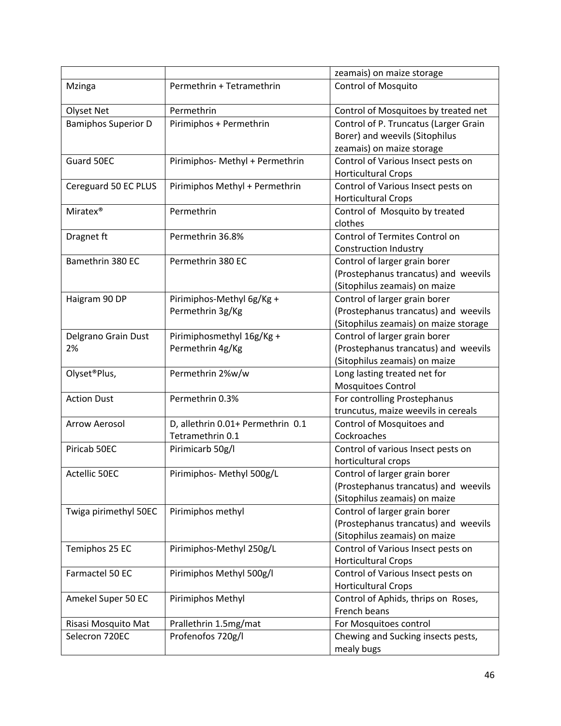|                                       |                                            | zeamais) on maize storage                           |
|---------------------------------------|--------------------------------------------|-----------------------------------------------------|
| Mzinga                                | Permethrin + Tetramethrin                  | <b>Control of Mosquito</b>                          |
| Olyset Net                            | Permethrin                                 | Control of Mosquitoes by treated net                |
| <b>Bamiphos Superior D</b>            | Pirimiphos + Permethrin                    | Control of P. Truncatus (Larger Grain               |
|                                       |                                            | Borer) and weevils (Sitophilus                      |
|                                       |                                            | zeamais) on maize storage                           |
| Guard 50EC                            | Pirimiphos- Methyl + Permethrin            | Control of Various Insect pests on                  |
|                                       |                                            | <b>Horticultural Crops</b>                          |
| Cereguard 50 EC PLUS                  | Pirimiphos Methyl + Permethrin             | Control of Various Insect pests on                  |
|                                       |                                            | <b>Horticultural Crops</b>                          |
| Miratex <sup>®</sup>                  | Permethrin                                 | Control of Mosquito by treated                      |
|                                       |                                            | clothes                                             |
| Dragnet ft                            | Permethrin 36.8%                           | Control of Termites Control on                      |
|                                       |                                            | <b>Construction Industry</b>                        |
| Bamethrin 380 EC                      | Permethrin 380 EC                          | Control of larger grain borer                       |
|                                       |                                            | (Prostephanus trancatus) and weevils                |
|                                       |                                            | (Sitophilus zeamais) on maize                       |
| Haigram 90 DP                         | Pirimiphos-Methyl 6g/Kg +                  | Control of larger grain borer                       |
|                                       | Permethrin 3g/Kg                           | (Prostephanus trancatus) and weevils                |
|                                       |                                            | (Sitophilus zeamais) on maize storage               |
| Delgrano Grain Dust                   | Pirimiphosmethyl 16g/Kg +                  | Control of larger grain borer                       |
| 2%                                    | Permethrin 4g/Kg                           | (Prostephanus trancatus) and weevils                |
|                                       |                                            | (Sitophilus zeamais) on maize                       |
| Olyset®Plus,                          | Permethrin 2%w/w                           | Long lasting treated net for                        |
|                                       |                                            | <b>Mosquitoes Control</b>                           |
| <b>Action Dust</b>                    | Permethrin 0.3%                            | For controlling Prostephanus                        |
|                                       |                                            | truncutus, maize weevils in cereals                 |
| <b>Arrow Aerosol</b>                  | D, allethrin 0.01+ Permethrin 0.1          | Control of Mosquitoes and                           |
|                                       | Tetramethrin 0.1                           | Cockroaches                                         |
| Piricab 50EC                          | Pirimicarb 50g/l                           | Control of various Insect pests on                  |
|                                       |                                            | horticultural crops                                 |
| Actellic 50EC                         | Pirimiphos- Methyl 500g/L                  | Control of larger grain borer                       |
|                                       |                                            | (Prostephanus trancatus) and weevils                |
|                                       |                                            | (Sitophilus zeamais) on maize                       |
| Twiga pirimethyl 50EC                 | Pirimiphos methyl                          | Control of larger grain borer                       |
|                                       |                                            | (Prostephanus trancatus) and weevils                |
|                                       |                                            | (Sitophilus zeamais) on maize                       |
| Temiphos 25 EC                        | Pirimiphos-Methyl 250g/L                   | Control of Various Insect pests on                  |
|                                       |                                            | <b>Horticultural Crops</b>                          |
| Farmactel 50 EC                       | Pirimiphos Methyl 500g/l                   | Control of Various Insect pests on                  |
|                                       |                                            | <b>Horticultural Crops</b>                          |
| Amekel Super 50 EC                    | Pirimiphos Methyl                          | Control of Aphids, thrips on Roses,<br>French beans |
|                                       |                                            | For Mosquitoes control                              |
| Risasi Mosquito Mat<br>Selecron 720EC | Prallethrin 1.5mg/mat<br>Profenofos 720g/l | Chewing and Sucking insects pests,                  |
|                                       |                                            |                                                     |
|                                       |                                            | mealy bugs                                          |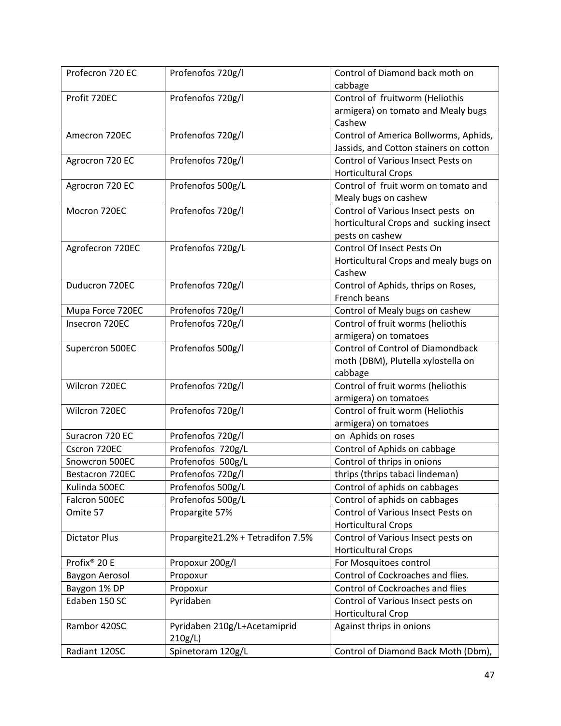| Profecron 720 EC         | Profenofos 720g/l                 | Control of Diamond back moth on        |
|--------------------------|-----------------------------------|----------------------------------------|
|                          |                                   | cabbage                                |
| Profit 720EC             | Profenofos 720g/l                 | Control of fruitworm (Heliothis        |
|                          |                                   | armigera) on tomato and Mealy bugs     |
|                          |                                   | Cashew                                 |
| Amecron 720EC            | Profenofos 720g/l                 | Control of America Bollworms, Aphids,  |
|                          |                                   | Jassids, and Cotton stainers on cotton |
| Agrocron 720 EC          | Profenofos 720g/l                 | Control of Various Insect Pests on     |
|                          |                                   | <b>Horticultural Crops</b>             |
| Agrocron 720 EC          | Profenofos 500g/L                 | Control of fruit worm on tomato and    |
|                          |                                   | Mealy bugs on cashew                   |
| Mocron 720EC             | Profenofos 720g/l                 | Control of Various Insect pests on     |
|                          |                                   | horticultural Crops and sucking insect |
|                          |                                   | pests on cashew                        |
| Agrofecron 720EC         | Profenofos 720g/L                 | Control Of Insect Pests On             |
|                          |                                   | Horticultural Crops and mealy bugs on  |
|                          |                                   | Cashew                                 |
| Duducron 720EC           | Profenofos 720g/l                 | Control of Aphids, thrips on Roses,    |
|                          |                                   | French beans                           |
| Mupa Force 720EC         | Profenofos 720g/l                 | Control of Mealy bugs on cashew        |
| Insecron 720EC           | Profenofos 720g/l                 | Control of fruit worms (heliothis      |
|                          |                                   | armigera) on tomatoes                  |
| Supercron 500EC          | Profenofos 500g/l                 | Control of Control of Diamondback      |
|                          |                                   | moth (DBM), Plutella xylostella on     |
|                          |                                   | cabbage                                |
| Wilcron 720EC            | Profenofos 720g/l                 | Control of fruit worms (heliothis      |
|                          |                                   | armigera) on tomatoes                  |
| Wilcron 720EC            | Profenofos 720g/l                 | Control of fruit worm (Heliothis       |
|                          |                                   | armigera) on tomatoes                  |
| Suracron 720 EC          | Profenofos 720g/l                 | on Aphids on roses                     |
| Cscron 720EC             | Profenofos 720g/L                 | Control of Aphids on cabbage           |
| Snowcron 500EC           | Profenofos 500g/L                 | Control of thrips in onions            |
| Bestacron 720EC          | Profenofos 720g/l                 | thrips (thrips tabaci lindeman)        |
| Kulinda 500EC            | Profenofos 500g/L                 | Control of aphids on cabbages          |
| Falcron 500EC            | Profenofos 500g/L                 | Control of aphids on cabbages          |
| Omite 57                 | Propargite 57%                    | Control of Various Insect Pests on     |
|                          |                                   | <b>Horticultural Crops</b>             |
| <b>Dictator Plus</b>     | Propargite21.2% + Tetradifon 7.5% | Control of Various Insect pests on     |
|                          |                                   | <b>Horticultural Crops</b>             |
| Profix <sup>®</sup> 20 E | Propoxur 200g/l                   | For Mosquitoes control                 |
| Baygon Aerosol           | Propoxur                          | Control of Cockroaches and flies.      |
| Baygon 1% DP             | Propoxur                          | Control of Cockroaches and flies       |
| Edaben 150 SC            | Pyridaben                         | Control of Various Insect pests on     |
|                          |                                   | Horticultural Crop                     |
| Rambor 420SC             | Pyridaben 210g/L+Acetamiprid      | Against thrips in onions               |
|                          | 210g/L                            |                                        |
| Radiant 120SC            | Spinetoram 120g/L                 | Control of Diamond Back Moth (Dbm),    |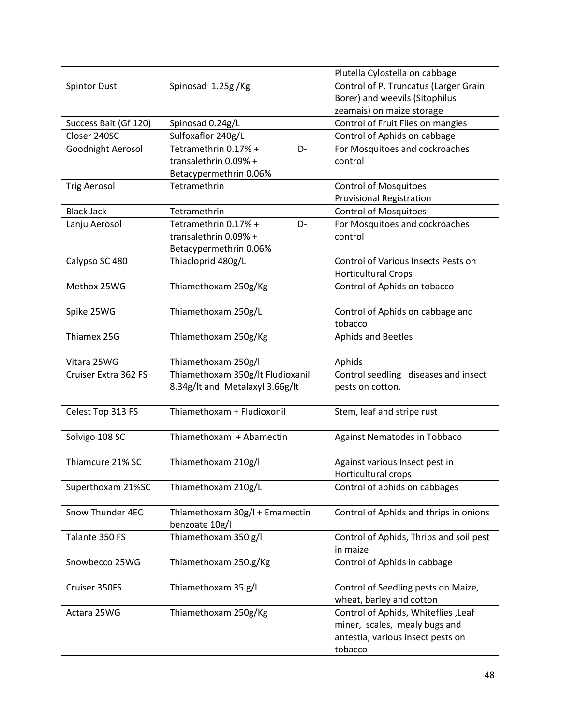|                       |                                  | Plutella Cylostella on cabbage          |
|-----------------------|----------------------------------|-----------------------------------------|
| <b>Spintor Dust</b>   | Spinosad 1.25g /Kg               | Control of P. Truncatus (Larger Grain   |
|                       |                                  | Borer) and weevils (Sitophilus          |
|                       |                                  | zeamais) on maize storage               |
| Success Bait (Gf 120) | Spinosad 0.24g/L                 | Control of Fruit Flies on mangies       |
| Closer 240SC          | Sulfoxaflor 240g/L               | Control of Aphids on cabbage            |
| Goodnight Aerosol     | Tetramethrin 0.17% +<br>D-       | For Mosquitoes and cockroaches          |
|                       | transalethrin 0.09% +            | control                                 |
|                       | Betacypermethrin 0.06%           |                                         |
| <b>Trig Aerosol</b>   | Tetramethrin                     | <b>Control of Mosquitoes</b>            |
|                       |                                  | <b>Provisional Registration</b>         |
| <b>Black Jack</b>     | Tetramethrin                     | <b>Control of Mosquitoes</b>            |
| Lanju Aerosol         | D-<br>Tetramethrin 0.17% +       | For Mosquitoes and cockroaches          |
|                       | transalethrin 0.09% +            | control                                 |
|                       | Betacypermethrin 0.06%           |                                         |
| Calypso SC 480        | Thiacloprid 480g/L               | Control of Various Insects Pests on     |
|                       |                                  | <b>Horticultural Crops</b>              |
| Methox 25WG           | Thiamethoxam 250g/Kg             | Control of Aphids on tobacco            |
|                       |                                  |                                         |
| Spike 25WG            | Thiamethoxam 250g/L              | Control of Aphids on cabbage and        |
|                       |                                  | tobacco                                 |
| Thiamex 25G           | Thiamethoxam 250g/Kg             | Aphids and Beetles                      |
|                       |                                  |                                         |
| Vitara 25WG           | Thiamethoxam 250g/l              | Aphids                                  |
| Cruiser Extra 362 FS  | Thiamethoxam 350g/lt Fludioxanil | Control seedling diseases and insect    |
|                       | 8.34g/lt and Metalaxyl 3.66g/lt  | pests on cotton.                        |
|                       |                                  |                                         |
| Celest Top 313 FS     | Thiamethoxam + Fludioxonil       | Stem, leaf and stripe rust              |
|                       |                                  |                                         |
| Solvigo 108 SC        | Thiamethoxam + Abamectin         | Against Nematodes in Tobbaco            |
|                       |                                  |                                         |
| Thiamcure 21% SC      | Thiamethoxam 210g/l              | Against various Insect pest in          |
|                       |                                  | Horticultural crops                     |
| Superthoxam 21%SC     | Thiamethoxam 210g/L              | Control of aphids on cabbages           |
|                       |                                  |                                         |
| Snow Thunder 4EC      | Thiamethoxam 30g/l + Emamectin   | Control of Aphids and thrips in onions  |
|                       | benzoate 10g/l                   |                                         |
| Talante 350 FS        | Thiamethoxam 350 g/l             | Control of Aphids, Thrips and soil pest |
|                       |                                  | in maize                                |
| Snowbecco 25WG        | Thiamethoxam 250.g/Kg            | Control of Aphids in cabbage            |
|                       |                                  |                                         |
| Cruiser 350FS         | Thiamethoxam 35 g/L              | Control of Seedling pests on Maize,     |
|                       |                                  | wheat, barley and cotton                |
| Actara 25WG           | Thiamethoxam 250g/Kg             | Control of Aphids, Whiteflies, Leaf     |
|                       |                                  | miner, scales, mealy bugs and           |
|                       |                                  | antestia, various insect pests on       |
|                       |                                  | tobacco                                 |
|                       |                                  |                                         |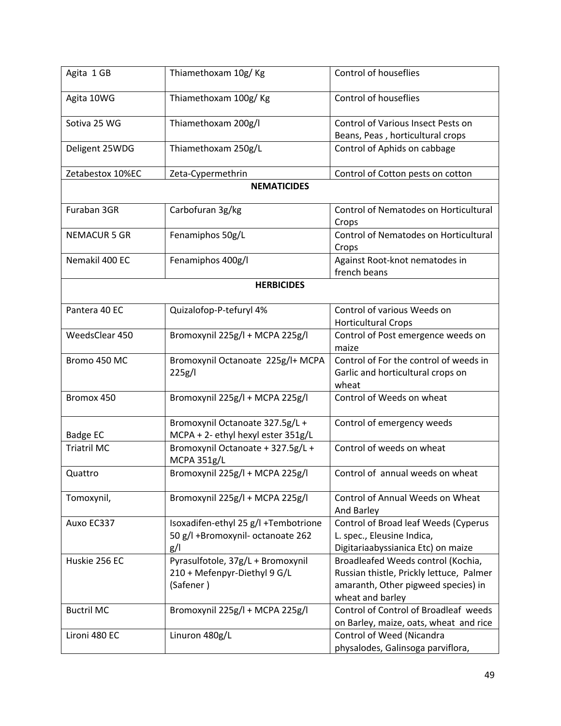| Agita 1 GB          | Thiamethoxam 10g/ Kg                 | Control of houseflies                    |
|---------------------|--------------------------------------|------------------------------------------|
| Agita 10WG          | Thiamethoxam 100g/Kg                 | Control of houseflies                    |
| Sotiva 25 WG        | Thiamethoxam 200g/l                  | Control of Various Insect Pests on       |
|                     |                                      | Beans, Peas, horticultural crops         |
| Deligent 25WDG      | Thiamethoxam 250g/L                  | Control of Aphids on cabbage             |
| Zetabestox 10%EC    | Zeta-Cypermethrin                    | Control of Cotton pests on cotton        |
|                     | <b>NEMATICIDES</b>                   |                                          |
| Furaban 3GR         | Carbofuran 3g/kg                     | Control of Nematodes on Horticultural    |
|                     |                                      | Crops                                    |
| <b>NEMACUR 5 GR</b> | Fenamiphos 50g/L                     | Control of Nematodes on Horticultural    |
|                     |                                      | Crops                                    |
| Nemakil 400 EC      | Fenamiphos 400g/l                    | Against Root-knot nematodes in           |
|                     |                                      | french beans                             |
|                     | <b>HERBICIDES</b>                    |                                          |
| Pantera 40 EC       | Quizalofop-P-tefuryl 4%              | Control of various Weeds on              |
|                     |                                      | <b>Horticultural Crops</b>               |
| WeedsClear 450      | Bromoxynil 225g/l + MCPA 225g/l      | Control of Post emergence weeds on       |
|                     |                                      | maize                                    |
| Bromo 450 MC        | Bromoxynil Octanoate 225g/l+ MCPA    | Control of For the control of weeds in   |
|                     | 225g/l                               | Garlic and horticultural crops on        |
|                     |                                      | wheat                                    |
| Bromox 450          | Bromoxynil 225g/l + MCPA 225g/l      | Control of Weeds on wheat                |
|                     | Bromoxynil Octanoate 327.5g/L +      | Control of emergency weeds               |
| <b>Badge EC</b>     | MCPA + 2- ethyl hexyl ester 351g/L   |                                          |
| <b>Triatril MC</b>  | Bromoxynil Octanoate + 327.5g/L +    | Control of weeds on wheat                |
|                     | MCPA 351g/L                          |                                          |
| Quattro             | Bromoxynil 225g/l + MCPA 225g/l      | Control of annual weeds on wheat         |
| Tomoxynil,          | Bromoxynil 225g/l + MCPA 225g/l      | Control of Annual Weeds on Wheat         |
|                     |                                      | And Barley                               |
| Auxo EC337          | Isoxadifen-ethyl 25 g/l +Tembotrione | Control of Broad leaf Weeds (Cyperus     |
|                     | 50 g/l +Bromoxynil- octanoate 262    | L. spec., Eleusine Indica,               |
|                     | g/                                   | Digitariaabyssianica Etc) on maize       |
| Huskie 256 EC       | Pyrasulfotole, 37g/L + Bromoxynil    | Broadleafed Weeds control (Kochia,       |
|                     | 210 + Mefenpyr-Diethyl 9 G/L         | Russian thistle, Prickly lettuce, Palmer |
|                     | (Safener)                            | amaranth, Other pigweed species) in      |
|                     |                                      | wheat and barley                         |
| <b>Buctril MC</b>   | Bromoxynil 225g/l + MCPA 225g/l      | Control of Control of Broadleaf weeds    |
|                     |                                      | on Barley, maize, oats, wheat and rice   |
| Lironi 480 EC       | Linuron 480g/L                       | Control of Weed (Nicandra                |
|                     |                                      | physalodes, Galinsoga parviflora,        |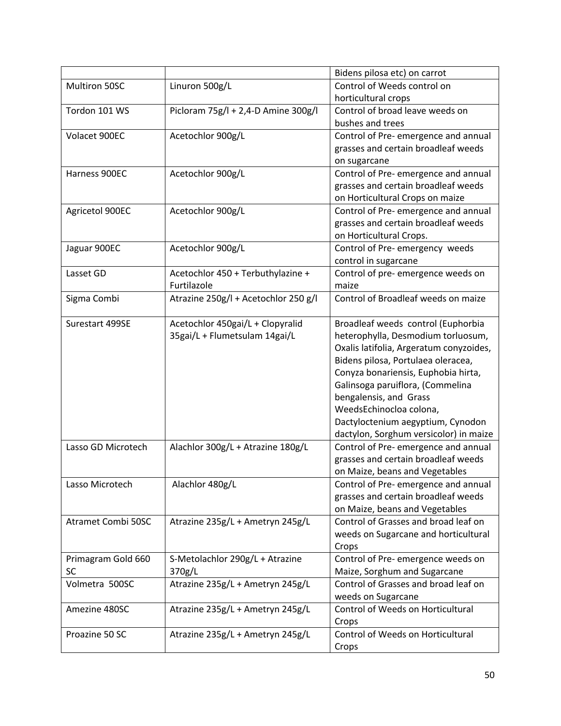|                    |                                      | Bidens pilosa etc) on carrot            |
|--------------------|--------------------------------------|-----------------------------------------|
| Multiron 50SC      | Linuron 500g/L                       | Control of Weeds control on             |
|                    |                                      | horticultural crops                     |
| Tordon 101 WS      | Picloram 75g/l + 2,4-D Amine 300g/l  | Control of broad leave weeds on         |
|                    |                                      | bushes and trees                        |
| Volacet 900EC      | Acetochlor 900g/L                    | Control of Pre- emergence and annual    |
|                    |                                      | grasses and certain broadleaf weeds     |
|                    |                                      | on sugarcane                            |
| Harness 900EC      | Acetochlor 900g/L                    | Control of Pre- emergence and annual    |
|                    |                                      | grasses and certain broadleaf weeds     |
|                    |                                      | on Horticultural Crops on maize         |
| Agricetol 900EC    | Acetochlor 900g/L                    | Control of Pre- emergence and annual    |
|                    |                                      | grasses and certain broadleaf weeds     |
|                    |                                      | on Horticultural Crops.                 |
| Jaguar 900EC       | Acetochlor 900g/L                    | Control of Pre- emergency weeds         |
|                    |                                      | control in sugarcane                    |
| Lasset GD          | Acetochlor 450 + Terbuthylazine +    | Control of pre- emergence weeds on      |
|                    | Furtilazole                          | maize                                   |
| Sigma Combi        | Atrazine 250g/l + Acetochlor 250 g/l | Control of Broadleaf weeds on maize     |
|                    |                                      |                                         |
| Surestart 499SE    | Acetochlor 450gai/L + Clopyralid     | Broadleaf weeds control (Euphorbia      |
|                    | 35gai/L + Flumetsulam 14gai/L        | heterophylla, Desmodium torluosum,      |
|                    |                                      | Oxalis latifolia, Argeratum conyzoides, |
|                    |                                      | Bidens pilosa, Portulaea oleracea,      |
|                    |                                      | Conyza bonariensis, Euphobia hirta,     |
|                    |                                      | Galinsoga paruiflora, (Commelina        |
|                    |                                      | bengalensis, and Grass                  |
|                    |                                      | WeedsEchinocloa colona,                 |
|                    |                                      | Dactyloctenium aegyptium, Cynodon       |
|                    |                                      | dactylon, Sorghum versicolor) in maize  |
| Lasso GD Microtech | Alachlor 300g/L + Atrazine 180g/L    | Control of Pre- emergence and annual    |
|                    |                                      | grasses and certain broadleaf weeds     |
|                    |                                      | on Maize, beans and Vegetables          |
| Lasso Microtech    |                                      |                                         |
|                    | Alachlor 480g/L                      | Control of Pre- emergence and annual    |
|                    |                                      | grasses and certain broadleaf weeds     |
|                    |                                      | on Maize, beans and Vegetables          |
| Atramet Combi 50SC | Atrazine 235g/L + Ametryn 245g/L     | Control of Grasses and broad leaf on    |
|                    |                                      | weeds on Sugarcane and horticultural    |
|                    |                                      | Crops                                   |
| Primagram Gold 660 | S-Metolachlor 290g/L + Atrazine      | Control of Pre- emergence weeds on      |
| SC                 | 370g/L                               | Maize, Sorghum and Sugarcane            |
| Volmetra 500SC     | Atrazine 235g/L + Ametryn 245g/L     | Control of Grasses and broad leaf on    |
|                    |                                      | weeds on Sugarcane                      |
| Amezine 480SC      | Atrazine 235g/L + Ametryn 245g/L     | Control of Weeds on Horticultural       |
|                    |                                      | Crops                                   |
| Proazine 50 SC     | Atrazine 235g/L + Ametryn 245g/L     | Control of Weeds on Horticultural       |
|                    |                                      | Crops                                   |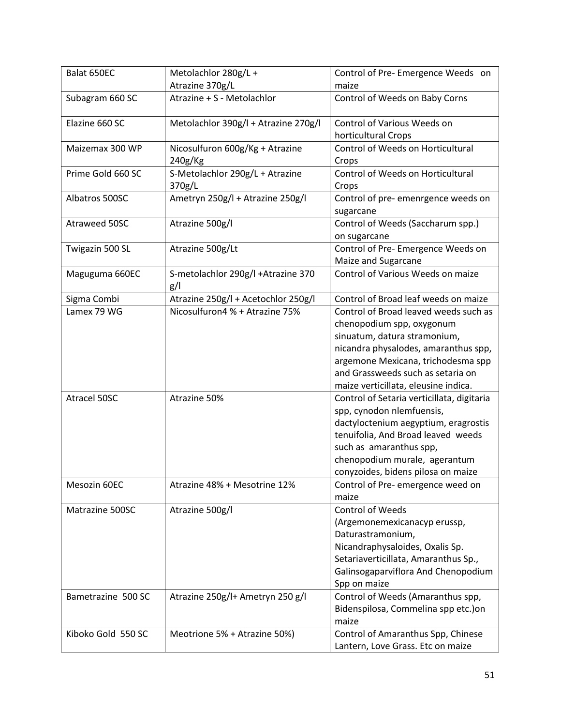| Balat 650EC        | Metolachlor 280g/L +                 | Control of Pre-Emergence Weeds on          |
|--------------------|--------------------------------------|--------------------------------------------|
|                    | Atrazine 370g/L                      | maize                                      |
| Subagram 660 SC    | Atrazine + S - Metolachlor           | Control of Weeds on Baby Corns             |
| Elazine 660 SC     | Metolachlor 390g/l + Atrazine 270g/l | Control of Various Weeds on                |
|                    |                                      | horticultural Crops                        |
| Maizemax 300 WP    | Nicosulfuron 600g/Kg + Atrazine      | Control of Weeds on Horticultural          |
|                    | 240g/Kg                              | Crops                                      |
| Prime Gold 660 SC  | S-Metolachlor 290g/L + Atrazine      | Control of Weeds on Horticultural          |
|                    | 370g/L                               | Crops                                      |
| Albatros 500SC     | Ametryn 250g/l + Atrazine 250g/l     | Control of pre- emenrgence weeds on        |
|                    |                                      | sugarcane                                  |
| Atraweed 50SC      | Atrazine 500g/l                      | Control of Weeds (Saccharum spp.)          |
|                    |                                      | on sugarcane                               |
| Twigazin 500 SL    | Atrazine 500g/Lt                     | Control of Pre- Emergence Weeds on         |
|                    |                                      | Maize and Sugarcane                        |
| Maguguma 660EC     | S-metolachlor 290g/l +Atrazine 370   | Control of Various Weeds on maize          |
|                    | g/l                                  |                                            |
| Sigma Combi        | Atrazine 250g/l + Acetochlor 250g/l  | Control of Broad leaf weeds on maize       |
| Lamex 79 WG        | Nicosulfuron4 % + Atrazine 75%       | Control of Broad leaved weeds such as      |
|                    |                                      | chenopodium spp, oxygonum                  |
|                    |                                      | sinuatum, datura stramonium,               |
|                    |                                      | nicandra physalodes, amaranthus spp,       |
|                    |                                      | argemone Mexicana, trichodesma spp         |
|                    |                                      | and Grassweeds such as setaria on          |
|                    |                                      |                                            |
|                    |                                      | maize verticillata, eleusine indica.       |
| Atracel 50SC       | Atrazine 50%                         | Control of Setaria verticillata, digitaria |
|                    |                                      | spp, cynodon nlemfuensis,                  |
|                    |                                      | dactyloctenium aegyptium, eragrostis       |
|                    |                                      | tenuifolia, And Broad leaved weeds         |
|                    |                                      | such as amaranthus spp,                    |
|                    |                                      | chenopodium murale, agerantum              |
|                    |                                      | conyzoides, bidens pilosa on maize         |
| Mesozin 60EC       | Atrazine 48% + Mesotrine 12%         | Control of Pre- emergence weed on          |
|                    |                                      | maize                                      |
| Matrazine 500SC    | Atrazine 500g/l                      | <b>Control of Weeds</b>                    |
|                    |                                      | (Argemonemexicanacyp erussp,               |
|                    |                                      | Daturastramonium,                          |
|                    |                                      | Nicandraphysaloides, Oxalis Sp.            |
|                    |                                      | Setariaverticillata, Amaranthus Sp.,       |
|                    |                                      | Galinsogaparviflora And Chenopodium        |
|                    |                                      | Spp on maize                               |
| Bametrazine 500 SC | Atrazine 250g/l+ Ametryn 250 g/l     | Control of Weeds (Amaranthus spp,          |
|                    |                                      | Bidenspilosa, Commelina spp etc.) on       |
|                    |                                      | maize                                      |
| Kiboko Gold 550 SC | Meotrione 5% + Atrazine 50%)         | Control of Amaranthus Spp, Chinese         |
|                    |                                      | Lantern, Love Grass. Etc on maize          |
|                    |                                      |                                            |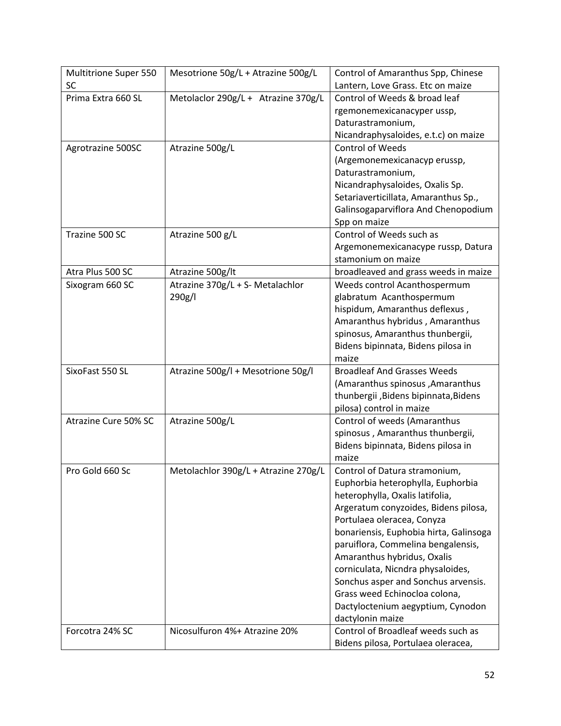| <b>Multitrione Super 550</b> | Mesotrione 50g/L + Atrazine 500g/L   | Control of Amaranthus Spp, Chinese     |
|------------------------------|--------------------------------------|----------------------------------------|
| <b>SC</b>                    |                                      | Lantern, Love Grass. Etc on maize      |
| Prima Extra 660 SL           | Metolaclor 290g/L + Atrazine 370g/L  | Control of Weeds & broad leaf          |
|                              |                                      | rgemonemexicanacyper ussp,             |
|                              |                                      | Daturastramonium,                      |
|                              |                                      | Nicandraphysaloides, e.t.c) on maize   |
| Agrotrazine 500SC            | Atrazine 500g/L                      | <b>Control of Weeds</b>                |
|                              |                                      | (Argemonemexicanacyp erussp,           |
|                              |                                      | Daturastramonium,                      |
|                              |                                      | Nicandraphysaloides, Oxalis Sp.        |
|                              |                                      | Setariaverticillata, Amaranthus Sp.,   |
|                              |                                      | Galinsogaparviflora And Chenopodium    |
|                              |                                      | Spp on maize                           |
| Trazine 500 SC               | Atrazine 500 g/L                     | Control of Weeds such as               |
|                              |                                      | Argemonemexicanacype russp, Datura     |
|                              |                                      | stamonium on maize                     |
| Atra Plus 500 SC             | Atrazine 500g/lt                     | broadleaved and grass weeds in maize   |
| Sixogram 660 SC              | Atrazine 370g/L + S- Metalachlor     | Weeds control Acanthospermum           |
|                              | 290g/l                               | glabratum Acanthospermum               |
|                              |                                      | hispidum, Amaranthus deflexus,         |
|                              |                                      | Amaranthus hybridus, Amaranthus        |
|                              |                                      | spinosus, Amaranthus thunbergii,       |
|                              |                                      | Bidens bipinnata, Bidens pilosa in     |
|                              |                                      | maize                                  |
| SixoFast 550 SL              | Atrazine 500g/l + Mesotrione 50g/l   | <b>Broadleaf And Grasses Weeds</b>     |
|                              |                                      | (Amaranthus spinosus, Amaranthus       |
|                              |                                      | thunbergii, Bidens bipinnata, Bidens   |
|                              |                                      | pilosa) control in maize               |
| Atrazine Cure 50% SC         | Atrazine 500g/L                      | Control of weeds (Amaranthus           |
|                              |                                      | spinosus, Amaranthus thunbergii,       |
|                              |                                      | Bidens bipinnata, Bidens pilosa in     |
|                              |                                      | maize                                  |
| Pro Gold 660 Sc              | Metolachlor 390g/L + Atrazine 270g/L | Control of Datura stramonium,          |
|                              |                                      | Euphorbia heterophylla, Euphorbia      |
|                              |                                      | heterophylla, Oxalis latifolia,        |
|                              |                                      | Argeratum conyzoides, Bidens pilosa,   |
|                              |                                      | Portulaea oleracea, Conyza             |
|                              |                                      | bonariensis, Euphobia hirta, Galinsoga |
|                              |                                      | paruiflora, Commelina bengalensis,     |
|                              |                                      | Amaranthus hybridus, Oxalis            |
|                              |                                      | corniculata, Nicndra physaloides,      |
|                              |                                      | Sonchus asper and Sonchus arvensis.    |
|                              |                                      | Grass weed Echinocloa colona,          |
|                              |                                      | Dactyloctenium aegyptium, Cynodon      |
|                              |                                      | dactylonin maize                       |
| Forcotra 24% SC              | Nicosulfuron 4%+ Atrazine 20%        | Control of Broadleaf weeds such as     |
|                              |                                      | Bidens pilosa, Portulaea oleracea,     |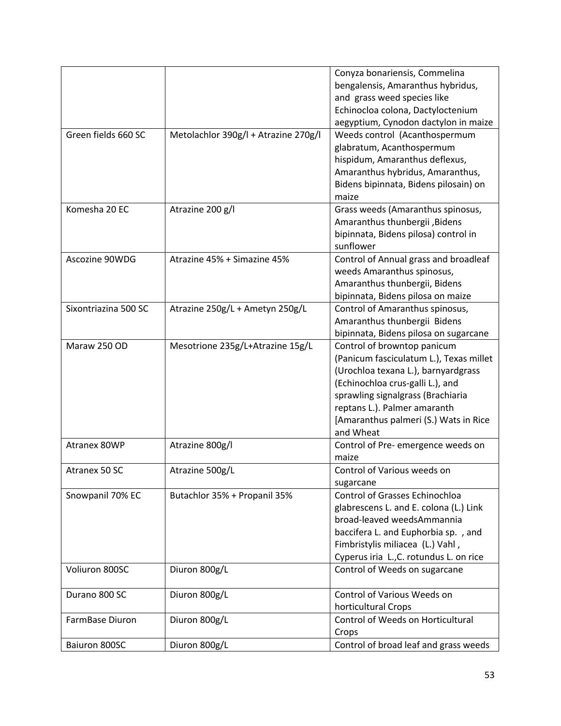|                      |                                      | Conyza bonariensis, Commelina           |
|----------------------|--------------------------------------|-----------------------------------------|
|                      |                                      | bengalensis, Amaranthus hybridus,       |
|                      |                                      | and grass weed species like             |
|                      |                                      | Echinocloa colona, Dactyloctenium       |
|                      |                                      | aegyptium, Cynodon dactylon in maize    |
| Green fields 660 SC  | Metolachlor 390g/l + Atrazine 270g/l | Weeds control (Acanthospermum           |
|                      |                                      | glabratum, Acanthospermum               |
|                      |                                      | hispidum, Amaranthus deflexus,          |
|                      |                                      | Amaranthus hybridus, Amaranthus,        |
|                      |                                      | Bidens bipinnata, Bidens pilosain) on   |
|                      |                                      | maize                                   |
| Komesha 20 EC        | Atrazine 200 g/l                     | Grass weeds (Amaranthus spinosus,       |
|                      |                                      | Amaranthus thunbergii, Bidens           |
|                      |                                      | bipinnata, Bidens pilosa) control in    |
|                      |                                      | sunflower                               |
| Ascozine 90WDG       | Atrazine 45% + Simazine 45%          | Control of Annual grass and broadleaf   |
|                      |                                      | weeds Amaranthus spinosus,              |
|                      |                                      | Amaranthus thunbergii, Bidens           |
|                      |                                      | bipinnata, Bidens pilosa on maize       |
| Sixontriazina 500 SC | Atrazine 250g/L + Ametyn 250g/L      | Control of Amaranthus spinosus,         |
|                      |                                      | Amaranthus thunbergii Bidens            |
|                      |                                      | bipinnata, Bidens pilosa on sugarcane   |
| Maraw 250 OD         | Mesotrione 235g/L+Atrazine 15g/L     | Control of browntop panicum             |
|                      |                                      |                                         |
|                      |                                      | (Panicum fasciculatum L.), Texas millet |
|                      |                                      | (Urochloa texana L.), barnyardgrass     |
|                      |                                      | (Echinochloa crus-galli L.), and        |
|                      |                                      | sprawling signalgrass (Brachiaria       |
|                      |                                      | reptans L.). Palmer amaranth            |
|                      |                                      | [Amaranthus palmeri (S.) Wats in Rice   |
|                      |                                      | and Wheat                               |
| Atranex 80WP         | Atrazine 800g/l                      | Control of Pre- emergence weeds on      |
|                      |                                      | maize                                   |
| Atranex 50 SC        | Atrazine 500g/L                      | Control of Various weeds on             |
|                      |                                      | sugarcane                               |
| Snowpanil 70% EC     | Butachlor 35% + Propanil 35%         | <b>Control of Grasses Echinochloa</b>   |
|                      |                                      | glabrescens L. and E. colona (L.) Link  |
|                      |                                      | broad-leaved weedsAmmannia              |
|                      |                                      | baccifera L. and Euphorbia sp., and     |
|                      |                                      | Fimbristylis miliacea (L.) Vahl,        |
|                      |                                      | Cyperus iria L., C. rotundus L. on rice |
| Voliuron 800SC       | Diuron 800g/L                        | Control of Weeds on sugarcane           |
| Durano 800 SC        | Diuron 800g/L                        | Control of Various Weeds on             |
|                      |                                      | horticultural Crops                     |
| FarmBase Diuron      | Diuron 800g/L                        | Control of Weeds on Horticultural       |
|                      |                                      | Crops                                   |
| Baiuron 800SC        | Diuron 800g/L                        | Control of broad leaf and grass weeds   |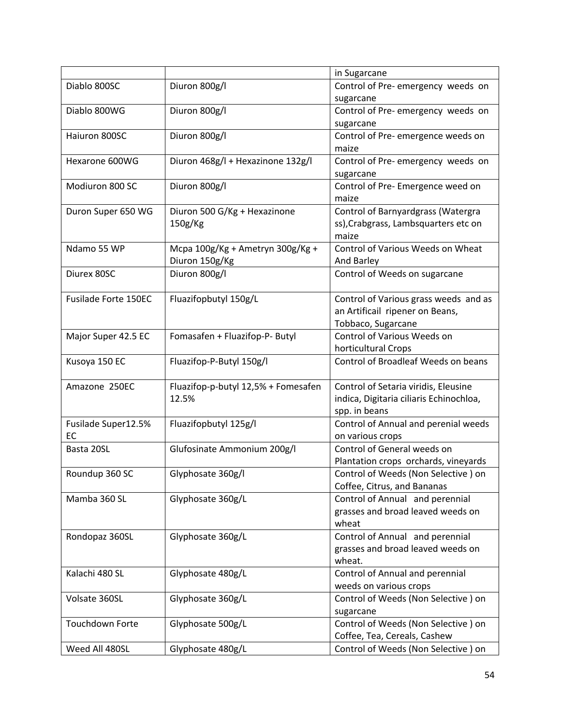|                      |                                     | in Sugarcane                            |
|----------------------|-------------------------------------|-----------------------------------------|
| Diablo 800SC         | Diuron 800g/l                       | Control of Pre- emergency weeds on      |
|                      |                                     | sugarcane                               |
| Diablo 800WG         | Diuron 800g/l                       | Control of Pre- emergency weeds on      |
|                      |                                     | sugarcane                               |
| Haiuron 800SC        | Diuron 800g/l                       | Control of Pre- emergence weeds on      |
|                      |                                     | maize                                   |
| Hexarone 600WG       | Diuron 468g/l + Hexazinone 132g/l   | Control of Pre- emergency weeds on      |
|                      |                                     | sugarcane                               |
| Modiuron 800 SC      | Diuron 800g/l                       | Control of Pre- Emergence weed on       |
|                      |                                     | maize                                   |
| Duron Super 650 WG   | Diuron 500 G/Kg + Hexazinone        | Control of Barnyardgrass (Watergra      |
|                      | 150g/Kg                             | ss), Crabgrass, Lambsquarters etc on    |
|                      |                                     | maize                                   |
| Ndamo 55 WP          | Mcpa 100g/Kg + Ametryn 300g/Kg +    | Control of Various Weeds on Wheat       |
|                      | Diuron 150g/Kg                      | And Barley                              |
| Diurex 80SC          | Diuron 800g/l                       | Control of Weeds on sugarcane           |
|                      |                                     |                                         |
| Fusilade Forte 150EC | Fluazifopbutyl 150g/L               | Control of Various grass weeds and as   |
|                      |                                     | an Artificail ripener on Beans,         |
|                      |                                     | Tobbaco, Sugarcane                      |
| Major Super 42.5 EC  | Fomasafen + Fluazifop-P- Butyl      | Control of Various Weeds on             |
|                      |                                     | horticultural Crops                     |
| Kusoya 150 EC        | Fluazifop-P-Butyl 150g/l            | Control of Broadleaf Weeds on beans     |
| Amazone 250EC        | Fluazifop-p-butyl 12,5% + Fomesafen | Control of Setaria viridis, Eleusine    |
|                      | 12.5%                               | indica, Digitaria ciliaris Echinochloa, |
|                      |                                     | spp. in beans                           |
| Fusilade Super12.5%  | Fluazifopbutyl 125g/l               | Control of Annual and perenial weeds    |
| EC                   |                                     | on various crops                        |
| Basta 20SL           | Glufosinate Ammonium 200g/l         | Control of General weeds on             |
|                      |                                     | Plantation crops orchards, vineyards    |
| Roundup 360 SC       | Glyphosate 360g/l                   | Control of Weeds (Non Selective) on     |
|                      |                                     | Coffee, Citrus, and Bananas             |
| Mamba 360 SL         | Glyphosate 360g/L                   | Control of Annual and perennial         |
|                      |                                     | grasses and broad leaved weeds on       |
|                      |                                     | wheat                                   |
| Rondopaz 360SL       | Glyphosate 360g/L                   | Control of Annual and perennial         |
|                      |                                     | grasses and broad leaved weeds on       |
|                      |                                     | wheat.                                  |
| Kalachi 480 SL       | Glyphosate 480g/L                   | Control of Annual and perennial         |
|                      |                                     | weeds on various crops                  |
| Volsate 360SL        | Glyphosate 360g/L                   | Control of Weeds (Non Selective) on     |
|                      |                                     | sugarcane                               |
| Touchdown Forte      | Glyphosate 500g/L                   | Control of Weeds (Non Selective) on     |
|                      |                                     | Coffee, Tea, Cereals, Cashew            |
| Weed All 480SL       | Glyphosate 480g/L                   | Control of Weeds (Non Selective) on     |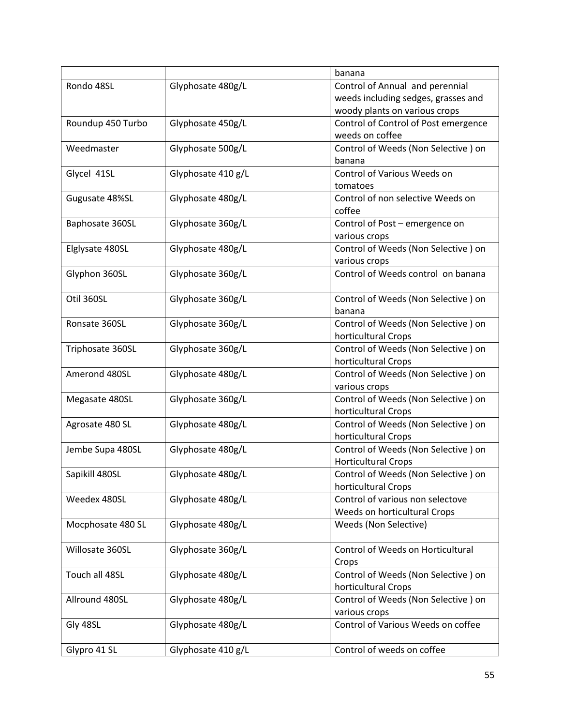|                   |                    | banana                               |
|-------------------|--------------------|--------------------------------------|
| Rondo 48SL        | Glyphosate 480g/L  | Control of Annual and perennial      |
|                   |                    | weeds including sedges, grasses and  |
|                   |                    | woody plants on various crops        |
| Roundup 450 Turbo | Glyphosate 450g/L  | Control of Control of Post emergence |
|                   |                    | weeds on coffee                      |
| Weedmaster        | Glyphosate 500g/L  | Control of Weeds (Non Selective) on  |
|                   |                    | banana                               |
| Glycel 41SL       | Glyphosate 410 g/L | Control of Various Weeds on          |
|                   |                    | tomatoes                             |
| Gugusate 48%SL    | Glyphosate 480g/L  | Control of non selective Weeds on    |
|                   |                    | coffee                               |
| Baphosate 360SL   | Glyphosate 360g/L  | Control of Post - emergence on       |
|                   |                    | various crops                        |
| Elglysate 480SL   | Glyphosate 480g/L  | Control of Weeds (Non Selective) on  |
|                   |                    | various crops                        |
| Glyphon 360SL     | Glyphosate 360g/L  | Control of Weeds control on banana   |
|                   |                    |                                      |
| Otil 360SL        | Glyphosate 360g/L  | Control of Weeds (Non Selective) on  |
|                   |                    | banana                               |
| Ronsate 360SL     | Glyphosate 360g/L  | Control of Weeds (Non Selective) on  |
|                   |                    | horticultural Crops                  |
| Triphosate 360SL  | Glyphosate 360g/L  | Control of Weeds (Non Selective) on  |
|                   |                    | horticultural Crops                  |
| Amerond 480SL     | Glyphosate 480g/L  | Control of Weeds (Non Selective) on  |
|                   |                    | various crops                        |
| Megasate 480SL    | Glyphosate 360g/L  | Control of Weeds (Non Selective) on  |
|                   |                    | horticultural Crops                  |
| Agrosate 480 SL   | Glyphosate 480g/L  | Control of Weeds (Non Selective) on  |
|                   |                    | horticultural Crops                  |
| Jembe Supa 480SL  | Glyphosate 480g/L  | Control of Weeds (Non Selective) on  |
|                   |                    | <b>Horticultural Crops</b>           |
| Sapikill 480SL    | Glyphosate 480g/L  | Control of Weeds (Non Selective) on  |
|                   |                    | horticultural Crops                  |
| Weedex 480SL      | Glyphosate 480g/L  | Control of various non selectove     |
|                   |                    | Weeds on horticultural Crops         |
| Mocphosate 480 SL | Glyphosate 480g/L  | Weeds (Non Selective)                |
|                   |                    |                                      |
| Willosate 360SL   | Glyphosate 360g/L  | Control of Weeds on Horticultural    |
|                   |                    | Crops                                |
| Touch all 48SL    | Glyphosate 480g/L  | Control of Weeds (Non Selective) on  |
|                   |                    | horticultural Crops                  |
| Allround 480SL    | Glyphosate 480g/L  | Control of Weeds (Non Selective) on  |
|                   |                    | various crops                        |
| Gly 48SL          | Glyphosate 480g/L  | Control of Various Weeds on coffee   |
|                   |                    |                                      |
| Glypro 41 SL      | Glyphosate 410 g/L | Control of weeds on coffee           |
|                   |                    |                                      |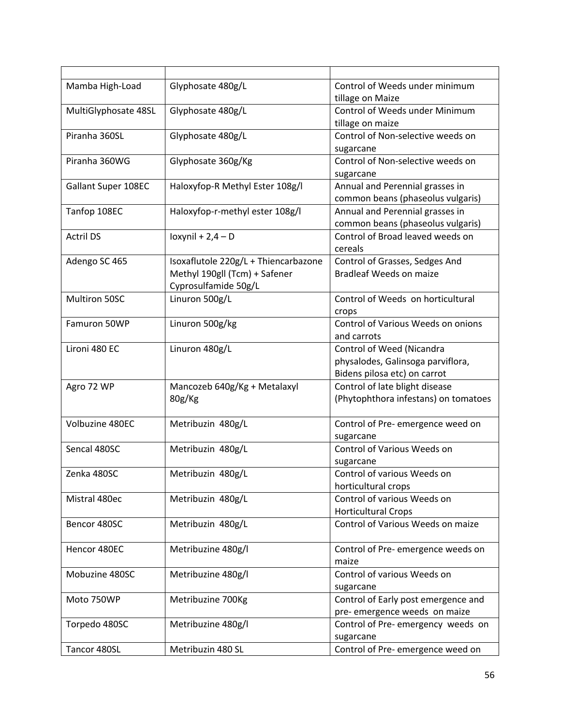| Mamba High-Load      | Glyphosate 480g/L                    | Control of Weeds under minimum                   |
|----------------------|--------------------------------------|--------------------------------------------------|
|                      |                                      | tillage on Maize                                 |
| MultiGlyphosate 48SL | Glyphosate 480g/L                    | Control of Weeds under Minimum                   |
|                      |                                      | tillage on maize                                 |
| Piranha 360SL        | Glyphosate 480g/L                    | Control of Non-selective weeds on                |
|                      |                                      | sugarcane                                        |
| Piranha 360WG        | Glyphosate 360g/Kg                   | Control of Non-selective weeds on                |
|                      |                                      | sugarcane                                        |
| Gallant Super 108EC  | Haloxyfop-R Methyl Ester 108g/l      | Annual and Perennial grasses in                  |
|                      |                                      | common beans (phaseolus vulgaris)                |
| Tanfop 108EC         | Haloxyfop-r-methyl ester 108g/l      | Annual and Perennial grasses in                  |
|                      |                                      | common beans (phaseolus vulgaris)                |
| <b>Actril DS</b>     | loxynil + $2,4 - D$                  | Control of Broad leaved weeds on                 |
|                      |                                      | cereals                                          |
| Adengo SC 465        | Isoxaflutole 220g/L + Thiencarbazone | Control of Grasses, Sedges And                   |
|                      | Methyl 190gll (Tcm) + Safener        | <b>Bradleaf Weeds on maize</b>                   |
|                      | Cyprosulfamide 50g/L                 |                                                  |
| Multiron 50SC        | Linuron 500g/L                       | Control of Weeds on horticultural                |
|                      |                                      | crops                                            |
| Famuron 50WP         | Linuron 500g/kg                      | Control of Various Weeds on onions               |
|                      |                                      | and carrots                                      |
| Lironi 480 EC        | Linuron 480g/L                       | Control of Weed (Nicandra                        |
|                      |                                      | physalodes, Galinsoga parviflora,                |
|                      |                                      | Bidens pilosa etc) on carrot                     |
| Agro 72 WP           | Mancozeb 640g/Kg + Metalaxyl         | Control of late blight disease                   |
|                      | 80g/Kg                               | (Phytophthora infestans) on tomatoes             |
|                      |                                      |                                                  |
| Volbuzine 480EC      | Metribuzin 480g/L                    | Control of Pre- emergence weed on                |
|                      |                                      | sugarcane                                        |
| Sencal 480SC         | Metribuzin 480g/L                    | Control of Various Weeds on                      |
|                      |                                      | sugarcane                                        |
| Zenka 480SC          | Metribuzin 480g/L                    | Control of various Weeds on                      |
|                      |                                      | horticultural crops                              |
| Mistral 480ec        | Metribuzin 480g/L                    | Control of various Weeds on                      |
|                      |                                      | <b>Horticultural Crops</b>                       |
| Bencor 480SC         | Metribuzin 480g/L                    | Control of Various Weeds on maize                |
| Hencor 480EC         |                                      |                                                  |
|                      | Metribuzine 480g/l                   | Control of Pre- emergence weeds on<br>maize      |
| Mobuzine 480SC       |                                      | Control of various Weeds on                      |
|                      | Metribuzine 480g/l                   |                                                  |
| Moto 750WP           |                                      | sugarcane<br>Control of Early post emergence and |
|                      | Metribuzine 700Kg                    | pre- emergence weeds on maize                    |
| Torpedo 480SC        | Metribuzine 480g/l                   | Control of Pre- emergency weeds on               |
|                      |                                      | sugarcane                                        |
| Tancor 480SL         | Metribuzin 480 SL                    | Control of Pre- emergence weed on                |
|                      |                                      |                                                  |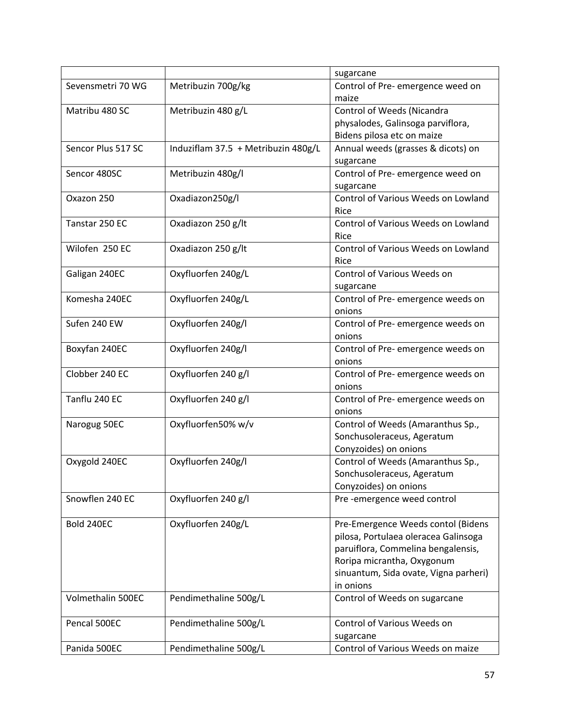|                    |                                     | sugarcane                             |
|--------------------|-------------------------------------|---------------------------------------|
| Sevensmetri 70 WG  | Metribuzin 700g/kg                  | Control of Pre- emergence weed on     |
|                    |                                     | maize                                 |
| Matribu 480 SC     | Metribuzin 480 g/L                  | Control of Weeds (Nicandra            |
|                    |                                     | physalodes, Galinsoga parviflora,     |
|                    |                                     | Bidens pilosa etc on maize            |
| Sencor Plus 517 SC | Induziflam 37.5 + Metribuzin 480g/L | Annual weeds (grasses & dicots) on    |
|                    |                                     | sugarcane                             |
| Sencor 480SC       | Metribuzin 480g/l                   | Control of Pre- emergence weed on     |
|                    |                                     | sugarcane                             |
| Oxazon 250         | Oxadiazon250g/l                     | Control of Various Weeds on Lowland   |
|                    |                                     | Rice                                  |
| Tanstar 250 EC     | Oxadiazon 250 g/lt                  | Control of Various Weeds on Lowland   |
|                    |                                     | Rice                                  |
| Wilofen 250 EC     | Oxadiazon 250 g/lt                  | Control of Various Weeds on Lowland   |
|                    |                                     | Rice                                  |
| Galigan 240EC      | Oxyfluorfen 240g/L                  | Control of Various Weeds on           |
|                    |                                     | sugarcane                             |
| Komesha 240EC      | Oxyfluorfen 240g/L                  | Control of Pre- emergence weeds on    |
|                    |                                     | onions                                |
| Sufen 240 EW       | Oxyfluorfen 240g/l                  | Control of Pre- emergence weeds on    |
|                    |                                     | onions                                |
| Boxyfan 240EC      | Oxyfluorfen 240g/l                  | Control of Pre- emergence weeds on    |
|                    |                                     | onions                                |
| Clobber 240 EC     | Oxyfluorfen 240 g/l                 | Control of Pre- emergence weeds on    |
|                    |                                     | onions                                |
| Tanflu 240 EC      | Oxyfluorfen 240 g/l                 | Control of Pre- emergence weeds on    |
|                    |                                     | onions                                |
| Narogug 50EC       | Oxyfluorfen50% w/v                  | Control of Weeds (Amaranthus Sp.,     |
|                    |                                     | Sonchusoleraceus, Ageratum            |
|                    |                                     | Conyzoides) on onions                 |
| Oxygold 240EC      | Oxyfluorfen 240g/l                  | Control of Weeds (Amaranthus Sp.,     |
|                    |                                     | Sonchusoleraceus, Ageratum            |
|                    |                                     | Conyzoides) on onions                 |
| Snowflen 240 EC    | Oxyfluorfen 240 g/l                 | Pre-emergence weed control            |
|                    |                                     |                                       |
| Bold 240EC         | Oxyfluorfen 240g/L                  | Pre-Emergence Weeds contol (Bidens    |
|                    |                                     | pilosa, Portulaea oleracea Galinsoga  |
|                    |                                     | paruiflora, Commelina bengalensis,    |
|                    |                                     | Roripa micrantha, Oxygonum            |
|                    |                                     | sinuantum, Sida ovate, Vigna parheri) |
|                    |                                     | in onions                             |
| Volmethalin 500EC  | Pendimethaline 500g/L               | Control of Weeds on sugarcane         |
|                    |                                     |                                       |
| Pencal 500EC       | Pendimethaline 500g/L               | Control of Various Weeds on           |
|                    |                                     | sugarcane                             |
| Panida 500EC       | Pendimethaline 500g/L               | Control of Various Weeds on maize     |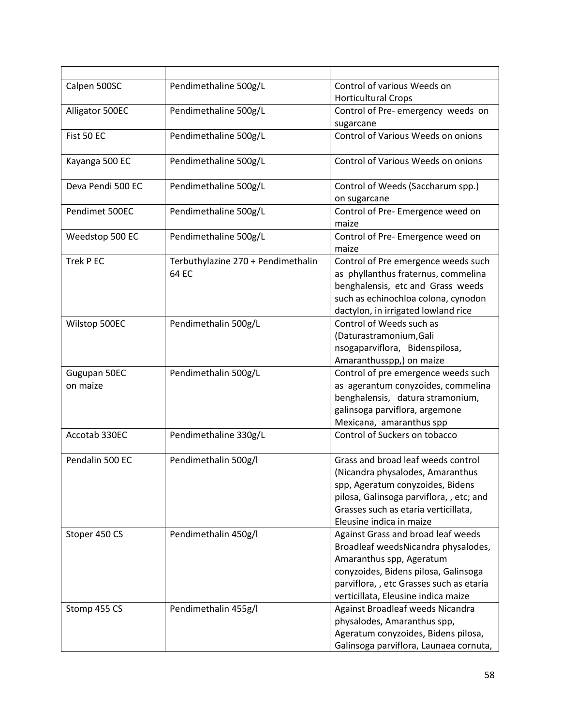| Calpen 500SC      | Pendimethaline 500g/L                       | Control of various Weeds on                                              |
|-------------------|---------------------------------------------|--------------------------------------------------------------------------|
|                   |                                             | <b>Horticultural Crops</b>                                               |
| Alligator 500EC   | Pendimethaline 500g/L                       | Control of Pre- emergency weeds on                                       |
|                   |                                             | sugarcane                                                                |
| Fist 50 EC        | Pendimethaline 500g/L                       | Control of Various Weeds on onions                                       |
| Kayanga 500 EC    | Pendimethaline 500g/L                       | Control of Various Weeds on onions                                       |
| Deva Pendi 500 EC | Pendimethaline 500g/L                       | Control of Weeds (Saccharum spp.)<br>on sugarcane                        |
| Pendimet 500EC    | Pendimethaline 500g/L                       | Control of Pre- Emergence weed on<br>maize                               |
| Weedstop 500 EC   | Pendimethaline 500g/L                       | Control of Pre- Emergence weed on                                        |
|                   |                                             | maize                                                                    |
| Trek P EC         | Terbuthylazine 270 + Pendimethalin<br>64 EC | Control of Pre emergence weeds such                                      |
|                   |                                             | as phyllanthus fraternus, commelina<br>benghalensis, etc and Grass weeds |
|                   |                                             | such as echinochloa colona, cynodon                                      |
|                   |                                             | dactylon, in irrigated lowland rice                                      |
| Wilstop 500EC     | Pendimethalin 500g/L                        | Control of Weeds such as                                                 |
|                   |                                             | (Daturastramonium, Gali                                                  |
|                   |                                             | nsogaparviflora, Bidenspilosa,                                           |
|                   |                                             | Amaranthusspp,) on maize                                                 |
| Gugupan 50EC      | Pendimethalin 500g/L                        | Control of pre emergence weeds such                                      |
| on maize          |                                             | as agerantum conyzoides, commelina                                       |
|                   |                                             | benghalensis, datura stramonium,                                         |
|                   |                                             | galinsoga parviflora, argemone                                           |
|                   |                                             | Mexicana, amaranthus spp                                                 |
| Accotab 330EC     | Pendimethaline 330g/L                       | Control of Suckers on tobacco                                            |
| Pendalin 500 EC   | Pendimethalin 500g/l                        | Grass and broad leaf weeds control                                       |
|                   |                                             | (Nicandra physalodes, Amaranthus                                         |
|                   |                                             | spp, Ageratum conyzoides, Bidens                                         |
|                   |                                             | pilosa, Galinsoga parviflora, , etc; and                                 |
|                   |                                             | Grasses such as etaria verticillata,                                     |
|                   |                                             | Eleusine indica in maize                                                 |
| Stoper 450 CS     | Pendimethalin 450g/l                        | Against Grass and broad leaf weeds                                       |
|                   |                                             | Broadleaf weedsNicandra physalodes,                                      |
|                   |                                             | Amaranthus spp, Ageratum                                                 |
|                   |                                             | conyzoides, Bidens pilosa, Galinsoga                                     |
|                   |                                             | parviflora, , etc Grasses such as etaria                                 |
|                   |                                             | verticillata, Eleusine indica maize                                      |
| Stomp 455 CS      | Pendimethalin 455g/l                        | Against Broadleaf weeds Nicandra                                         |
|                   |                                             | physalodes, Amaranthus spp,<br>Ageratum conyzoides, Bidens pilosa,       |
|                   |                                             | Galinsoga parviflora, Launaea cornuta,                                   |
|                   |                                             |                                                                          |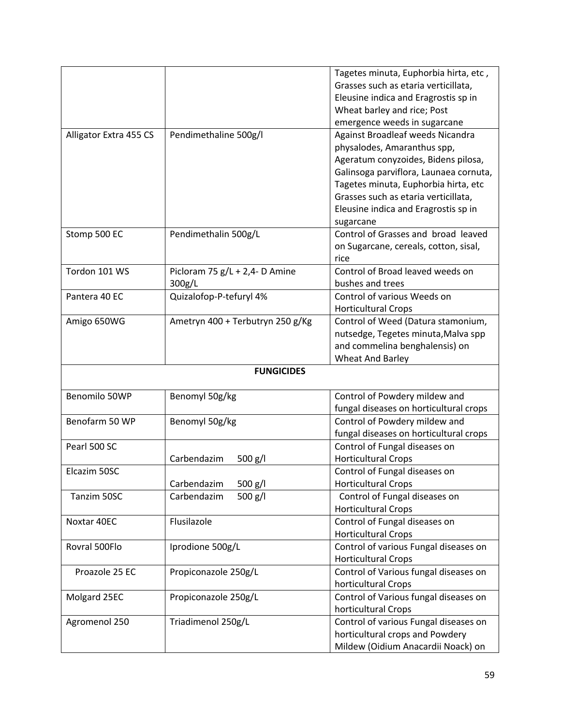|                        |                                  | Tagetes minuta, Euphorbia hirta, etc,  |
|------------------------|----------------------------------|----------------------------------------|
|                        |                                  | Grasses such as etaria verticillata,   |
|                        |                                  | Eleusine indica and Eragrostis sp in   |
|                        |                                  | Wheat barley and rice; Post            |
|                        |                                  | emergence weeds in sugarcane           |
|                        |                                  |                                        |
| Alligator Extra 455 CS | Pendimethaline 500g/l            | Against Broadleaf weeds Nicandra       |
|                        |                                  | physalodes, Amaranthus spp,            |
|                        |                                  | Ageratum conyzoides, Bidens pilosa,    |
|                        |                                  | Galinsoga parviflora, Launaea cornuta, |
|                        |                                  | Tagetes minuta, Euphorbia hirta, etc   |
|                        |                                  | Grasses such as etaria verticillata,   |
|                        |                                  | Eleusine indica and Eragrostis sp in   |
|                        |                                  | sugarcane                              |
| Stomp 500 EC           | Pendimethalin 500g/L             | Control of Grasses and broad leaved    |
|                        |                                  | on Sugarcane, cereals, cotton, sisal,  |
|                        |                                  | rice                                   |
| Tordon 101 WS          | Picloram 75 g/L + 2,4- D Amine   | Control of Broad leaved weeds on       |
|                        | 300g/L                           | bushes and trees                       |
| Pantera 40 EC          | Quizalofop-P-tefuryl 4%          | Control of various Weeds on            |
|                        |                                  | <b>Horticultural Crops</b>             |
| Amigo 650WG            | Ametryn 400 + Terbutryn 250 g/Kg | Control of Weed (Datura stamonium,     |
|                        |                                  | nutsedge, Tegetes minuta, Malva spp    |
|                        |                                  | and commelina benghalensis) on         |
|                        |                                  | <b>Wheat And Barley</b>                |
|                        | <b>FUNGICIDES</b>                |                                        |
| Benomilo 50WP          | Benomyl 50g/kg                   | Control of Powdery mildew and          |
|                        |                                  | fungal diseases on horticultural crops |
| Benofarm 50 WP         | Benomyl 50g/kg                   | Control of Powdery mildew and          |
|                        |                                  | fungal diseases on horticultural crops |
| Pearl 500 SC           |                                  | Control of Fungal diseases on          |
|                        | Carbendazim<br>500 $g/l$         | <b>Horticultural Crops</b>             |
| Elcazim 50SC           |                                  | Control of Fungal diseases on          |
|                        | Carbendazim<br>500 $g/l$         | <b>Horticultural Crops</b>             |
| Tanzim 50SC            | 500 g/l<br>Carbendazim           | Control of Fungal diseases on          |
|                        |                                  |                                        |
|                        |                                  | <b>Horticultural Crops</b>             |
| Noxtar 40EC            | Flusilazole                      | Control of Fungal diseases on          |
|                        |                                  | <b>Horticultural Crops</b>             |
| Rovral 500Flo          | Iprodione 500g/L                 | Control of various Fungal diseases on  |
|                        |                                  | <b>Horticultural Crops</b>             |
| Proazole 25 EC         | Propiconazole 250g/L             | Control of Various fungal diseases on  |
|                        |                                  | horticultural Crops                    |
| Molgard 25EC           | Propiconazole 250g/L             | Control of Various fungal diseases on  |
|                        |                                  | horticultural Crops                    |
| Agromenol 250          | Triadimenol 250g/L               | Control of various Fungal diseases on  |
|                        |                                  | horticultural crops and Powdery        |
|                        |                                  | Mildew (Oidium Anacardii Noack) on     |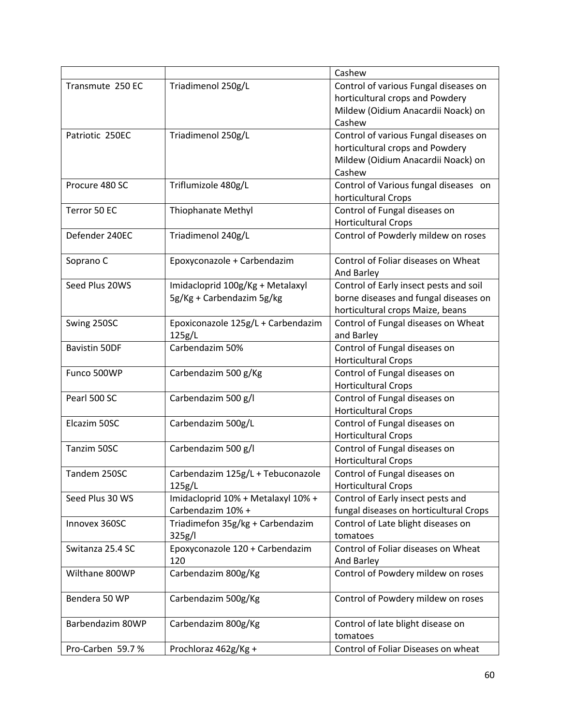|                      |                                    | Cashew                                 |
|----------------------|------------------------------------|----------------------------------------|
| Transmute 250 EC     | Triadimenol 250g/L                 | Control of various Fungal diseases on  |
|                      |                                    | horticultural crops and Powdery        |
|                      |                                    | Mildew (Oidium Anacardii Noack) on     |
|                      |                                    | Cashew                                 |
| Patriotic 250EC      | Triadimenol 250g/L                 | Control of various Fungal diseases on  |
|                      |                                    | horticultural crops and Powdery        |
|                      |                                    | Mildew (Oidium Anacardii Noack) on     |
|                      |                                    | Cashew                                 |
| Procure 480 SC       | Triflumizole 480g/L                | Control of Various fungal diseases on  |
|                      |                                    | horticultural Crops                    |
| Terror 50 EC         | <b>Thiophanate Methyl</b>          | Control of Fungal diseases on          |
|                      |                                    | <b>Horticultural Crops</b>             |
| Defender 240EC       | Triadimenol 240g/L                 | Control of Powderly mildew on roses    |
|                      |                                    |                                        |
| Soprano C            | Epoxyconazole + Carbendazim        | Control of Foliar diseases on Wheat    |
|                      |                                    | And Barley                             |
| Seed Plus 20WS       | Imidacloprid 100g/Kg + Metalaxyl   | Control of Early insect pests and soil |
|                      | 5g/Kg + Carbendazim 5g/kg          | borne diseases and fungal diseases on  |
|                      |                                    | horticultural crops Maize, beans       |
| Swing 250SC          | Epoxiconazole 125g/L + Carbendazim | Control of Fungal diseases on Wheat    |
|                      | 125g/L                             | and Barley                             |
| <b>Bavistin 50DF</b> | Carbendazim 50%                    | Control of Fungal diseases on          |
|                      |                                    | <b>Horticultural Crops</b>             |
| Funco 500WP          | Carbendazim 500 g/Kg               | Control of Fungal diseases on          |
|                      |                                    | <b>Horticultural Crops</b>             |
| Pearl 500 SC         | Carbendazim 500 g/l                | Control of Fungal diseases on          |
|                      |                                    | <b>Horticultural Crops</b>             |
| Elcazim 50SC         | Carbendazim 500g/L                 | Control of Fungal diseases on          |
|                      |                                    | <b>Horticultural Crops</b>             |
| Tanzim 50SC          | Carbendazim 500 g/l                | Control of Fungal diseases on          |
|                      |                                    | <b>Horticultural Crops</b>             |
| Tandem 250SC         | Carbendazim 125g/L + Tebuconazole  | Control of Fungal diseases on          |
|                      | 125g/L                             | <b>Horticultural Crops</b>             |
| Seed Plus 30 WS      | Imidacloprid 10% + Metalaxyl 10% + | Control of Early insect pests and      |
|                      | Carbendazim 10% +                  | fungal diseases on horticultural Crops |
| Innovex 360SC        | Triadimefon 35g/kg + Carbendazim   | Control of Late blight diseases on     |
|                      | 325g/l                             | tomatoes                               |
| Switanza 25.4 SC     | Epoxyconazole 120 + Carbendazim    | Control of Foliar diseases on Wheat    |
|                      | 120                                | And Barley                             |
| Wilthane 800WP       | Carbendazim 800g/Kg                | Control of Powdery mildew on roses     |
|                      |                                    |                                        |
| Bendera 50 WP        | Carbendazim 500g/Kg                | Control of Powdery mildew on roses     |
|                      |                                    |                                        |
| Barbendazim 80WP     | Carbendazim 800g/Kg                | Control of late blight disease on      |
|                      |                                    | tomatoes                               |
| Pro-Carben 59.7 %    | Prochloraz 462g/Kg +               | Control of Foliar Diseases on wheat    |
|                      |                                    |                                        |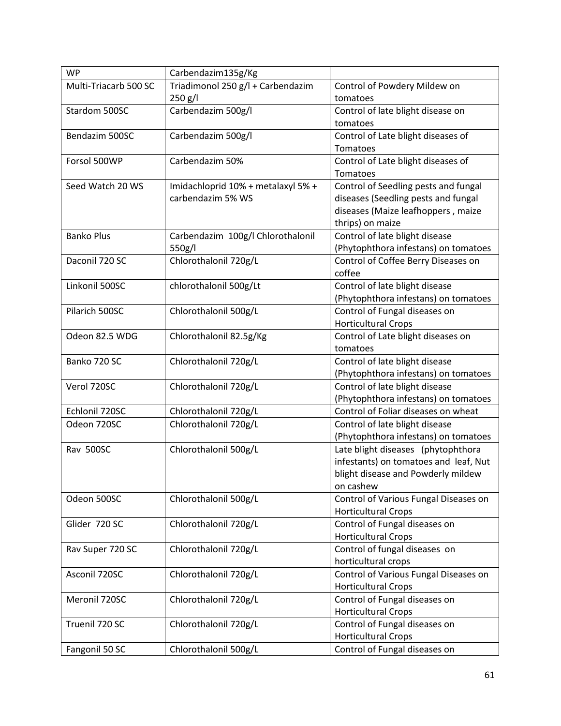| <b>WP</b>             | Carbendazim135g/Kg                 |                                       |
|-----------------------|------------------------------------|---------------------------------------|
| Multi-Triacarb 500 SC | Triadimonol 250 g/l + Carbendazim  | Control of Powdery Mildew on          |
|                       | 250 g/l                            | tomatoes                              |
| Stardom 500SC         | Carbendazim 500g/l                 | Control of late blight disease on     |
|                       |                                    | tomatoes                              |
| Bendazim 500SC        | Carbendazim 500g/l                 | Control of Late blight diseases of    |
|                       |                                    | Tomatoes                              |
| Forsol 500WP          | Carbendazim 50%                    | Control of Late blight diseases of    |
|                       |                                    | Tomatoes                              |
| Seed Watch 20 WS      | Imidachloprid 10% + metalaxyl 5% + | Control of Seedling pests and fungal  |
|                       | carbendazim 5% WS                  | diseases (Seedling pests and fungal   |
|                       |                                    | diseases (Maize leafhoppers, maize    |
|                       |                                    | thrips) on maize                      |
| <b>Banko Plus</b>     | Carbendazim 100g/l Chlorothalonil  | Control of late blight disease        |
|                       | 550g/l                             | (Phytophthora infestans) on tomatoes  |
| Daconil 720 SC        | Chlorothalonil 720g/L              | Control of Coffee Berry Diseases on   |
|                       |                                    | coffee                                |
| Linkonil 500SC        | chlorothalonil 500g/Lt             | Control of late blight disease        |
|                       |                                    | (Phytophthora infestans) on tomatoes  |
| Pilarich 500SC        | Chlorothalonil 500g/L              | Control of Fungal diseases on         |
|                       |                                    | <b>Horticultural Crops</b>            |
| Odeon 82.5 WDG        | Chlorothalonil 82.5g/Kg            | Control of Late blight diseases on    |
|                       |                                    | tomatoes                              |
| Banko 720 SC          | Chlorothalonil 720g/L              | Control of late blight disease        |
|                       |                                    | (Phytophthora infestans) on tomatoes  |
| Verol 720SC           | Chlorothalonil 720g/L              | Control of late blight disease        |
|                       |                                    | (Phytophthora infestans) on tomatoes  |
| Echlonil 720SC        | Chlorothalonil 720g/L              | Control of Foliar diseases on wheat   |
| Odeon 720SC           | Chlorothalonil 720g/L              | Control of late blight disease        |
|                       |                                    | (Phytophthora infestans) on tomatoes  |
| Rav 500SC             | Chlorothalonil 500g/L              | Late blight diseases (phytophthora    |
|                       |                                    | infestants) on tomatoes and leaf, Nut |
|                       |                                    | blight disease and Powderly mildew    |
|                       |                                    | on cashew                             |
| Odeon 500SC           | Chlorothalonil 500g/L              | Control of Various Fungal Diseases on |
|                       |                                    | <b>Horticultural Crops</b>            |
| Glider 720 SC         | Chlorothalonil 720g/L              | Control of Fungal diseases on         |
|                       |                                    | <b>Horticultural Crops</b>            |
| Rav Super 720 SC      | Chlorothalonil 720g/L              | Control of fungal diseases on         |
|                       |                                    | horticultural crops                   |
| Asconil 720SC         | Chlorothalonil 720g/L              | Control of Various Fungal Diseases on |
|                       |                                    | <b>Horticultural Crops</b>            |
| Meronil 720SC         | Chlorothalonil 720g/L              | Control of Fungal diseases on         |
|                       |                                    | <b>Horticultural Crops</b>            |
| Truenil 720 SC        | Chlorothalonil 720g/L              | Control of Fungal diseases on         |
|                       |                                    | <b>Horticultural Crops</b>            |
| Fangonil 50 SC        | Chlorothalonil 500g/L              | Control of Fungal diseases on         |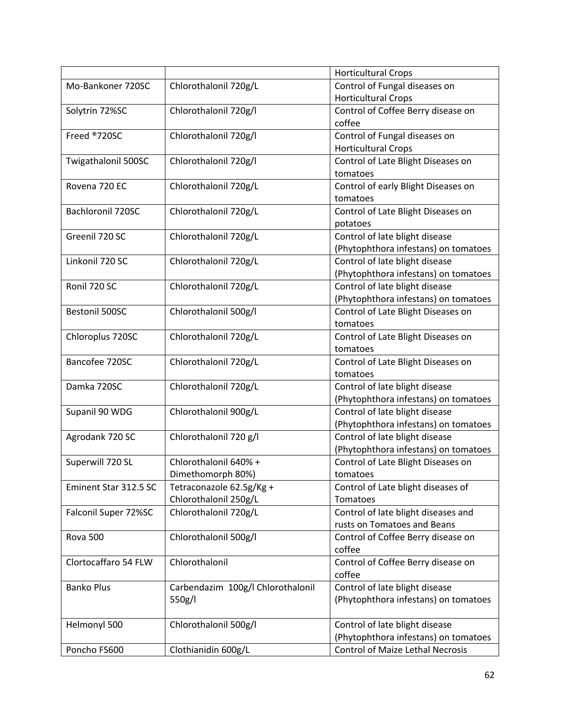|                       |                                   | <b>Horticultural Crops</b>              |
|-----------------------|-----------------------------------|-----------------------------------------|
| Mo-Bankoner 720SC     | Chlorothalonil 720g/L             | Control of Fungal diseases on           |
|                       |                                   | <b>Horticultural Crops</b>              |
| Solytrin 72%SC        | Chlorothalonil 720g/l             | Control of Coffee Berry disease on      |
|                       |                                   | coffee                                  |
| Freed ®720SC          | Chlorothalonil 720g/l             | Control of Fungal diseases on           |
|                       |                                   | <b>Horticultural Crops</b>              |
| Twigathalonil 500SC   | Chlorothalonil 720g/l             | Control of Late Blight Diseases on      |
|                       |                                   | tomatoes                                |
| Rovena 720 EC         | Chlorothalonil 720g/L             | Control of early Blight Diseases on     |
|                       |                                   | tomatoes                                |
| Bachloronil 720SC     | Chlorothalonil 720g/L             | Control of Late Blight Diseases on      |
|                       |                                   | potatoes                                |
| Greenil 720 SC        | Chlorothalonil 720g/L             | Control of late blight disease          |
|                       |                                   | (Phytophthora infestans) on tomatoes    |
| Linkonil 720 SC       | Chlorothalonil 720g/L             | Control of late blight disease          |
|                       |                                   | (Phytophthora infestans) on tomatoes    |
| Ronil 720 SC          | Chlorothalonil 720g/L             | Control of late blight disease          |
|                       |                                   | (Phytophthora infestans) on tomatoes    |
| Bestonil 500SC        | Chlorothalonil 500g/l             | Control of Late Blight Diseases on      |
|                       |                                   | tomatoes                                |
| Chloroplus 720SC      | Chlorothalonil 720g/L             | Control of Late Blight Diseases on      |
|                       |                                   | tomatoes                                |
| Bancofee 720SC        | Chlorothalonil 720g/L             | Control of Late Blight Diseases on      |
|                       |                                   | tomatoes                                |
| Damka 720SC           | Chlorothalonil 720g/L             | Control of late blight disease          |
|                       |                                   | (Phytophthora infestans) on tomatoes    |
| Supanil 90 WDG        | Chlorothalonil 900g/L             | Control of late blight disease          |
|                       |                                   | (Phytophthora infestans) on tomatoes    |
| Agrodank 720 SC       | Chlorothalonil 720 g/l            | Control of late blight disease          |
|                       |                                   | (Phytophthora infestans) on tomatoes    |
| Superwill 720 SL      | Chlorothalonil 640% +             | Control of Late Blight Diseases on      |
|                       | Dimethomorph 80%)                 | tomatoes                                |
| Eminent Star 312.5 SC | Tetraconazole 62.5g/Kg +          | Control of Late blight diseases of      |
|                       | Chlorothalonil 250g/L             | Tomatoes                                |
| Falconil Super 72%SC  | Chlorothalonil 720g/L             | Control of late blight diseases and     |
|                       |                                   | rusts on Tomatoes and Beans             |
| Rova 500              | Chlorothalonil 500g/l             | Control of Coffee Berry disease on      |
|                       |                                   | coffee                                  |
| Clortocaffaro 54 FLW  | Chlorothalonil                    | Control of Coffee Berry disease on      |
|                       |                                   | coffee                                  |
| <b>Banko Plus</b>     | Carbendazim 100g/l Chlorothalonil | Control of late blight disease          |
|                       | 550g/l                            | (Phytophthora infestans) on tomatoes    |
|                       |                                   |                                         |
| Helmonyl 500          | Chlorothalonil 500g/l             | Control of late blight disease          |
|                       |                                   | (Phytophthora infestans) on tomatoes    |
| Poncho FS600          | Clothianidin 600g/L               | <b>Control of Maize Lethal Necrosis</b> |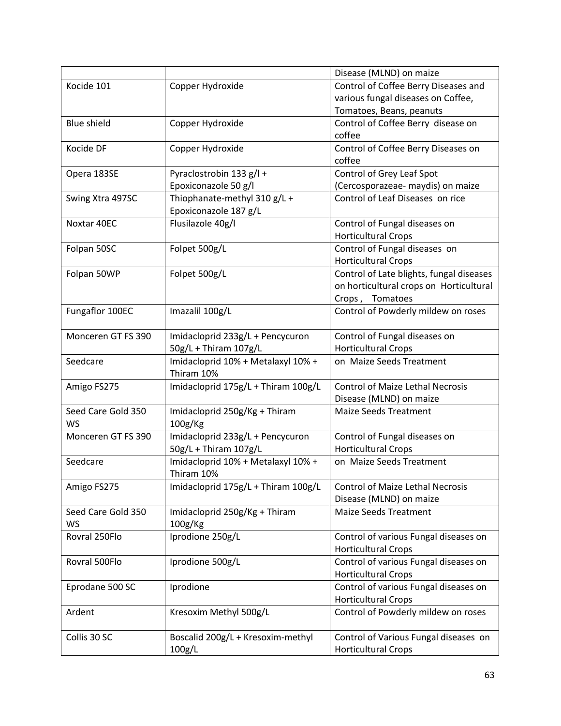|                    |                                     | Disease (MLND) on maize                  |
|--------------------|-------------------------------------|------------------------------------------|
| Kocide 101         | Copper Hydroxide                    | Control of Coffee Berry Diseases and     |
|                    |                                     | various fungal diseases on Coffee,       |
|                    |                                     | Tomatoes, Beans, peanuts                 |
| <b>Blue shield</b> | Copper Hydroxide                    | Control of Coffee Berry disease on       |
|                    |                                     | coffee                                   |
| Kocide DF          | Copper Hydroxide                    | Control of Coffee Berry Diseases on      |
|                    |                                     | coffee                                   |
| Opera 183SE        | Pyraclostrobin 133 g/l +            | Control of Grey Leaf Spot                |
|                    | Epoxiconazole 50 g/l                | (Cercosporazeae- maydis) on maize        |
| Swing Xtra 497SC   | Thiophanate-methyl 310 g/L +        | Control of Leaf Diseases on rice         |
|                    | Epoxiconazole 187 g/L               |                                          |
| Noxtar 40EC        | Flusilazole 40g/l                   | Control of Fungal diseases on            |
|                    |                                     | <b>Horticultural Crops</b>               |
| Folpan 50SC        | Folpet 500g/L                       | Control of Fungal diseases on            |
|                    |                                     | <b>Horticultural Crops</b>               |
| Folpan 50WP        | Folpet 500g/L                       | Control of Late blights, fungal diseases |
|                    |                                     | on horticultural crops on Horticultural  |
|                    |                                     | Crops, Tomatoes                          |
| Fungaflor 100EC    | Imazalil 100g/L                     | Control of Powderly mildew on roses      |
|                    |                                     |                                          |
| Monceren GT FS 390 | Imidacloprid 233g/L + Pencycuron    | Control of Fungal diseases on            |
|                    | 50g/L + Thiram 107g/L               | <b>Horticultural Crops</b>               |
| Seedcare           | Imidacloprid 10% + Metalaxyl 10% +  | on Maize Seeds Treatment                 |
|                    | Thiram 10%                          |                                          |
| Amigo FS275        | Imidacloprid 175g/L + Thiram 100g/L | <b>Control of Maize Lethal Necrosis</b>  |
|                    |                                     | Disease (MLND) on maize                  |
| Seed Care Gold 350 | Imidacloprid 250g/Kg + Thiram       | <b>Maize Seeds Treatment</b>             |
| WS                 | 100g/Kg                             |                                          |
| Monceren GT FS 390 | Imidacloprid 233g/L + Pencycuron    | Control of Fungal diseases on            |
|                    | 50g/L + Thiram 107g/L               | <b>Horticultural Crops</b>               |
| Seedcare           | Imidacloprid 10% + Metalaxyl 10% +  | on Maize Seeds Treatment                 |
|                    | Thiram 10%                          |                                          |
| Amigo FS275        | Imidacloprid 175g/L + Thiram 100g/L | <b>Control of Maize Lethal Necrosis</b>  |
|                    |                                     | Disease (MLND) on maize                  |
| Seed Care Gold 350 | Imidacloprid 250g/Kg + Thiram       | <b>Maize Seeds Treatment</b>             |
| WS                 | 100g/Kg                             |                                          |
| Rovral 250Flo      | Iprodione 250g/L                    | Control of various Fungal diseases on    |
|                    |                                     | <b>Horticultural Crops</b>               |
| Rovral 500Flo      | Iprodione 500g/L                    | Control of various Fungal diseases on    |
|                    |                                     | <b>Horticultural Crops</b>               |
| Eprodane 500 SC    | Iprodione                           | Control of various Fungal diseases on    |
|                    |                                     | <b>Horticultural Crops</b>               |
| Ardent             | Kresoxim Methyl 500g/L              | Control of Powderly mildew on roses      |
|                    |                                     |                                          |
| Collis 30 SC       | Boscalid 200g/L + Kresoxim-methyl   | Control of Various Fungal diseases on    |
|                    | 100g/L                              | <b>Horticultural Crops</b>               |
|                    |                                     |                                          |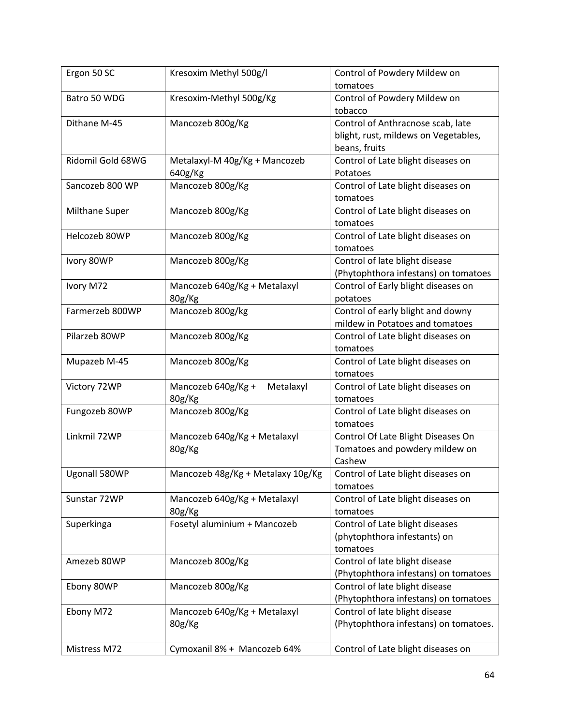| Ergon 50 SC       | Kresoxim Methyl 500g/l            | Control of Powdery Mildew on          |
|-------------------|-----------------------------------|---------------------------------------|
|                   |                                   | tomatoes                              |
| Batro 50 WDG      | Kresoxim-Methyl 500g/Kg           | Control of Powdery Mildew on          |
|                   |                                   | tobacco                               |
| Dithane M-45      | Mancozeb 800g/Kg                  | Control of Anthracnose scab, late     |
|                   |                                   | blight, rust, mildews on Vegetables,  |
|                   |                                   | beans, fruits                         |
| Ridomil Gold 68WG | Metalaxyl-M 40g/Kg + Mancozeb     | Control of Late blight diseases on    |
|                   | 640g/Kg                           | Potatoes                              |
| Sancozeb 800 WP   | Mancozeb 800g/Kg                  | Control of Late blight diseases on    |
|                   |                                   | tomatoes                              |
| Milthane Super    | Mancozeb 800g/Kg                  | Control of Late blight diseases on    |
|                   |                                   | tomatoes                              |
| Helcozeb 80WP     | Mancozeb 800g/Kg                  | Control of Late blight diseases on    |
|                   |                                   | tomatoes                              |
| Ivory 80WP        | Mancozeb 800g/Kg                  | Control of late blight disease        |
|                   |                                   | (Phytophthora infestans) on tomatoes  |
| Ivory M72         | Mancozeb 640g/Kg + Metalaxyl      | Control of Early blight diseases on   |
|                   | 80g/Kg                            | potatoes                              |
| Farmerzeb 800WP   | Mancozeb 800g/kg                  | Control of early blight and downy     |
|                   |                                   | mildew in Potatoes and tomatoes       |
| Pilarzeb 80WP     | Mancozeb 800g/Kg                  | Control of Late blight diseases on    |
|                   |                                   | tomatoes                              |
| Mupazeb M-45      | Mancozeb 800g/Kg                  | Control of Late blight diseases on    |
|                   |                                   | tomatoes                              |
| Victory 72WP      | Mancozeb 640g/Kg +<br>Metalaxyl   | Control of Late blight diseases on    |
|                   | 80g/Kg                            | tomatoes                              |
| Fungozeb 80WP     | Mancozeb 800g/Kg                  | Control of Late blight diseases on    |
|                   |                                   | tomatoes                              |
| Linkmil 72WP      | Mancozeb 640g/Kg + Metalaxyl      | Control Of Late Blight Diseases On    |
|                   | 80g/Kg                            | Tomatoes and powdery mildew on        |
|                   |                                   | Cashew                                |
| Ugonall 580WP     | Mancozeb 48g/Kg + Metalaxy 10g/Kg | Control of Late blight diseases on    |
|                   |                                   | tomatoes                              |
| Sunstar 72WP      | Mancozeb 640g/Kg + Metalaxyl      | Control of Late blight diseases on    |
|                   | 80g/Kg                            | tomatoes                              |
| Superkinga        | Fosetyl aluminium + Mancozeb      | Control of Late blight diseases       |
|                   |                                   | (phytophthora infestants) on          |
|                   |                                   | tomatoes                              |
| Amezeb 80WP       | Mancozeb 800g/Kg                  | Control of late blight disease        |
|                   |                                   | (Phytophthora infestans) on tomatoes  |
| Ebony 80WP        | Mancozeb 800g/Kg                  | Control of late blight disease        |
|                   |                                   | (Phytophthora infestans) on tomatoes  |
| Ebony M72         | Mancozeb 640g/Kg + Metalaxyl      | Control of late blight disease        |
|                   | 80g/Kg                            | (Phytophthora infestans) on tomatoes. |
|                   |                                   |                                       |
| Mistress M72      | Cymoxanil 8% + Mancozeb 64%       | Control of Late blight diseases on    |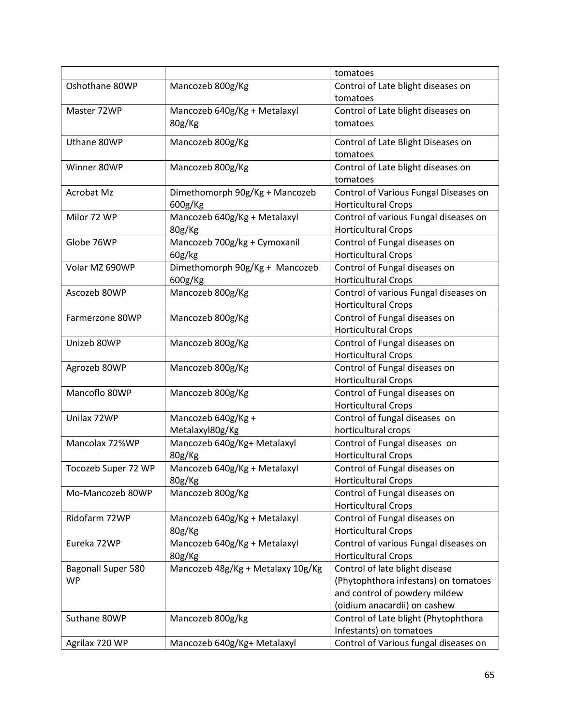|                           |                                   | tomatoes                                       |
|---------------------------|-----------------------------------|------------------------------------------------|
| Oshothane 80WP            | Mancozeb 800g/Kg                  | Control of Late blight diseases on             |
|                           |                                   | tomatoes                                       |
| Master 72WP               | Mancozeb 640g/Kg + Metalaxyl      | Control of Late blight diseases on             |
|                           | 80g/Kg                            | tomatoes                                       |
| Uthane 80WP               | Mancozeb 800g/Kg                  | Control of Late Blight Diseases on             |
|                           |                                   | tomatoes                                       |
| Winner 80WP               | Mancozeb 800g/Kg                  | Control of Late blight diseases on<br>tomatoes |
| Acrobat Mz                | Dimethomorph 90g/Kg + Mancozeb    | Control of Various Fungal Diseases on          |
|                           | 600g/Kg                           | <b>Horticultural Crops</b>                     |
| Milor 72 WP               | Mancozeb 640g/Kg + Metalaxyl      | Control of various Fungal diseases on          |
|                           | 80g/Kg                            | <b>Horticultural Crops</b>                     |
| Globe 76WP                | Mancozeb 700g/kg + Cymoxanil      | Control of Fungal diseases on                  |
|                           | 60g/kg                            | <b>Horticultural Crops</b>                     |
| Volar MZ 690WP            | Dimethomorph 90g/Kg + Mancozeb    | Control of Fungal diseases on                  |
|                           | 600g/Kg                           | <b>Horticultural Crops</b>                     |
| Ascozeb 80WP              | Mancozeb 800g/Kg                  | Control of various Fungal diseases on          |
|                           |                                   | <b>Horticultural Crops</b>                     |
| Farmerzone 80WP           | Mancozeb 800g/Kg                  | Control of Fungal diseases on                  |
|                           |                                   | <b>Horticultural Crops</b>                     |
| Unizeb 80WP               | Mancozeb 800g/Kg                  | Control of Fungal diseases on                  |
|                           |                                   | <b>Horticultural Crops</b>                     |
| Agrozeb 80WP              | Mancozeb 800g/Kg                  | Control of Fungal diseases on                  |
|                           |                                   | <b>Horticultural Crops</b>                     |
| Mancoflo 80WP             | Mancozeb 800g/Kg                  | Control of Fungal diseases on                  |
|                           |                                   | <b>Horticultural Crops</b>                     |
| Unilax 72WP               | Mancozeb 640g/Kg +                | Control of fungal diseases on                  |
|                           | Metalaxyl80g/Kg                   | horticultural crops                            |
| Mancolax 72%WP            | Mancozeb 640g/Kg+ Metalaxyl       | Control of Fungal diseases on                  |
|                           | 80g/Kg                            | <b>Horticultural Crops</b>                     |
| Tocozeb Super 72 WP       | Mancozeb 640g/Kg + Metalaxyl      | Control of Fungal diseases on                  |
|                           | 80g/Kg                            | <b>Horticultural Crops</b>                     |
| Mo-Mancozeb 80WP          | Mancozeb 800g/Kg                  | Control of Fungal diseases on                  |
|                           |                                   | <b>Horticultural Crops</b>                     |
| Ridofarm 72WP             | Mancozeb 640g/Kg + Metalaxyl      | Control of Fungal diseases on                  |
|                           | 80g/Kg                            | <b>Horticultural Crops</b>                     |
| Eureka 72WP               | Mancozeb 640g/Kg + Metalaxyl      | Control of various Fungal diseases on          |
|                           | 80g/Kg                            | <b>Horticultural Crops</b>                     |
| <b>Bagonall Super 580</b> | Mancozeb 48g/Kg + Metalaxy 10g/Kg | Control of late blight disease                 |
| <b>WP</b>                 |                                   | (Phytophthora infestans) on tomatoes           |
|                           |                                   | and control of powdery mildew                  |
|                           |                                   | (oidium anacardii) on cashew                   |
| Suthane 80WP              | Mancozeb 800g/kg                  | Control of Late blight (Phytophthora           |
|                           |                                   | Infestants) on tomatoes                        |
| Agrilax 720 WP            | Mancozeb 640g/Kg+ Metalaxyl       | Control of Various fungal diseases on          |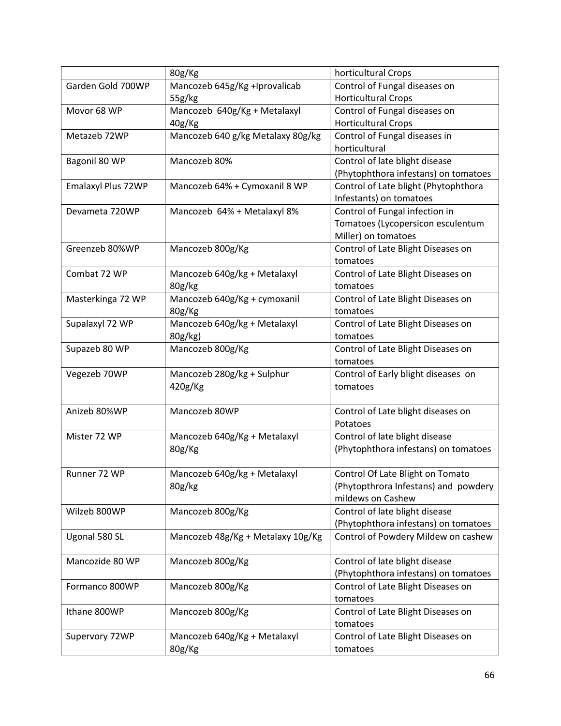|                                | 80g/Kg                                                     | horticultural Crops                                                                                          |
|--------------------------------|------------------------------------------------------------|--------------------------------------------------------------------------------------------------------------|
| Garden Gold 700WP              | Mancozeb 645g/Kg +Iprovalicab                              | Control of Fungal diseases on                                                                                |
|                                | 55g/kg                                                     | <b>Horticultural Crops</b>                                                                                   |
| Movor 68 WP                    | Mancozeb 640g/Kg + Metalaxyl                               | Control of Fungal diseases on                                                                                |
|                                | 40g/Kg                                                     | <b>Horticultural Crops</b>                                                                                   |
| Metazeb 72WP                   | Mancozeb 640 g/kg Metalaxy 80g/kg                          | Control of Fungal diseases in                                                                                |
|                                |                                                            | horticultural                                                                                                |
| Bagonil 80 WP                  | Mancozeb 80%                                               | Control of late blight disease                                                                               |
|                                |                                                            | (Phytophthora infestans) on tomatoes                                                                         |
| Emalaxyl Plus 72WP             | Mancozeb 64% + Cymoxanil 8 WP                              | Control of Late blight (Phytophthora                                                                         |
|                                |                                                            | Infestants) on tomatoes                                                                                      |
| Devameta 720WP                 | Mancozeb 64% + Metalaxyl 8%                                | Control of Fungal infection in                                                                               |
|                                |                                                            | Tomatoes (Lycopersicon esculentum                                                                            |
|                                |                                                            | Miller) on tomatoes                                                                                          |
| Greenzeb 80%WP                 | Mancozeb 800g/Kg                                           | Control of Late Blight Diseases on                                                                           |
|                                |                                                            | tomatoes                                                                                                     |
| Combat 72 WP                   | Mancozeb 640g/kg + Metalaxyl                               | Control of Late Blight Diseases on                                                                           |
|                                | 80g/kg                                                     | tomatoes                                                                                                     |
| Masterkinga 72 WP              | Mancozeb 640g/Kg + cymoxanil                               | Control of Late Blight Diseases on                                                                           |
|                                | 80g/Kg                                                     | tomatoes                                                                                                     |
| Supalaxyl 72 WP                | Mancozeb 640g/kg + Metalaxyl                               | Control of Late Blight Diseases on                                                                           |
|                                | 80g/kg)                                                    | tomatoes                                                                                                     |
| Supazeb 80 WP                  | Mancozeb 800g/Kg                                           | Control of Late Blight Diseases on                                                                           |
|                                |                                                            | tomatoes                                                                                                     |
| Vegezeb 70WP                   | Mancozeb 280g/kg + Sulphur                                 | Control of Early blight diseases on                                                                          |
|                                | 420g/Kg                                                    | tomatoes                                                                                                     |
|                                |                                                            |                                                                                                              |
| Anizeb 80%WP                   | Mancozeb 80WP                                              | Control of Late blight diseases on                                                                           |
|                                |                                                            | Potatoes                                                                                                     |
| Mister 72 WP                   | Mancozeb 640g/Kg + Metalaxyl                               | Control of late blight disease                                                                               |
|                                | 80g/Kg                                                     | (Phytophthora infestans) on tomatoes                                                                         |
|                                |                                                            |                                                                                                              |
| Runner 72 WP                   | Mancozeb 640g/kg + Metalaxyl                               | Control Of Late Blight on Tomato                                                                             |
|                                | 80g/kg                                                     | (Phytopthrora Infestans) and powdery                                                                         |
|                                |                                                            | mildews on Cashew                                                                                            |
| Wilzeb 800WP                   | Mancozeb 800g/Kg                                           | Control of late blight disease                                                                               |
|                                |                                                            | (Phytophthora infestans) on tomatoes                                                                         |
| Ugonal 580 SL                  | Mancozeb 48g/Kg + Metalaxy 10g/Kg                          | Control of Powdery Mildew on cashew                                                                          |
|                                |                                                            |                                                                                                              |
| Mancozide 80 WP                | Mancozeb 800g/Kg                                           | Control of late blight disease                                                                               |
|                                |                                                            | (Phytophthora infestans) on tomatoes                                                                         |
| Formanco 800WP                 | Mancozeb 800g/Kg                                           | Control of Late Blight Diseases on                                                                           |
|                                |                                                            |                                                                                                              |
|                                |                                                            |                                                                                                              |
|                                |                                                            |                                                                                                              |
|                                |                                                            |                                                                                                              |
|                                |                                                            |                                                                                                              |
| Ithane 800WP<br>Supervory 72WP | Mancozeb 800g/Kg<br>Mancozeb 640g/Kg + Metalaxyl<br>80g/Kg | tomatoes<br>Control of Late Blight Diseases on<br>tomatoes<br>Control of Late Blight Diseases on<br>tomatoes |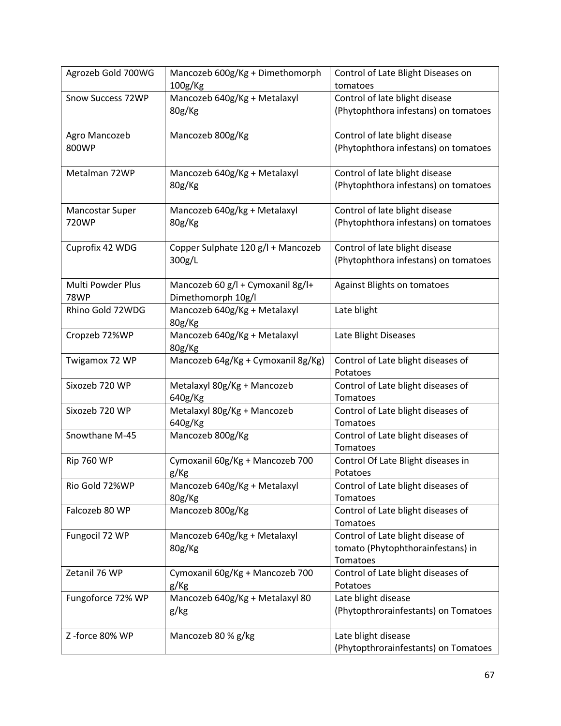| Agrozeb Gold 700WG               | Mancozeb 600g/Kg + Dimethomorph<br>100g/Kg              | Control of Late Blight Diseases on<br>tomatoes                                     |
|----------------------------------|---------------------------------------------------------|------------------------------------------------------------------------------------|
| Snow Success 72WP                | Mancozeb 640g/Kg + Metalaxyl<br>80g/Kg                  | Control of late blight disease<br>(Phytophthora infestans) on tomatoes             |
| Agro Mancozeb<br>800WP           | Mancozeb 800g/Kg                                        | Control of late blight disease<br>(Phytophthora infestans) on tomatoes             |
| Metalman 72WP                    | Mancozeb 640g/Kg + Metalaxyl<br>80g/Kg                  | Control of late blight disease<br>(Phytophthora infestans) on tomatoes             |
| Mancostar Super<br>720WP         | Mancozeb 640g/kg + Metalaxyl<br>80g/Kg                  | Control of late blight disease<br>(Phytophthora infestans) on tomatoes             |
| Cuprofix 42 WDG                  | Copper Sulphate 120 g/l + Mancozeb<br>300g/L            | Control of late blight disease<br>(Phytophthora infestans) on tomatoes             |
| Multi Powder Plus<br><b>78WP</b> | Mancozeb 60 g/l + Cymoxanil 8g/l+<br>Dimethomorph 10g/l | <b>Against Blights on tomatoes</b>                                                 |
| Rhino Gold 72WDG                 | Mancozeb 640g/Kg + Metalaxyl<br>80g/Kg                  | Late blight                                                                        |
| Cropzeb 72%WP                    | Mancozeb 640g/Kg + Metalaxyl<br>80g/Kg                  | Late Blight Diseases                                                               |
| Twigamox 72 WP                   | Mancozeb 64g/Kg + Cymoxanil 8g/Kg)                      | Control of Late blight diseases of<br>Potatoes                                     |
| Sixozeb 720 WP                   | Metalaxyl 80g/Kg + Mancozeb<br>640g/Kg                  | Control of Late blight diseases of<br>Tomatoes                                     |
| Sixozeb 720 WP                   | Metalaxyl 80g/Kg + Mancozeb<br>640g/Kg                  | Control of Late blight diseases of<br>Tomatoes                                     |
| Snowthane M-45                   | Mancozeb 800g/Kg                                        | Control of Late blight diseases of<br>Tomatoes                                     |
| <b>Rip 760 WP</b>                | Cymoxanil 60g/Kg + Mancozeb 700<br>g/Kg                 | Control Of Late Blight diseases in<br>Potatoes                                     |
| Rio Gold 72%WP                   | Mancozeb 640g/Kg + Metalaxyl<br>80g/Kg                  | Control of Late blight diseases of<br>Tomatoes                                     |
| Falcozeb 80 WP                   | Mancozeb 800g/Kg                                        | Control of Late blight diseases of<br>Tomatoes                                     |
| Fungocil 72 WP                   | Mancozeb 640g/kg + Metalaxyl<br>80g/Kg                  | Control of Late blight disease of<br>tomato (Phytophthorainfestans) in<br>Tomatoes |
| Zetanil 76 WP                    | Cymoxanil 60g/Kg + Mancozeb 700<br>g/Kg                 | Control of Late blight diseases of<br>Potatoes                                     |
| Fungoforce 72% WP                | Mancozeb 640g/Kg + Metalaxyl 80<br>g/kg                 | Late blight disease<br>(Phytopthrorainfestants) on Tomatoes                        |
| Z-force 80% WP                   | Mancozeb 80 % g/kg                                      | Late blight disease<br>(Phytopthrorainfestants) on Tomatoes                        |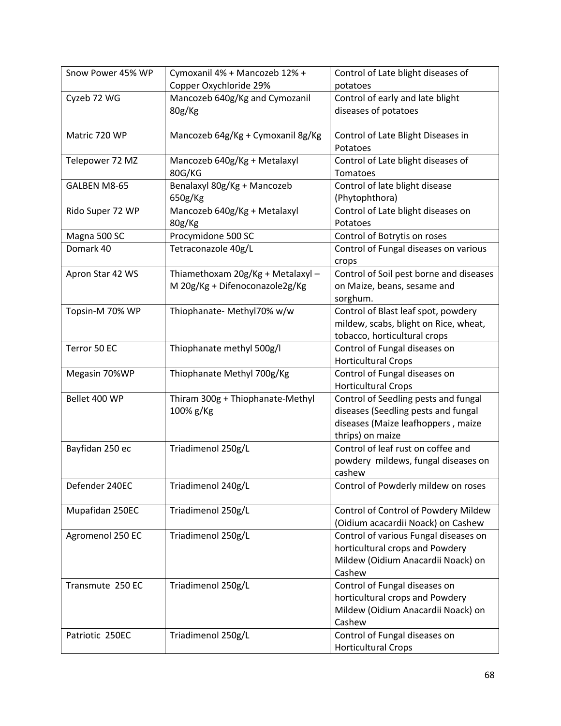| Snow Power 45% WP | Cymoxanil 4% + Mancozeb 12% +     | Control of Late blight diseases of      |
|-------------------|-----------------------------------|-----------------------------------------|
|                   | Copper Oxychloride 29%            | potatoes                                |
| Cyzeb 72 WG       | Mancozeb 640g/Kg and Cymozanil    | Control of early and late blight        |
|                   | 80g/Kg                            | diseases of potatoes                    |
|                   |                                   |                                         |
| Matric 720 WP     | Mancozeb 64g/Kg + Cymoxanil 8g/Kg | Control of Late Blight Diseases in      |
|                   |                                   | Potatoes                                |
| Telepower 72 MZ   | Mancozeb 640g/Kg + Metalaxyl      | Control of Late blight diseases of      |
|                   | 80G/KG                            | Tomatoes                                |
| GALBEN M8-65      | Benalaxyl 80g/Kg + Mancozeb       | Control of late blight disease          |
|                   | 650g/Kg                           | (Phytophthora)                          |
| Rido Super 72 WP  | Mancozeb 640g/Kg + Metalaxyl      | Control of Late blight diseases on      |
|                   | 80g/Kg                            | Potatoes                                |
| Magna 500 SC      | Procymidone 500 SC                | Control of Botrytis on roses            |
| Domark 40         | Tetraconazole 40g/L               | Control of Fungal diseases on various   |
|                   |                                   | crops                                   |
| Apron Star 42 WS  | Thiamethoxam 20g/Kg + Metalaxyl - | Control of Soil pest borne and diseases |
|                   | M 20g/Kg + Difenoconazole2g/Kg    | on Maize, beans, sesame and             |
|                   |                                   | sorghum.                                |
| Topsin-M 70% WP   | Thiophanate- Methyl70% w/w        | Control of Blast leaf spot, powdery     |
|                   |                                   | mildew, scabs, blight on Rice, wheat,   |
|                   |                                   | tobacco, horticultural crops            |
| Terror 50 EC      | Thiophanate methyl 500g/l         | Control of Fungal diseases on           |
|                   |                                   | <b>Horticultural Crops</b>              |
| Megasin 70%WP     | Thiophanate Methyl 700g/Kg        | Control of Fungal diseases on           |
|                   |                                   | <b>Horticultural Crops</b>              |
| Bellet 400 WP     | Thiram 300g + Thiophanate-Methyl  | Control of Seedling pests and fungal    |
|                   | 100% g/Kg                         | diseases (Seedling pests and fungal     |
|                   |                                   | diseases (Maize leafhoppers, maize      |
|                   |                                   | thrips) on maize                        |
| Bayfidan 250 ec   | Triadimenol 250g/L                | Control of leaf rust on coffee and      |
|                   |                                   | powdery mildews, fungal diseases on     |
|                   |                                   | cashew                                  |
| Defender 240EC    | Triadimenol 240g/L                | Control of Powderly mildew on roses     |
|                   |                                   |                                         |
| Mupafidan 250EC   | Triadimenol 250g/L                | Control of Control of Powdery Mildew    |
|                   |                                   | (Oidium acacardii Noack) on Cashew      |
| Agromenol 250 EC  | Triadimenol 250g/L                | Control of various Fungal diseases on   |
|                   |                                   | horticultural crops and Powdery         |
|                   |                                   | Mildew (Oidium Anacardii Noack) on      |
|                   |                                   | Cashew                                  |
| Transmute 250 EC  | Triadimenol 250g/L                | Control of Fungal diseases on           |
|                   |                                   | horticultural crops and Powdery         |
|                   |                                   | Mildew (Oidium Anacardii Noack) on      |
|                   |                                   | Cashew                                  |
| Patriotic 250EC   | Triadimenol 250g/L                | Control of Fungal diseases on           |
|                   |                                   | <b>Horticultural Crops</b>              |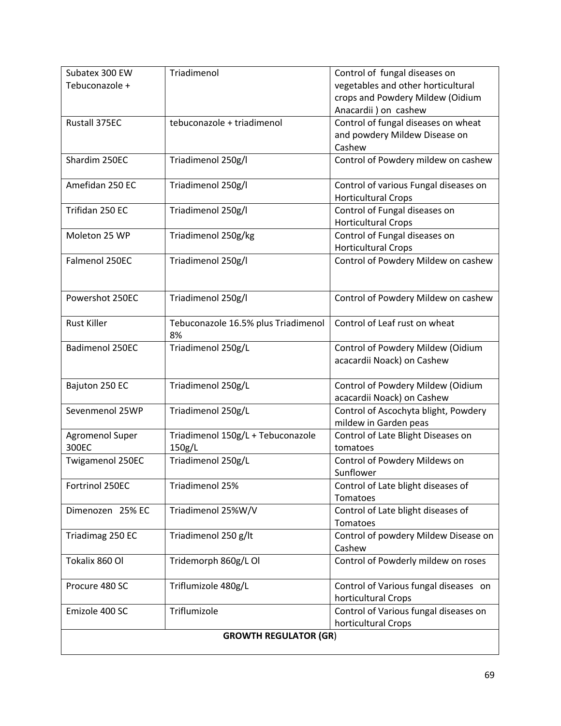| Subatex 300 EW               | Triadimenol                         | Control of fungal diseases on         |  |
|------------------------------|-------------------------------------|---------------------------------------|--|
| Tebuconazole +               |                                     | vegetables and other horticultural    |  |
|                              |                                     | crops and Powdery Mildew (Oidium      |  |
|                              |                                     | Anacardii) on cashew                  |  |
| Rustall 375EC                | tebuconazole + triadimenol          | Control of fungal diseases on wheat   |  |
|                              |                                     | and powdery Mildew Disease on         |  |
|                              |                                     | Cashew                                |  |
| Shardim 250EC                | Triadimenol 250g/l                  | Control of Powdery mildew on cashew   |  |
|                              |                                     |                                       |  |
| Amefidan 250 EC              | Triadimenol 250g/l                  | Control of various Fungal diseases on |  |
|                              |                                     | <b>Horticultural Crops</b>            |  |
| Trifidan 250 EC              | Triadimenol 250g/l                  | Control of Fungal diseases on         |  |
|                              |                                     | <b>Horticultural Crops</b>            |  |
| Moleton 25 WP                | Triadimenol 250g/kg                 | Control of Fungal diseases on         |  |
|                              |                                     | <b>Horticultural Crops</b>            |  |
| Falmenol 250EC               | Triadimenol 250g/l                  | Control of Powdery Mildew on cashew   |  |
|                              |                                     |                                       |  |
|                              |                                     |                                       |  |
| Powershot 250EC              | Triadimenol 250g/l                  | Control of Powdery Mildew on cashew   |  |
|                              |                                     |                                       |  |
| <b>Rust Killer</b>           | Tebuconazole 16.5% plus Triadimenol | Control of Leaf rust on wheat         |  |
|                              | 8%                                  |                                       |  |
| Badimenol 250EC              | Triadimenol 250g/L                  | Control of Powdery Mildew (Oidium     |  |
|                              |                                     | acacardii Noack) on Cashew            |  |
| Bajuton 250 EC               | Triadimenol 250g/L                  | Control of Powdery Mildew (Oidium     |  |
|                              |                                     | acacardii Noack) on Cashew            |  |
| Sevenmenol 25WP              | Triadimenol 250g/L                  | Control of Ascochyta blight, Powdery  |  |
|                              |                                     | mildew in Garden peas                 |  |
| Agromenol Super              | Triadimenol 150g/L + Tebuconazole   | Control of Late Blight Diseases on    |  |
| 300EC                        | 150g/L                              | tomatoes                              |  |
| Twigamenol 250EC             | Triadimenol 250g/L                  | Control of Powdery Mildews on         |  |
|                              |                                     | Sunflower                             |  |
| Fortrinol 250EC              | Triadimenol 25%                     | Control of Late blight diseases of    |  |
|                              |                                     | Tomatoes                              |  |
| Dimenozen 25% EC             | Triadimenol 25%W/V                  | Control of Late blight diseases of    |  |
|                              |                                     | Tomatoes                              |  |
| Triadimag 250 EC             | Triadimenol 250 g/lt                | Control of powdery Mildew Disease on  |  |
|                              |                                     | Cashew                                |  |
| Tokalix 860 Ol               | Tridemorph 860g/L Ol                | Control of Powderly mildew on roses   |  |
|                              |                                     |                                       |  |
| Procure 480 SC               | Triflumizole 480g/L                 | Control of Various fungal diseases on |  |
|                              |                                     | horticultural Crops                   |  |
| Emizole 400 SC               | Triflumizole                        | Control of Various fungal diseases on |  |
|                              |                                     | horticultural Crops                   |  |
| <b>GROWTH REGULATOR (GR)</b> |                                     |                                       |  |
|                              |                                     |                                       |  |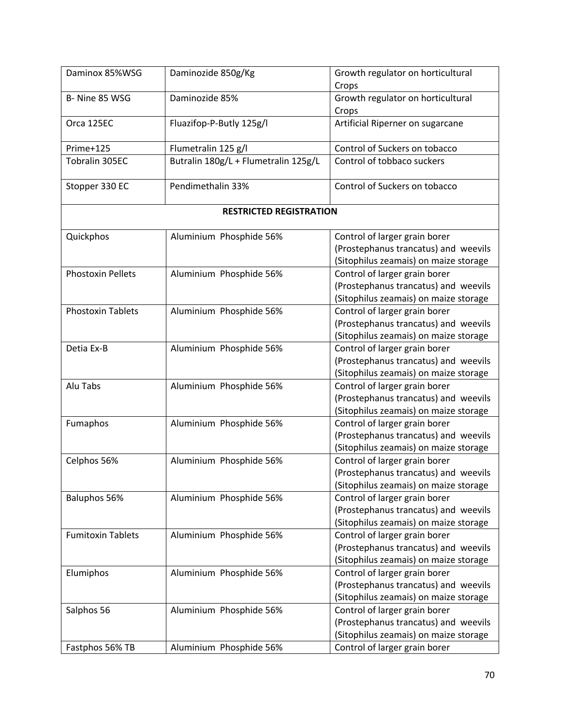| Daminox 85%WSG           | Daminozide 850g/Kg                   | Growth regulator on horticultural     |
|--------------------------|--------------------------------------|---------------------------------------|
|                          |                                      | Crops                                 |
| B-Nine 85 WSG            | Daminozide 85%                       | Growth regulator on horticultural     |
|                          |                                      | Crops                                 |
| Orca 125EC               | Fluazifop-P-Butly 125g/l             | Artificial Riperner on sugarcane      |
| Prime+125                | Flumetralin 125 g/l                  | Control of Suckers on tobacco         |
| Tobralin 305EC           | Butralin 180g/L + Flumetralin 125g/L | Control of tobbaco suckers            |
| Stopper 330 EC           | Pendimethalin 33%                    | Control of Suckers on tobacco         |
|                          | <b>RESTRICTED REGISTRATION</b>       |                                       |
| Quickphos                | Aluminium Phosphide 56%              | Control of larger grain borer         |
|                          |                                      | (Prostephanus trancatus) and weevils  |
|                          |                                      | (Sitophilus zeamais) on maize storage |
| <b>Phostoxin Pellets</b> | Aluminium Phosphide 56%              | Control of larger grain borer         |
|                          |                                      | (Prostephanus trancatus) and weevils  |
|                          |                                      | (Sitophilus zeamais) on maize storage |
| <b>Phostoxin Tablets</b> | Aluminium Phosphide 56%              | Control of larger grain borer         |
|                          |                                      | (Prostephanus trancatus) and weevils  |
|                          |                                      | (Sitophilus zeamais) on maize storage |
| Detia Ex-B               | Aluminium Phosphide 56%              | Control of larger grain borer         |
|                          |                                      | (Prostephanus trancatus) and weevils  |
|                          |                                      | (Sitophilus zeamais) on maize storage |
| Alu Tabs                 | Aluminium Phosphide 56%              | Control of larger grain borer         |
|                          |                                      | (Prostephanus trancatus) and weevils  |
|                          |                                      | (Sitophilus zeamais) on maize storage |
| Fumaphos                 | Aluminium Phosphide 56%              | Control of larger grain borer         |
|                          |                                      | (Prostephanus trancatus) and weevils  |
|                          |                                      | (Sitophilus zeamais) on maize storage |
| Celphos 56%              | Aluminium Phosphide 56%              | Control of larger grain borer         |
|                          |                                      | (Prostephanus trancatus) and weevils  |
|                          |                                      | (Sitophilus zeamais) on maize storage |
| Baluphos 56%             | Aluminium Phosphide 56%              | Control of larger grain borer         |
|                          |                                      | (Prostephanus trancatus) and weevils  |
|                          |                                      | (Sitophilus zeamais) on maize storage |
| <b>Fumitoxin Tablets</b> | Aluminium Phosphide 56%              | Control of larger grain borer         |
|                          |                                      | (Prostephanus trancatus) and weevils  |
|                          |                                      | (Sitophilus zeamais) on maize storage |
| Elumiphos                | Aluminium Phosphide 56%              | Control of larger grain borer         |
|                          |                                      | (Prostephanus trancatus) and weevils  |
|                          |                                      | (Sitophilus zeamais) on maize storage |
| Salphos 56               | Aluminium Phosphide 56%              | Control of larger grain borer         |
|                          |                                      | (Prostephanus trancatus) and weevils  |
|                          |                                      | (Sitophilus zeamais) on maize storage |
| Fastphos 56% TB          | Aluminium Phosphide 56%              | Control of larger grain borer         |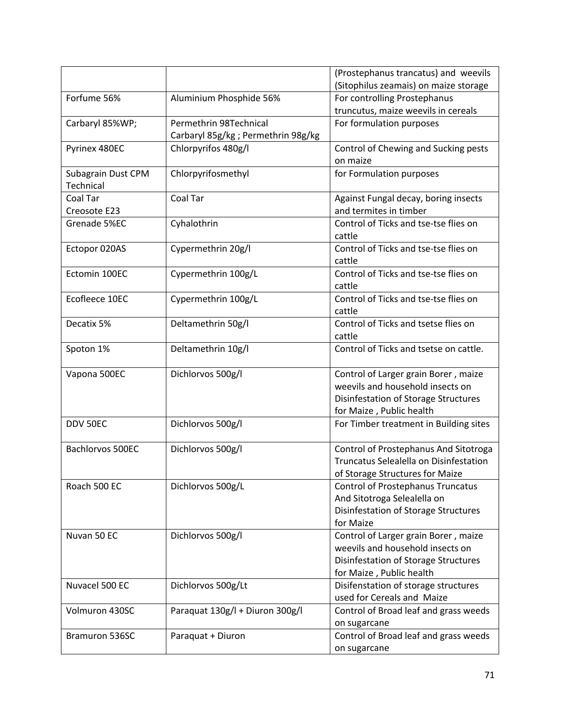| (Sitophilus zeamais) on maize storage<br>Forfume 56%<br>For controlling Prostephanus<br>Aluminium Phosphide 56%<br>truncutus, maize weevils in cereals<br>Permethrin 98Technical<br>For formulation purposes<br>Carbaryl 85%WP;<br>Carbaryl 85g/kg; Permethrin 98g/kg<br>Chlorpyrifos 480g/l<br>Pyrinex 480EC<br>Control of Chewing and Sucking pests<br>on maize<br>Subagrain Dust CPM<br>Chlorpyrifosmethyl<br>for Formulation purposes<br>Technical<br>Coal Tar<br>Coal Tar<br>Against Fungal decay, boring insects<br>and termites in timber<br>Creosote E23<br>Control of Ticks and tse-tse flies on<br>Grenade 5%EC<br>Cyhalothrin<br>cattle<br>Control of Ticks and tse-tse flies on<br>Ectopor 020AS<br>Cypermethrin 20g/l<br>cattle<br>Control of Ticks and tse-tse flies on<br>Ectomin 100EC<br>Cypermethrin 100g/L<br>cattle<br>Ecofleece 10EC<br>Cypermethrin 100g/L<br>Control of Ticks and tse-tse flies on<br>cattle |
|-------------------------------------------------------------------------------------------------------------------------------------------------------------------------------------------------------------------------------------------------------------------------------------------------------------------------------------------------------------------------------------------------------------------------------------------------------------------------------------------------------------------------------------------------------------------------------------------------------------------------------------------------------------------------------------------------------------------------------------------------------------------------------------------------------------------------------------------------------------------------------------------------------------------------------------|
|                                                                                                                                                                                                                                                                                                                                                                                                                                                                                                                                                                                                                                                                                                                                                                                                                                                                                                                                     |
|                                                                                                                                                                                                                                                                                                                                                                                                                                                                                                                                                                                                                                                                                                                                                                                                                                                                                                                                     |
|                                                                                                                                                                                                                                                                                                                                                                                                                                                                                                                                                                                                                                                                                                                                                                                                                                                                                                                                     |
|                                                                                                                                                                                                                                                                                                                                                                                                                                                                                                                                                                                                                                                                                                                                                                                                                                                                                                                                     |
|                                                                                                                                                                                                                                                                                                                                                                                                                                                                                                                                                                                                                                                                                                                                                                                                                                                                                                                                     |
|                                                                                                                                                                                                                                                                                                                                                                                                                                                                                                                                                                                                                                                                                                                                                                                                                                                                                                                                     |
|                                                                                                                                                                                                                                                                                                                                                                                                                                                                                                                                                                                                                                                                                                                                                                                                                                                                                                                                     |
|                                                                                                                                                                                                                                                                                                                                                                                                                                                                                                                                                                                                                                                                                                                                                                                                                                                                                                                                     |
|                                                                                                                                                                                                                                                                                                                                                                                                                                                                                                                                                                                                                                                                                                                                                                                                                                                                                                                                     |
|                                                                                                                                                                                                                                                                                                                                                                                                                                                                                                                                                                                                                                                                                                                                                                                                                                                                                                                                     |
|                                                                                                                                                                                                                                                                                                                                                                                                                                                                                                                                                                                                                                                                                                                                                                                                                                                                                                                                     |
|                                                                                                                                                                                                                                                                                                                                                                                                                                                                                                                                                                                                                                                                                                                                                                                                                                                                                                                                     |
|                                                                                                                                                                                                                                                                                                                                                                                                                                                                                                                                                                                                                                                                                                                                                                                                                                                                                                                                     |
|                                                                                                                                                                                                                                                                                                                                                                                                                                                                                                                                                                                                                                                                                                                                                                                                                                                                                                                                     |
|                                                                                                                                                                                                                                                                                                                                                                                                                                                                                                                                                                                                                                                                                                                                                                                                                                                                                                                                     |
|                                                                                                                                                                                                                                                                                                                                                                                                                                                                                                                                                                                                                                                                                                                                                                                                                                                                                                                                     |
|                                                                                                                                                                                                                                                                                                                                                                                                                                                                                                                                                                                                                                                                                                                                                                                                                                                                                                                                     |
| Control of Ticks and tsetse flies on<br>Deltamethrin 50g/l<br>Decatix 5%                                                                                                                                                                                                                                                                                                                                                                                                                                                                                                                                                                                                                                                                                                                                                                                                                                                            |
| cattle                                                                                                                                                                                                                                                                                                                                                                                                                                                                                                                                                                                                                                                                                                                                                                                                                                                                                                                              |
| Spoton 1%<br>Deltamethrin 10g/l<br>Control of Ticks and tsetse on cattle.                                                                                                                                                                                                                                                                                                                                                                                                                                                                                                                                                                                                                                                                                                                                                                                                                                                           |
|                                                                                                                                                                                                                                                                                                                                                                                                                                                                                                                                                                                                                                                                                                                                                                                                                                                                                                                                     |
| Control of Larger grain Borer, maize<br>Vapona 500EC<br>Dichlorvos 500g/l                                                                                                                                                                                                                                                                                                                                                                                                                                                                                                                                                                                                                                                                                                                                                                                                                                                           |
| weevils and household insects on                                                                                                                                                                                                                                                                                                                                                                                                                                                                                                                                                                                                                                                                                                                                                                                                                                                                                                    |
| Disinfestation of Storage Structures                                                                                                                                                                                                                                                                                                                                                                                                                                                                                                                                                                                                                                                                                                                                                                                                                                                                                                |
| for Maize, Public health                                                                                                                                                                                                                                                                                                                                                                                                                                                                                                                                                                                                                                                                                                                                                                                                                                                                                                            |
| DDV 50EC<br>Dichlorvos 500g/l<br>For Timber treatment in Building sites                                                                                                                                                                                                                                                                                                                                                                                                                                                                                                                                                                                                                                                                                                                                                                                                                                                             |
|                                                                                                                                                                                                                                                                                                                                                                                                                                                                                                                                                                                                                                                                                                                                                                                                                                                                                                                                     |
| Bachlorvos 500EC<br>Dichlorvos 500g/l<br>Control of Prostephanus And Sitotroga                                                                                                                                                                                                                                                                                                                                                                                                                                                                                                                                                                                                                                                                                                                                                                                                                                                      |
| Truncatus Selealella on Disinfestation                                                                                                                                                                                                                                                                                                                                                                                                                                                                                                                                                                                                                                                                                                                                                                                                                                                                                              |
| of Storage Structures for Maize                                                                                                                                                                                                                                                                                                                                                                                                                                                                                                                                                                                                                                                                                                                                                                                                                                                                                                     |
| Roach 500 EC<br>Dichlorvos 500g/L<br><b>Control of Prostephanus Truncatus</b>                                                                                                                                                                                                                                                                                                                                                                                                                                                                                                                                                                                                                                                                                                                                                                                                                                                       |
| And Sitotroga Selealella on                                                                                                                                                                                                                                                                                                                                                                                                                                                                                                                                                                                                                                                                                                                                                                                                                                                                                                         |
| Disinfestation of Storage Structures                                                                                                                                                                                                                                                                                                                                                                                                                                                                                                                                                                                                                                                                                                                                                                                                                                                                                                |
| for Maize                                                                                                                                                                                                                                                                                                                                                                                                                                                                                                                                                                                                                                                                                                                                                                                                                                                                                                                           |
| Nuvan 50 EC<br>Dichlorvos 500g/l<br>Control of Larger grain Borer, maize                                                                                                                                                                                                                                                                                                                                                                                                                                                                                                                                                                                                                                                                                                                                                                                                                                                            |
| weevils and household insects on                                                                                                                                                                                                                                                                                                                                                                                                                                                                                                                                                                                                                                                                                                                                                                                                                                                                                                    |
| Disinfestation of Storage Structures                                                                                                                                                                                                                                                                                                                                                                                                                                                                                                                                                                                                                                                                                                                                                                                                                                                                                                |
| for Maize, Public health                                                                                                                                                                                                                                                                                                                                                                                                                                                                                                                                                                                                                                                                                                                                                                                                                                                                                                            |
| Nuvacel 500 EC<br>Dichlorvos 500g/Lt<br>Disifenstation of storage structures                                                                                                                                                                                                                                                                                                                                                                                                                                                                                                                                                                                                                                                                                                                                                                                                                                                        |
| used for Cereals and Maize                                                                                                                                                                                                                                                                                                                                                                                                                                                                                                                                                                                                                                                                                                                                                                                                                                                                                                          |
| Paraquat 130g/l + Diuron 300g/l<br>Control of Broad leaf and grass weeds<br>Volmuron 430SC                                                                                                                                                                                                                                                                                                                                                                                                                                                                                                                                                                                                                                                                                                                                                                                                                                          |
| on sugarcane                                                                                                                                                                                                                                                                                                                                                                                                                                                                                                                                                                                                                                                                                                                                                                                                                                                                                                                        |
| Control of Broad leaf and grass weeds<br>Bramuron 536SC<br>Paraquat + Diuron                                                                                                                                                                                                                                                                                                                                                                                                                                                                                                                                                                                                                                                                                                                                                                                                                                                        |
| on sugarcane                                                                                                                                                                                                                                                                                                                                                                                                                                                                                                                                                                                                                                                                                                                                                                                                                                                                                                                        |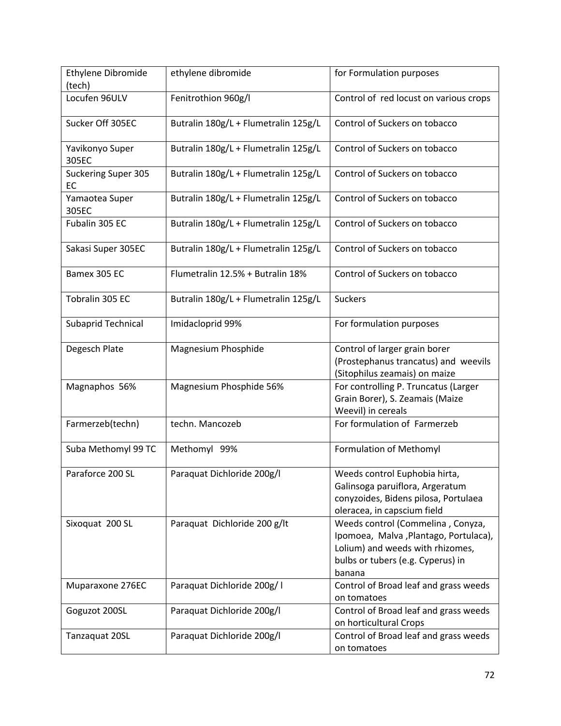| Ethylene Dibromide<br>(tech) | ethylene dibromide                   | for Formulation purposes                                                                                                                                      |
|------------------------------|--------------------------------------|---------------------------------------------------------------------------------------------------------------------------------------------------------------|
| Locufen 96ULV                | Fenitrothion 960g/l                  | Control of red locust on various crops                                                                                                                        |
| Sucker Off 305EC             | Butralin 180g/L + Flumetralin 125g/L | Control of Suckers on tobacco                                                                                                                                 |
| Yavikonyo Super<br>305EC     | Butralin 180g/L + Flumetralin 125g/L | Control of Suckers on tobacco                                                                                                                                 |
| Suckering Super 305<br>EC    | Butralin 180g/L + Flumetralin 125g/L | Control of Suckers on tobacco                                                                                                                                 |
| Yamaotea Super<br>305EC      | Butralin 180g/L + Flumetralin 125g/L | Control of Suckers on tobacco                                                                                                                                 |
| Fubalin 305 EC               | Butralin 180g/L + Flumetralin 125g/L | Control of Suckers on tobacco                                                                                                                                 |
| Sakasi Super 305EC           | Butralin 180g/L + Flumetralin 125g/L | Control of Suckers on tobacco                                                                                                                                 |
| Bamex 305 EC                 | Flumetralin 12.5% + Butralin 18%     | Control of Suckers on tobacco                                                                                                                                 |
| Tobralin 305 EC              | Butralin 180g/L + Flumetralin 125g/L | Suckers                                                                                                                                                       |
| <b>Subaprid Technical</b>    | Imidacloprid 99%                     | For formulation purposes                                                                                                                                      |
| Degesch Plate                | Magnesium Phosphide                  | Control of larger grain borer<br>(Prostephanus trancatus) and weevils<br>(Sitophilus zeamais) on maize                                                        |
| Magnaphos 56%                | Magnesium Phosphide 56%              | For controlling P. Truncatus (Larger<br>Grain Borer), S. Zeamais (Maize<br>Weevil) in cereals                                                                 |
| Farmerzeb(techn)             | techn. Mancozeb                      | For formulation of Farmerzeb                                                                                                                                  |
| Suba Methomyl 99 TC          | Methomyl 99%                         | Formulation of Methomyl                                                                                                                                       |
| Paraforce 200 SL             | Paraquat Dichloride 200g/l           | Weeds control Euphobia hirta,<br>Galinsoga paruiflora, Argeratum<br>conyzoides, Bidens pilosa, Portulaea<br>oleracea, in capscium field                       |
| Sixoquat 200 SL              | Paraquat Dichloride 200 g/lt         | Weeds control (Commelina, Conyza,<br>Ipomoea, Malva, Plantago, Portulaca),<br>Lolium) and weeds with rhizomes,<br>bulbs or tubers (e.g. Cyperus) in<br>banana |
| Muparaxone 276EC             | Paraquat Dichloride 200g/I           | Control of Broad leaf and grass weeds<br>on tomatoes                                                                                                          |
| Goguzot 200SL                | Paraquat Dichloride 200g/l           | Control of Broad leaf and grass weeds<br>on horticultural Crops                                                                                               |
| Tanzaquat 20SL               | Paraquat Dichloride 200g/l           | Control of Broad leaf and grass weeds<br>on tomatoes                                                                                                          |